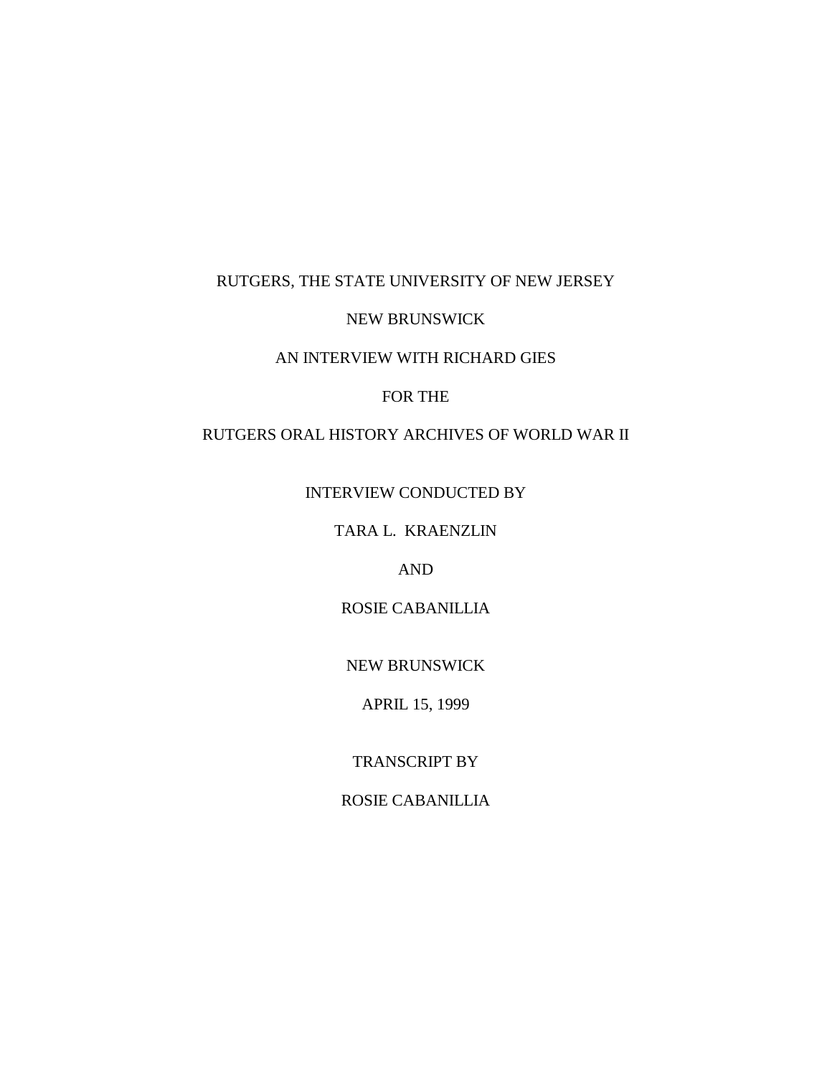### RUTGERS, THE STATE UNIVERSITY OF NEW JERSEY

#### NEW BRUNSWICK

### AN INTERVIEW WITH RICHARD GIES

#### FOR THE

## RUTGERS ORAL HISTORY ARCHIVES OF WORLD WAR II

INTERVIEW CONDUCTED BY

TARA L. KRAENZLIN

AND

ROSIE CABANILLIA

NEW BRUNSWICK

APRIL 15, 1999

TRANSCRIPT BY

ROSIE CABANILLIA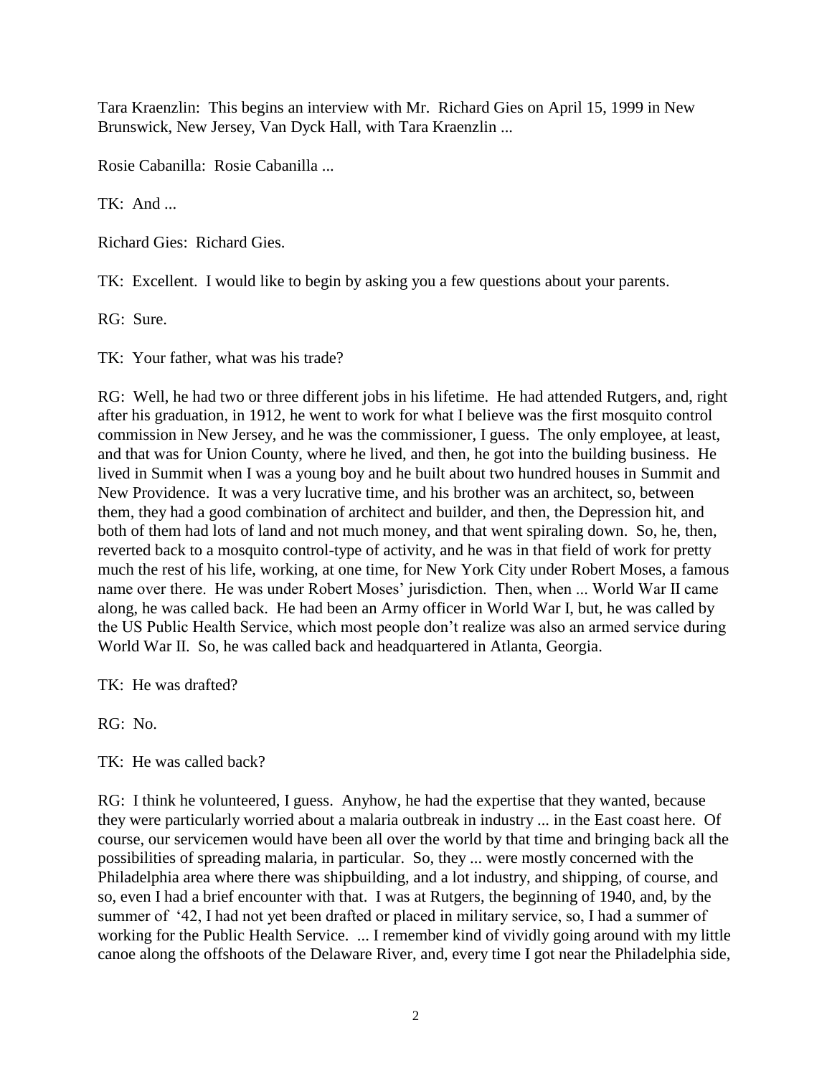Tara Kraenzlin: This begins an interview with Mr. Richard Gies on April 15, 1999 in New Brunswick, New Jersey, Van Dyck Hall, with Tara Kraenzlin ...

Rosie Cabanilla: Rosie Cabanilla ...

TK: And ...

Richard Gies: Richard Gies.

TK: Excellent. I would like to begin by asking you a few questions about your parents.

RG: Sure.

TK: Your father, what was his trade?

RG: Well, he had two or three different jobs in his lifetime. He had attended Rutgers, and, right after his graduation, in 1912, he went to work for what I believe was the first mosquito control commission in New Jersey, and he was the commissioner, I guess. The only employee, at least, and that was for Union County, where he lived, and then, he got into the building business. He lived in Summit when I was a young boy and he built about two hundred houses in Summit and New Providence. It was a very lucrative time, and his brother was an architect, so, between them, they had a good combination of architect and builder, and then, the Depression hit, and both of them had lots of land and not much money, and that went spiraling down. So, he, then, reverted back to a mosquito control-type of activity, and he was in that field of work for pretty much the rest of his life, working, at one time, for New York City under Robert Moses, a famous name over there. He was under Robert Moses' jurisdiction. Then, when ... World War II came along, he was called back. He had been an Army officer in World War I, but, he was called by the US Public Health Service, which most people don't realize was also an armed service during World War II. So, he was called back and headquartered in Atlanta, Georgia.

TK: He was drafted?

RG: No.

TK: He was called back?

RG: I think he volunteered, I guess. Anyhow, he had the expertise that they wanted, because they were particularly worried about a malaria outbreak in industry ... in the East coast here. Of course, our servicemen would have been all over the world by that time and bringing back all the possibilities of spreading malaria, in particular. So, they ... were mostly concerned with the Philadelphia area where there was shipbuilding, and a lot industry, and shipping, of course, and so, even I had a brief encounter with that. I was at Rutgers, the beginning of 1940, and, by the summer of '42, I had not yet been drafted or placed in military service, so, I had a summer of working for the Public Health Service. ... I remember kind of vividly going around with my little canoe along the offshoots of the Delaware River, and, every time I got near the Philadelphia side,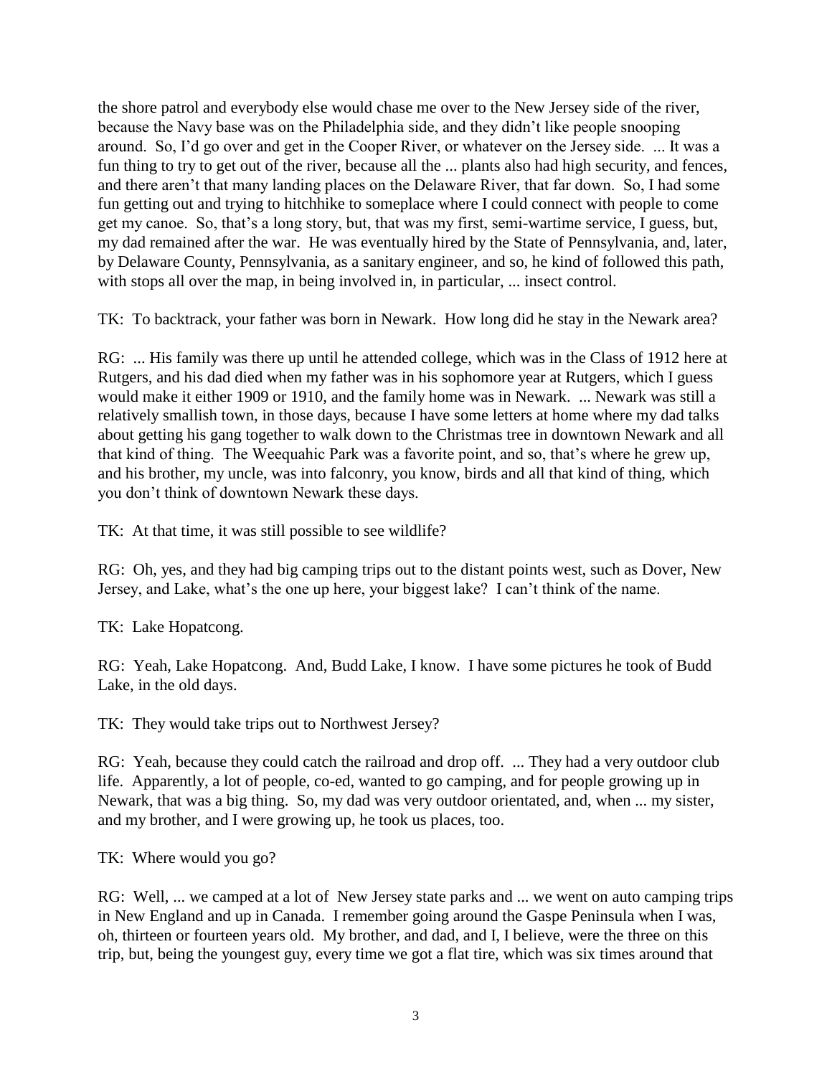the shore patrol and everybody else would chase me over to the New Jersey side of the river, because the Navy base was on the Philadelphia side, and they didn't like people snooping around. So, I'd go over and get in the Cooper River, or whatever on the Jersey side. ... It was a fun thing to try to get out of the river, because all the ... plants also had high security, and fences, and there aren't that many landing places on the Delaware River, that far down. So, I had some fun getting out and trying to hitchhike to someplace where I could connect with people to come get my canoe. So, that's a long story, but, that was my first, semi-wartime service, I guess, but, my dad remained after the war. He was eventually hired by the State of Pennsylvania, and, later, by Delaware County, Pennsylvania, as a sanitary engineer, and so, he kind of followed this path, with stops all over the map, in being involved in, in particular, ... insect control.

TK: To backtrack, your father was born in Newark. How long did he stay in the Newark area?

RG: ... His family was there up until he attended college, which was in the Class of 1912 here at Rutgers, and his dad died when my father was in his sophomore year at Rutgers, which I guess would make it either 1909 or 1910, and the family home was in Newark. ... Newark was still a relatively smallish town, in those days, because I have some letters at home where my dad talks about getting his gang together to walk down to the Christmas tree in downtown Newark and all that kind of thing. The Weequahic Park was a favorite point, and so, that's where he grew up, and his brother, my uncle, was into falconry, you know, birds and all that kind of thing, which you don't think of downtown Newark these days.

TK: At that time, it was still possible to see wildlife?

RG: Oh, yes, and they had big camping trips out to the distant points west, such as Dover, New Jersey, and Lake, what's the one up here, your biggest lake? I can't think of the name.

TK: Lake Hopatcong.

RG: Yeah, Lake Hopatcong. And, Budd Lake, I know. I have some pictures he took of Budd Lake, in the old days.

TK: They would take trips out to Northwest Jersey?

RG: Yeah, because they could catch the railroad and drop off. ... They had a very outdoor club life. Apparently, a lot of people, co-ed, wanted to go camping, and for people growing up in Newark, that was a big thing. So, my dad was very outdoor orientated, and, when ... my sister, and my brother, and I were growing up, he took us places, too.

TK: Where would you go?

RG: Well, ... we camped at a lot of New Jersey state parks and ... we went on auto camping trips in New England and up in Canada. I remember going around the Gaspe Peninsula when I was, oh, thirteen or fourteen years old. My brother, and dad, and I, I believe, were the three on this trip, but, being the youngest guy, every time we got a flat tire, which was six times around that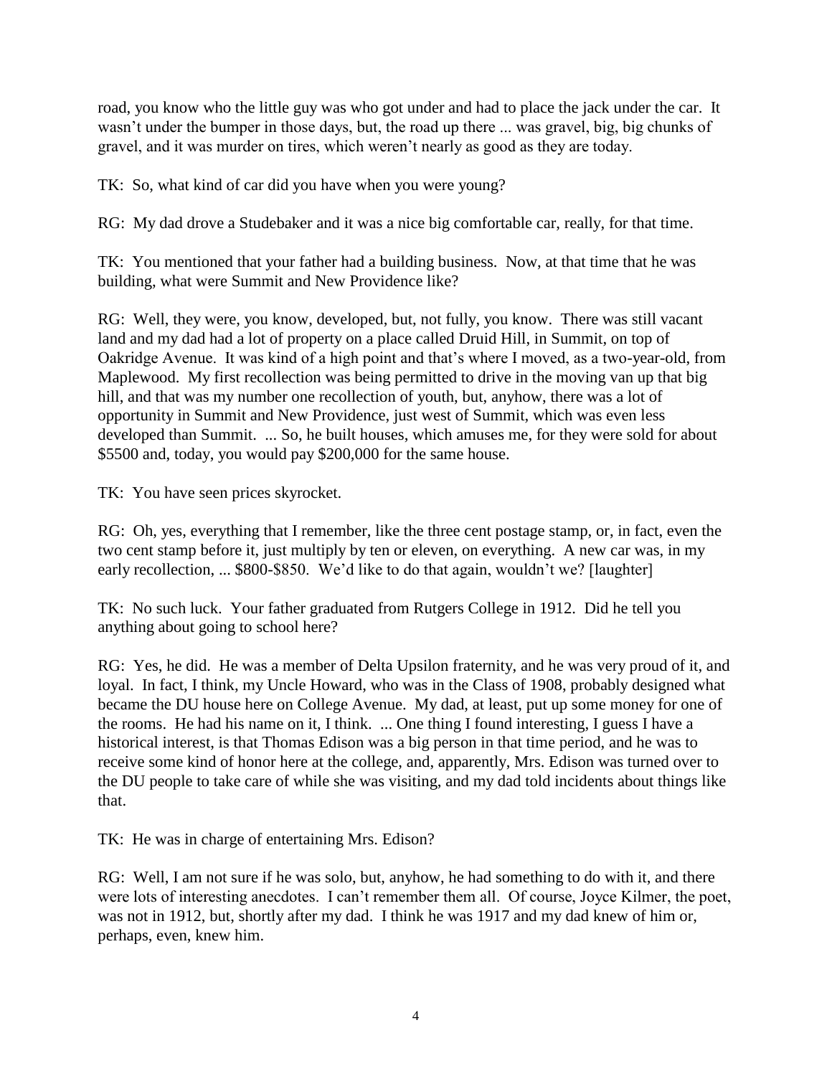road, you know who the little guy was who got under and had to place the jack under the car. It wasn't under the bumper in those days, but, the road up there ... was gravel, big, big chunks of gravel, and it was murder on tires, which weren't nearly as good as they are today.

TK: So, what kind of car did you have when you were young?

RG: My dad drove a Studebaker and it was a nice big comfortable car, really, for that time.

TK: You mentioned that your father had a building business. Now, at that time that he was building, what were Summit and New Providence like?

RG: Well, they were, you know, developed, but, not fully, you know. There was still vacant land and my dad had a lot of property on a place called Druid Hill, in Summit, on top of Oakridge Avenue. It was kind of a high point and that's where I moved, as a two-year-old, from Maplewood. My first recollection was being permitted to drive in the moving van up that big hill, and that was my number one recollection of youth, but, anyhow, there was a lot of opportunity in Summit and New Providence, just west of Summit, which was even less developed than Summit. ... So, he built houses, which amuses me, for they were sold for about \$5500 and, today, you would pay \$200,000 for the same house.

TK: You have seen prices skyrocket.

RG: Oh, yes, everything that I remember, like the three cent postage stamp, or, in fact, even the two cent stamp before it, just multiply by ten or eleven, on everything. A new car was, in my early recollection, ... \$800-\$850. We'd like to do that again, wouldn't we? [laughter]

TK: No such luck. Your father graduated from Rutgers College in 1912. Did he tell you anything about going to school here?

RG: Yes, he did. He was a member of Delta Upsilon fraternity, and he was very proud of it, and loyal. In fact, I think, my Uncle Howard, who was in the Class of 1908, probably designed what became the DU house here on College Avenue. My dad, at least, put up some money for one of the rooms. He had his name on it, I think. ... One thing I found interesting, I guess I have a historical interest, is that Thomas Edison was a big person in that time period, and he was to receive some kind of honor here at the college, and, apparently, Mrs. Edison was turned over to the DU people to take care of while she was visiting, and my dad told incidents about things like that.

TK: He was in charge of entertaining Mrs. Edison?

RG: Well, I am not sure if he was solo, but, anyhow, he had something to do with it, and there were lots of interesting anecdotes. I can't remember them all. Of course, Joyce Kilmer, the poet, was not in 1912, but, shortly after my dad. I think he was 1917 and my dad knew of him or, perhaps, even, knew him.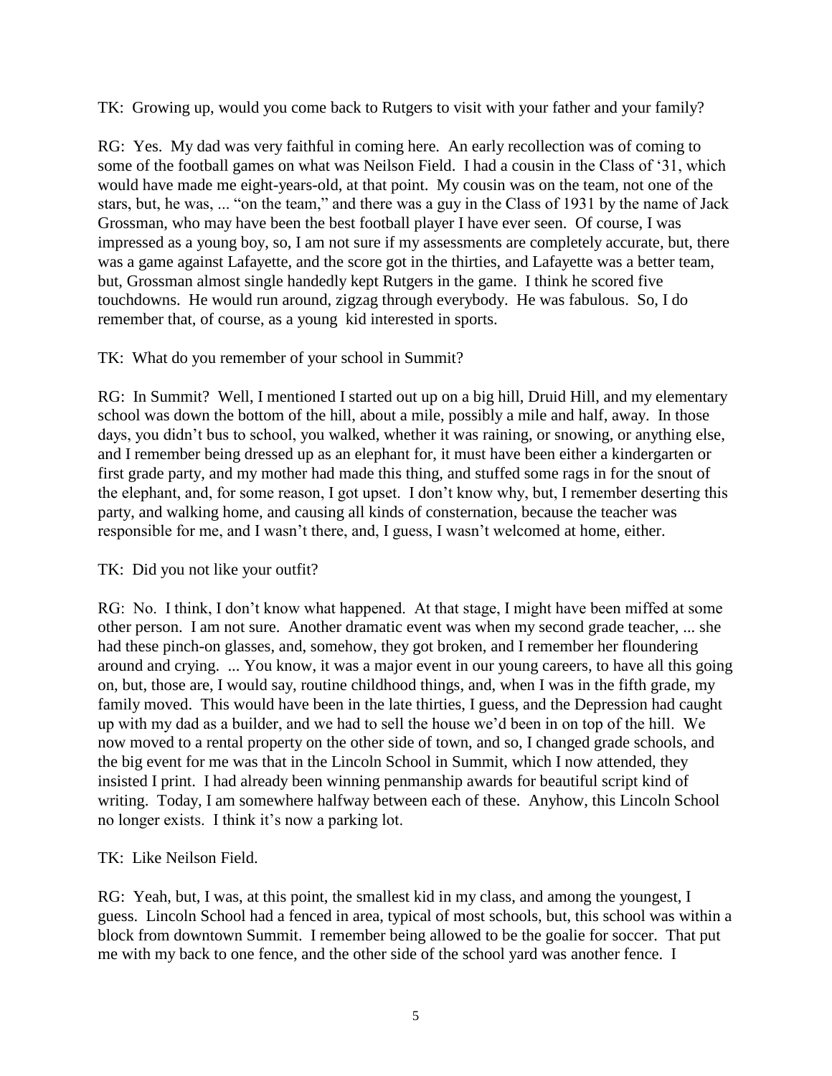TK: Growing up, would you come back to Rutgers to visit with your father and your family?

RG: Yes. My dad was very faithful in coming here. An early recollection was of coming to some of the football games on what was Neilson Field. I had a cousin in the Class of '31, which would have made me eight-years-old, at that point. My cousin was on the team, not one of the stars, but, he was, ... "on the team," and there was a guy in the Class of 1931 by the name of Jack Grossman, who may have been the best football player I have ever seen. Of course, I was impressed as a young boy, so, I am not sure if my assessments are completely accurate, but, there was a game against Lafayette, and the score got in the thirties, and Lafayette was a better team, but, Grossman almost single handedly kept Rutgers in the game. I think he scored five touchdowns. He would run around, zigzag through everybody. He was fabulous. So, I do remember that, of course, as a young kid interested in sports.

## TK: What do you remember of your school in Summit?

RG: In Summit? Well, I mentioned I started out up on a big hill, Druid Hill, and my elementary school was down the bottom of the hill, about a mile, possibly a mile and half, away. In those days, you didn't bus to school, you walked, whether it was raining, or snowing, or anything else, and I remember being dressed up as an elephant for, it must have been either a kindergarten or first grade party, and my mother had made this thing, and stuffed some rags in for the snout of the elephant, and, for some reason, I got upset. I don't know why, but, I remember deserting this party, and walking home, and causing all kinds of consternation, because the teacher was responsible for me, and I wasn't there, and, I guess, I wasn't welcomed at home, either.

## TK: Did you not like your outfit?

RG: No. I think, I don't know what happened. At that stage, I might have been miffed at some other person. I am not sure. Another dramatic event was when my second grade teacher, ... she had these pinch-on glasses, and, somehow, they got broken, and I remember her floundering around and crying. ... You know, it was a major event in our young careers, to have all this going on, but, those are, I would say, routine childhood things, and, when I was in the fifth grade, my family moved. This would have been in the late thirties, I guess, and the Depression had caught up with my dad as a builder, and we had to sell the house we'd been in on top of the hill. We now moved to a rental property on the other side of town, and so, I changed grade schools, and the big event for me was that in the Lincoln School in Summit, which I now attended, they insisted I print. I had already been winning penmanship awards for beautiful script kind of writing. Today, I am somewhere halfway between each of these. Anyhow, this Lincoln School no longer exists. I think it's now a parking lot.

## TK: Like Neilson Field.

RG: Yeah, but, I was, at this point, the smallest kid in my class, and among the youngest, I guess. Lincoln School had a fenced in area, typical of most schools, but, this school was within a block from downtown Summit. I remember being allowed to be the goalie for soccer. That put me with my back to one fence, and the other side of the school yard was another fence. I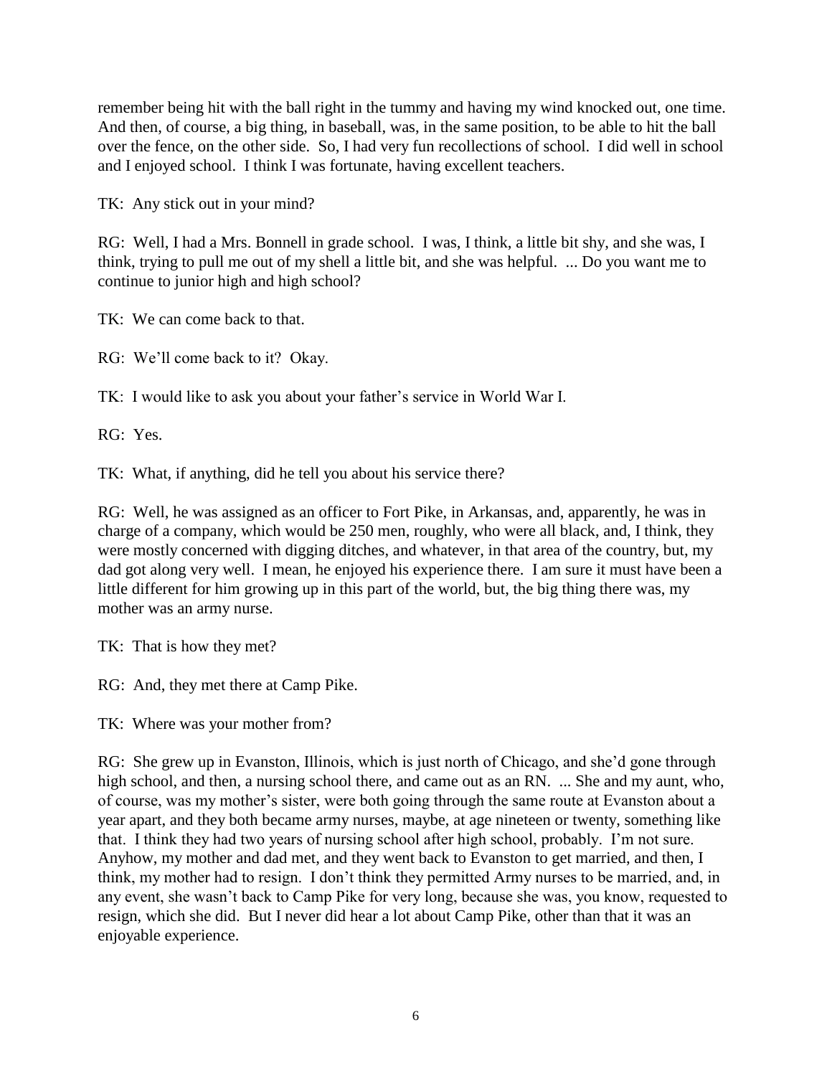remember being hit with the ball right in the tummy and having my wind knocked out, one time. And then, of course, a big thing, in baseball, was, in the same position, to be able to hit the ball over the fence, on the other side. So, I had very fun recollections of school. I did well in school and I enjoyed school. I think I was fortunate, having excellent teachers.

TK: Any stick out in your mind?

RG: Well, I had a Mrs. Bonnell in grade school. I was, I think, a little bit shy, and she was, I think, trying to pull me out of my shell a little bit, and she was helpful. ... Do you want me to continue to junior high and high school?

TK: We can come back to that.

RG: We'll come back to it? Okay.

TK: I would like to ask you about your father's service in World War I.

RG: Yes.

TK: What, if anything, did he tell you about his service there?

RG: Well, he was assigned as an officer to Fort Pike, in Arkansas, and, apparently, he was in charge of a company, which would be 250 men, roughly, who were all black, and, I think, they were mostly concerned with digging ditches, and whatever, in that area of the country, but, my dad got along very well. I mean, he enjoyed his experience there. I am sure it must have been a little different for him growing up in this part of the world, but, the big thing there was, my mother was an army nurse.

TK: That is how they met?

RG: And, they met there at Camp Pike.

TK: Where was your mother from?

RG: She grew up in Evanston, Illinois, which is just north of Chicago, and she'd gone through high school, and then, a nursing school there, and came out as an RN. ... She and my aunt, who, of course, was my mother's sister, were both going through the same route at Evanston about a year apart, and they both became army nurses, maybe, at age nineteen or twenty, something like that. I think they had two years of nursing school after high school, probably. I'm not sure. Anyhow, my mother and dad met, and they went back to Evanston to get married, and then, I think, my mother had to resign. I don't think they permitted Army nurses to be married, and, in any event, she wasn't back to Camp Pike for very long, because she was, you know, requested to resign, which she did. But I never did hear a lot about Camp Pike, other than that it was an enjoyable experience.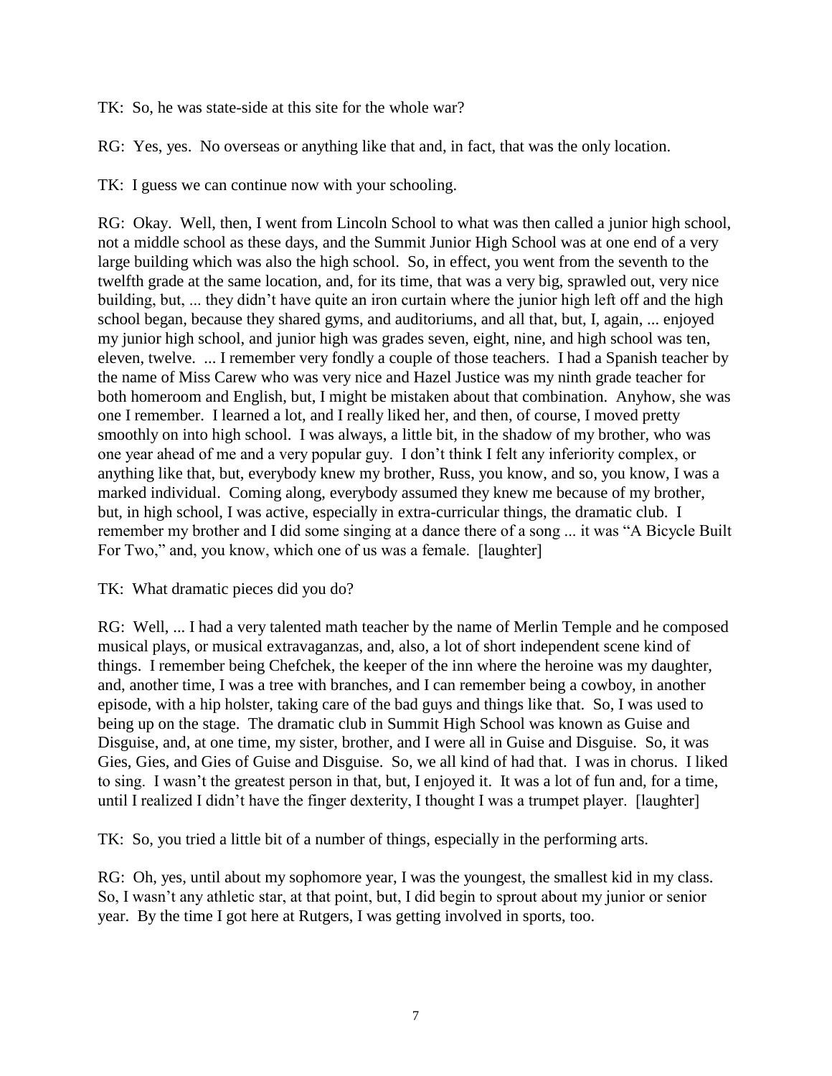TK: So, he was state-side at this site for the whole war?

RG: Yes, yes. No overseas or anything like that and, in fact, that was the only location.

TK: I guess we can continue now with your schooling.

RG: Okay. Well, then, I went from Lincoln School to what was then called a junior high school, not a middle school as these days, and the Summit Junior High School was at one end of a very large building which was also the high school. So, in effect, you went from the seventh to the twelfth grade at the same location, and, for its time, that was a very big, sprawled out, very nice building, but, ... they didn't have quite an iron curtain where the junior high left off and the high school began, because they shared gyms, and auditoriums, and all that, but, I, again, ... enjoyed my junior high school, and junior high was grades seven, eight, nine, and high school was ten, eleven, twelve. ... I remember very fondly a couple of those teachers. I had a Spanish teacher by the name of Miss Carew who was very nice and Hazel Justice was my ninth grade teacher for both homeroom and English, but, I might be mistaken about that combination. Anyhow, she was one I remember. I learned a lot, and I really liked her, and then, of course, I moved pretty smoothly on into high school. I was always, a little bit, in the shadow of my brother, who was one year ahead of me and a very popular guy. I don't think I felt any inferiority complex, or anything like that, but, everybody knew my brother, Russ, you know, and so, you know, I was a marked individual. Coming along, everybody assumed they knew me because of my brother, but, in high school, I was active, especially in extra-curricular things, the dramatic club. I remember my brother and I did some singing at a dance there of a song ... it was "A Bicycle Built For Two," and, you know, which one of us was a female. [laughter]

### TK: What dramatic pieces did you do?

RG: Well, ... I had a very talented math teacher by the name of Merlin Temple and he composed musical plays, or musical extravaganzas, and, also, a lot of short independent scene kind of things. I remember being Chefchek, the keeper of the inn where the heroine was my daughter, and, another time, I was a tree with branches, and I can remember being a cowboy, in another episode, with a hip holster, taking care of the bad guys and things like that. So, I was used to being up on the stage. The dramatic club in Summit High School was known as Guise and Disguise, and, at one time, my sister, brother, and I were all in Guise and Disguise. So, it was Gies, Gies, and Gies of Guise and Disguise. So, we all kind of had that. I was in chorus. I liked to sing. I wasn't the greatest person in that, but, I enjoyed it. It was a lot of fun and, for a time, until I realized I didn't have the finger dexterity, I thought I was a trumpet player. [laughter]

TK: So, you tried a little bit of a number of things, especially in the performing arts.

RG: Oh, yes, until about my sophomore year, I was the youngest, the smallest kid in my class. So, I wasn't any athletic star, at that point, but, I did begin to sprout about my junior or senior year. By the time I got here at Rutgers, I was getting involved in sports, too.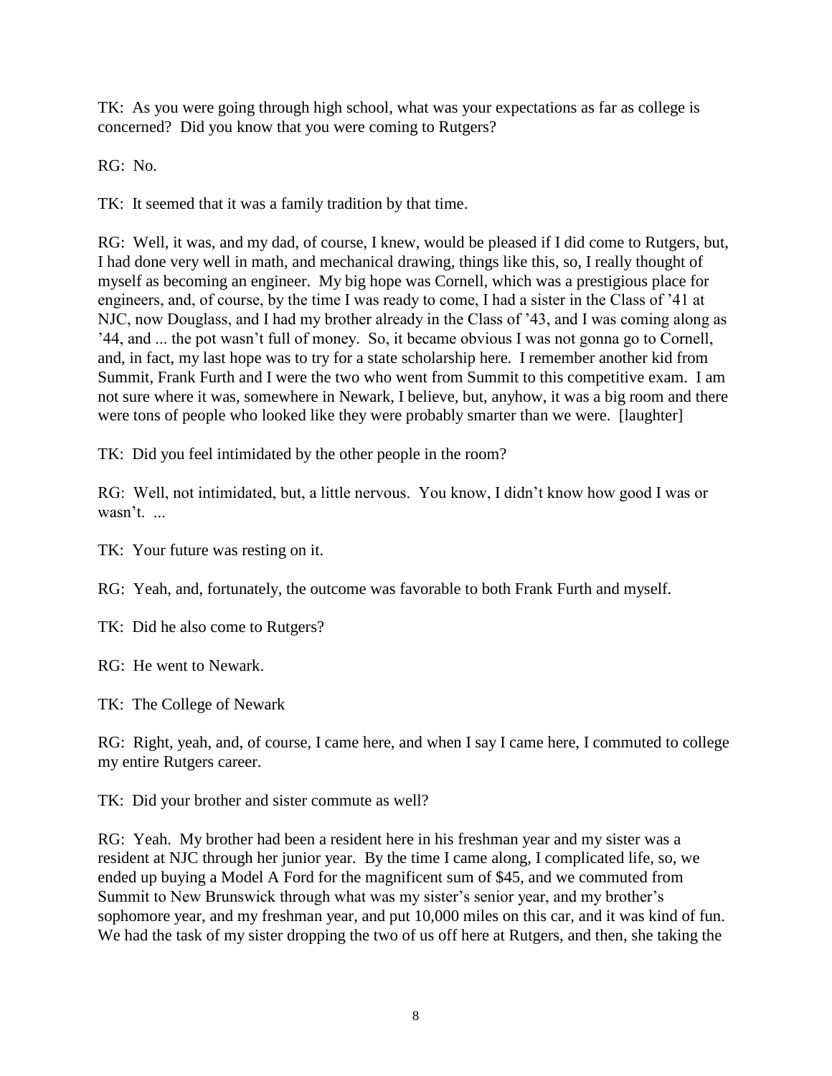TK: As you were going through high school, what was your expectations as far as college is concerned? Did you know that you were coming to Rutgers?

RG: No.

TK: It seemed that it was a family tradition by that time.

RG: Well, it was, and my dad, of course, I knew, would be pleased if I did come to Rutgers, but, I had done very well in math, and mechanical drawing, things like this, so, I really thought of myself as becoming an engineer. My big hope was Cornell, which was a prestigious place for engineers, and, of course, by the time I was ready to come, I had a sister in the Class of '41 at NJC, now Douglass, and I had my brother already in the Class of '43, and I was coming along as '44, and ... the pot wasn't full of money. So, it became obvious I was not gonna go to Cornell, and, in fact, my last hope was to try for a state scholarship here. I remember another kid from Summit, Frank Furth and I were the two who went from Summit to this competitive exam. I am not sure where it was, somewhere in Newark, I believe, but, anyhow, it was a big room and there were tons of people who looked like they were probably smarter than we were. [laughter]

TK: Did you feel intimidated by the other people in the room?

RG: Well, not intimidated, but, a little nervous. You know, I didn't know how good I was or wasn't. ...

TK: Your future was resting on it.

RG: Yeah, and, fortunately, the outcome was favorable to both Frank Furth and myself.

TK: Did he also come to Rutgers?

RG: He went to Newark.

TK: The College of Newark

RG: Right, yeah, and, of course, I came here, and when I say I came here, I commuted to college my entire Rutgers career.

TK: Did your brother and sister commute as well?

RG: Yeah. My brother had been a resident here in his freshman year and my sister was a resident at NJC through her junior year. By the time I came along, I complicated life, so, we ended up buying a Model A Ford for the magnificent sum of \$45, and we commuted from Summit to New Brunswick through what was my sister's senior year, and my brother's sophomore year, and my freshman year, and put 10,000 miles on this car, and it was kind of fun. We had the task of my sister dropping the two of us off here at Rutgers, and then, she taking the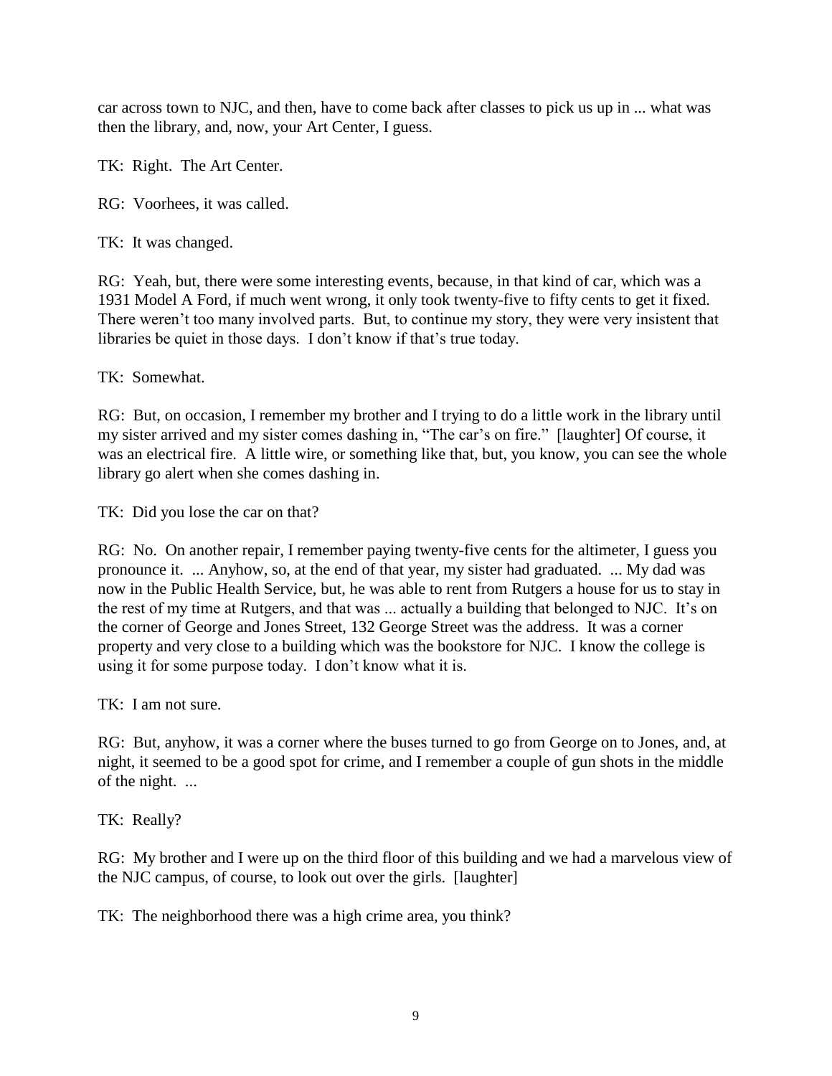car across town to NJC, and then, have to come back after classes to pick us up in ... what was then the library, and, now, your Art Center, I guess.

TK: Right. The Art Center.

RG: Voorhees, it was called.

TK: It was changed.

RG: Yeah, but, there were some interesting events, because, in that kind of car, which was a 1931 Model A Ford, if much went wrong, it only took twenty-five to fifty cents to get it fixed. There weren't too many involved parts. But, to continue my story, they were very insistent that libraries be quiet in those days. I don't know if that's true today.

TK: Somewhat.

RG: But, on occasion, I remember my brother and I trying to do a little work in the library until my sister arrived and my sister comes dashing in, "The car's on fire." [laughter] Of course, it was an electrical fire. A little wire, or something like that, but, you know, you can see the whole library go alert when she comes dashing in.

TK: Did you lose the car on that?

RG: No. On another repair, I remember paying twenty-five cents for the altimeter, I guess you pronounce it. ... Anyhow, so, at the end of that year, my sister had graduated. ... My dad was now in the Public Health Service, but, he was able to rent from Rutgers a house for us to stay in the rest of my time at Rutgers, and that was ... actually a building that belonged to NJC. It's on the corner of George and Jones Street, 132 George Street was the address. It was a corner property and very close to a building which was the bookstore for NJC. I know the college is using it for some purpose today. I don't know what it is.

TK: I am not sure.

RG: But, anyhow, it was a corner where the buses turned to go from George on to Jones, and, at night, it seemed to be a good spot for crime, and I remember a couple of gun shots in the middle of the night. ...

TK: Really?

RG: My brother and I were up on the third floor of this building and we had a marvelous view of the NJC campus, of course, to look out over the girls. [laughter]

TK: The neighborhood there was a high crime area, you think?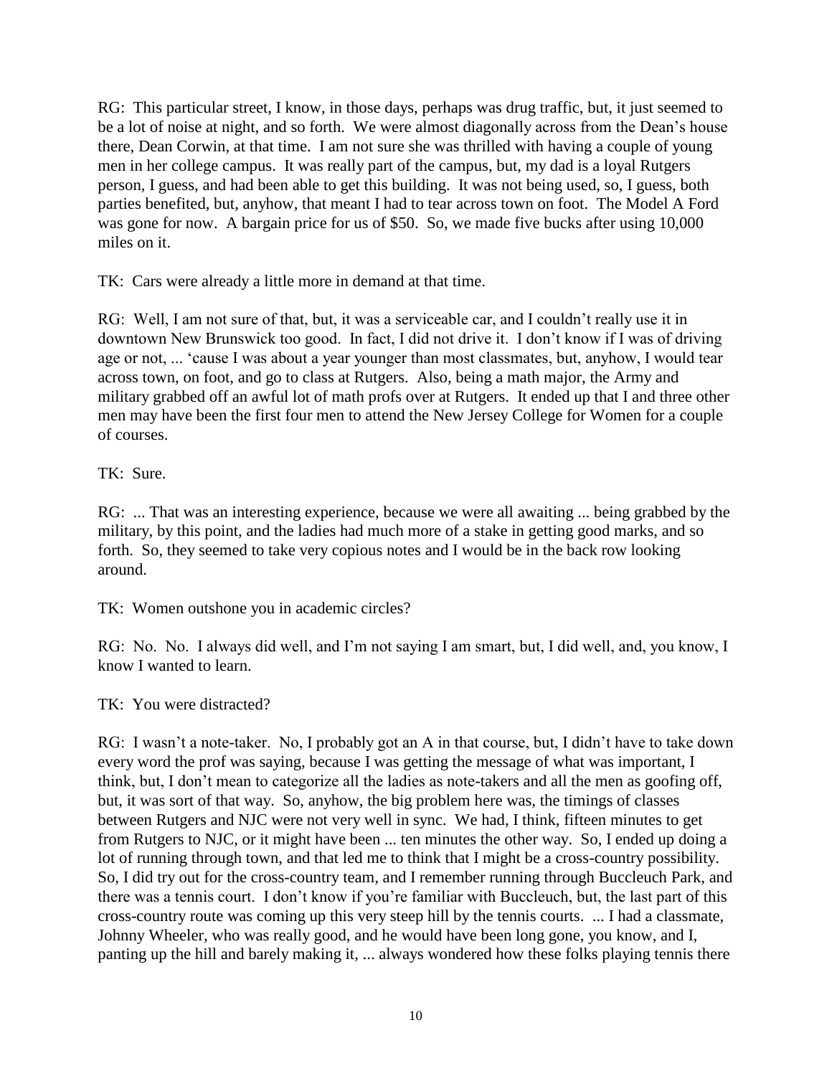RG: This particular street, I know, in those days, perhaps was drug traffic, but, it just seemed to be a lot of noise at night, and so forth. We were almost diagonally across from the Dean's house there, Dean Corwin, at that time. I am not sure she was thrilled with having a couple of young men in her college campus. It was really part of the campus, but, my dad is a loyal Rutgers person, I guess, and had been able to get this building. It was not being used, so, I guess, both parties benefited, but, anyhow, that meant I had to tear across town on foot. The Model A Ford was gone for now. A bargain price for us of \$50. So, we made five bucks after using 10,000 miles on it.

TK: Cars were already a little more in demand at that time.

RG: Well, I am not sure of that, but, it was a serviceable car, and I couldn't really use it in downtown New Brunswick too good. In fact, I did not drive it. I don't know if I was of driving age or not, ... 'cause I was about a year younger than most classmates, but, anyhow, I would tear across town, on foot, and go to class at Rutgers. Also, being a math major, the Army and military grabbed off an awful lot of math profs over at Rutgers. It ended up that I and three other men may have been the first four men to attend the New Jersey College for Women for a couple of courses.

TK: Sure.

RG: ... That was an interesting experience, because we were all awaiting ... being grabbed by the military, by this point, and the ladies had much more of a stake in getting good marks, and so forth. So, they seemed to take very copious notes and I would be in the back row looking around.

TK: Women outshone you in academic circles?

RG: No. No. I always did well, and I'm not saying I am smart, but, I did well, and, you know, I know I wanted to learn.

TK: You were distracted?

RG: I wasn't a note-taker. No, I probably got an A in that course, but, I didn't have to take down every word the prof was saying, because I was getting the message of what was important, I think, but, I don't mean to categorize all the ladies as note-takers and all the men as goofing off, but, it was sort of that way. So, anyhow, the big problem here was, the timings of classes between Rutgers and NJC were not very well in sync. We had, I think, fifteen minutes to get from Rutgers to NJC, or it might have been ... ten minutes the other way. So, I ended up doing a lot of running through town, and that led me to think that I might be a cross-country possibility. So, I did try out for the cross-country team, and I remember running through Buccleuch Park, and there was a tennis court. I don't know if you're familiar with Buccleuch, but, the last part of this cross-country route was coming up this very steep hill by the tennis courts. ... I had a classmate, Johnny Wheeler, who was really good, and he would have been long gone, you know, and I, panting up the hill and barely making it, ... always wondered how these folks playing tennis there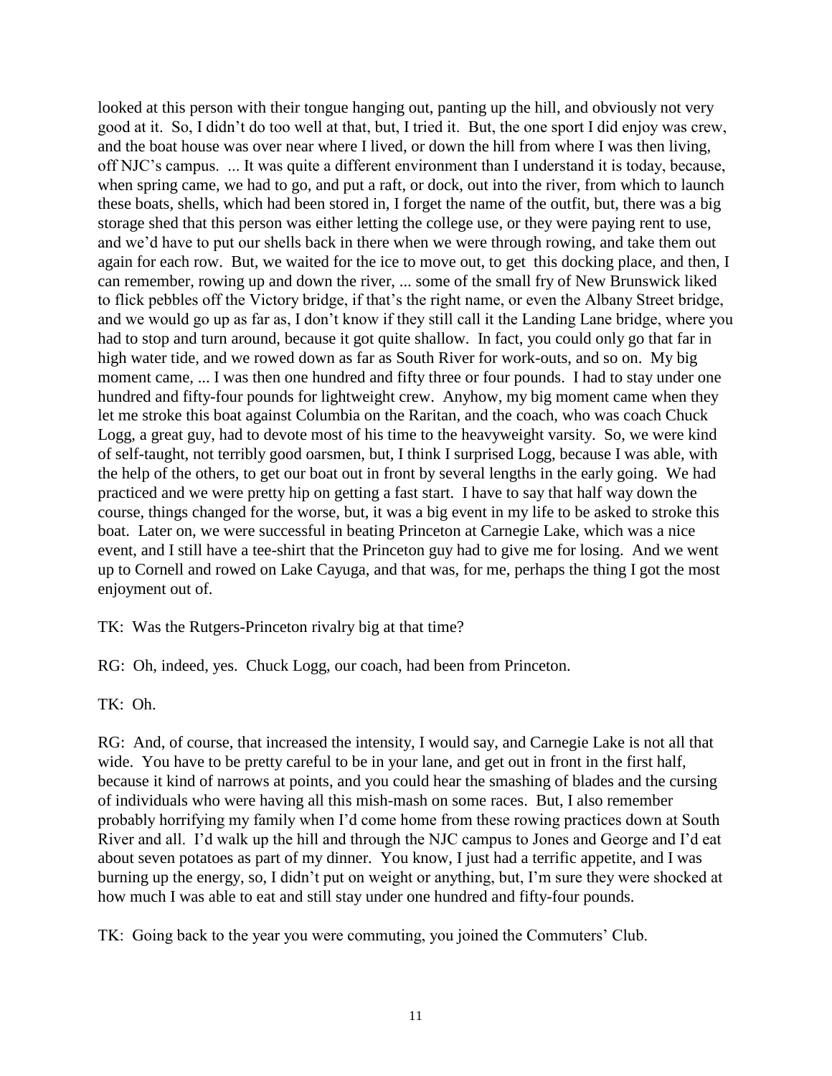looked at this person with their tongue hanging out, panting up the hill, and obviously not very good at it. So, I didn't do too well at that, but, I tried it. But, the one sport I did enjoy was crew, and the boat house was over near where I lived, or down the hill from where I was then living, off NJC's campus. ... It was quite a different environment than I understand it is today, because, when spring came, we had to go, and put a raft, or dock, out into the river, from which to launch these boats, shells, which had been stored in, I forget the name of the outfit, but, there was a big storage shed that this person was either letting the college use, or they were paying rent to use, and we'd have to put our shells back in there when we were through rowing, and take them out again for each row. But, we waited for the ice to move out, to get this docking place, and then, I can remember, rowing up and down the river, ... some of the small fry of New Brunswick liked to flick pebbles off the Victory bridge, if that's the right name, or even the Albany Street bridge, and we would go up as far as, I don't know if they still call it the Landing Lane bridge, where you had to stop and turn around, because it got quite shallow. In fact, you could only go that far in high water tide, and we rowed down as far as South River for work-outs, and so on. My big moment came, ... I was then one hundred and fifty three or four pounds. I had to stay under one hundred and fifty-four pounds for lightweight crew. Anyhow, my big moment came when they let me stroke this boat against Columbia on the Raritan, and the coach, who was coach Chuck Logg, a great guy, had to devote most of his time to the heavyweight varsity. So, we were kind of self-taught, not terribly good oarsmen, but, I think I surprised Logg, because I was able, with the help of the others, to get our boat out in front by several lengths in the early going. We had practiced and we were pretty hip on getting a fast start. I have to say that half way down the course, things changed for the worse, but, it was a big event in my life to be asked to stroke this boat. Later on, we were successful in beating Princeton at Carnegie Lake, which was a nice event, and I still have a tee-shirt that the Princeton guy had to give me for losing. And we went up to Cornell and rowed on Lake Cayuga, and that was, for me, perhaps the thing I got the most enjoyment out of.

TK: Was the Rutgers-Princeton rivalry big at that time?

RG: Oh, indeed, yes. Chuck Logg, our coach, had been from Princeton.

TK: Oh.

RG: And, of course, that increased the intensity, I would say, and Carnegie Lake is not all that wide. You have to be pretty careful to be in your lane, and get out in front in the first half, because it kind of narrows at points, and you could hear the smashing of blades and the cursing of individuals who were having all this mish-mash on some races. But, I also remember probably horrifying my family when I'd come home from these rowing practices down at South River and all. I'd walk up the hill and through the NJC campus to Jones and George and I'd eat about seven potatoes as part of my dinner. You know, I just had a terrific appetite, and I was burning up the energy, so, I didn't put on weight or anything, but, I'm sure they were shocked at how much I was able to eat and still stay under one hundred and fifty-four pounds.

TK: Going back to the year you were commuting, you joined the Commuters' Club.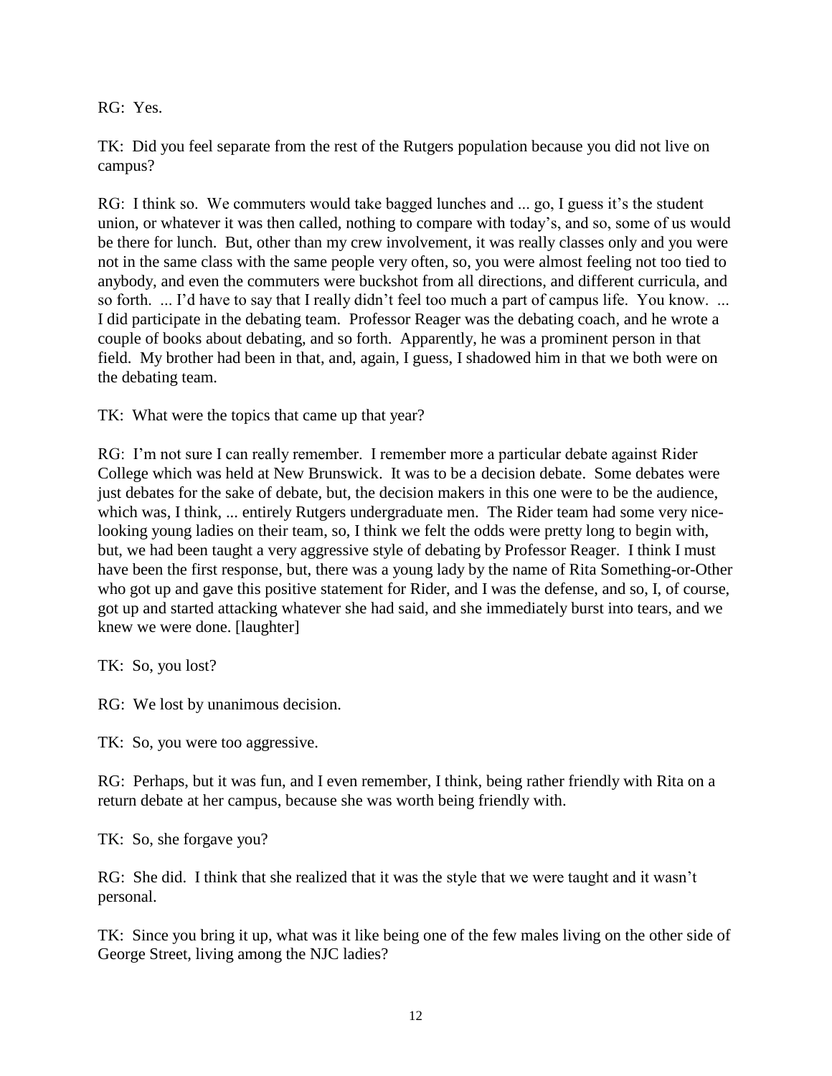RG: Yes.

TK: Did you feel separate from the rest of the Rutgers population because you did not live on campus?

RG: I think so. We commuters would take bagged lunches and ... go, I guess it's the student union, or whatever it was then called, nothing to compare with today's, and so, some of us would be there for lunch. But, other than my crew involvement, it was really classes only and you were not in the same class with the same people very often, so, you were almost feeling not too tied to anybody, and even the commuters were buckshot from all directions, and different curricula, and so forth. ... I'd have to say that I really didn't feel too much a part of campus life. You know. ... I did participate in the debating team. Professor Reager was the debating coach, and he wrote a couple of books about debating, and so forth. Apparently, he was a prominent person in that field. My brother had been in that, and, again, I guess, I shadowed him in that we both were on the debating team.

TK: What were the topics that came up that year?

RG: I'm not sure I can really remember. I remember more a particular debate against Rider College which was held at New Brunswick. It was to be a decision debate. Some debates were just debates for the sake of debate, but, the decision makers in this one were to be the audience, which was, I think, ... entirely Rutgers undergraduate men. The Rider team had some very nicelooking young ladies on their team, so, I think we felt the odds were pretty long to begin with, but, we had been taught a very aggressive style of debating by Professor Reager. I think I must have been the first response, but, there was a young lady by the name of Rita Something-or-Other who got up and gave this positive statement for Rider, and I was the defense, and so, I, of course, got up and started attacking whatever she had said, and she immediately burst into tears, and we knew we were done. [laughter]

TK: So, you lost?

RG: We lost by unanimous decision.

TK: So, you were too aggressive.

RG: Perhaps, but it was fun, and I even remember, I think, being rather friendly with Rita on a return debate at her campus, because she was worth being friendly with.

TK: So, she forgave you?

RG: She did. I think that she realized that it was the style that we were taught and it wasn't personal.

TK: Since you bring it up, what was it like being one of the few males living on the other side of George Street, living among the NJC ladies?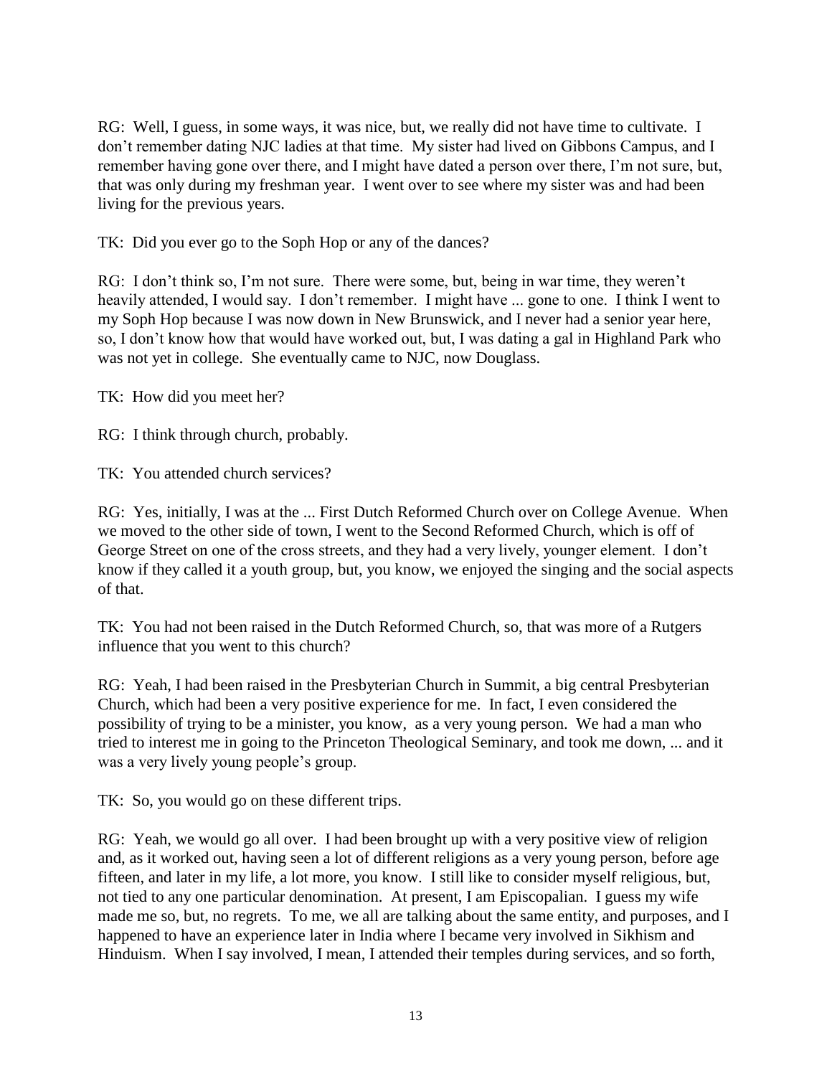RG: Well, I guess, in some ways, it was nice, but, we really did not have time to cultivate. I don't remember dating NJC ladies at that time. My sister had lived on Gibbons Campus, and I remember having gone over there, and I might have dated a person over there, I'm not sure, but, that was only during my freshman year. I went over to see where my sister was and had been living for the previous years.

TK: Did you ever go to the Soph Hop or any of the dances?

RG: I don't think so, I'm not sure. There were some, but, being in war time, they weren't heavily attended, I would say. I don't remember. I might have ... gone to one. I think I went to my Soph Hop because I was now down in New Brunswick, and I never had a senior year here, so, I don't know how that would have worked out, but, I was dating a gal in Highland Park who was not yet in college. She eventually came to NJC, now Douglass.

TK: How did you meet her?

RG: I think through church, probably.

TK: You attended church services?

RG: Yes, initially, I was at the ... First Dutch Reformed Church over on College Avenue. When we moved to the other side of town, I went to the Second Reformed Church, which is off of George Street on one of the cross streets, and they had a very lively, younger element. I don't know if they called it a youth group, but, you know, we enjoyed the singing and the social aspects of that.

TK: You had not been raised in the Dutch Reformed Church, so, that was more of a Rutgers influence that you went to this church?

RG: Yeah, I had been raised in the Presbyterian Church in Summit, a big central Presbyterian Church, which had been a very positive experience for me. In fact, I even considered the possibility of trying to be a minister, you know, as a very young person. We had a man who tried to interest me in going to the Princeton Theological Seminary, and took me down, ... and it was a very lively young people's group.

TK: So, you would go on these different trips.

RG: Yeah, we would go all over. I had been brought up with a very positive view of religion and, as it worked out, having seen a lot of different religions as a very young person, before age fifteen, and later in my life, a lot more, you know. I still like to consider myself religious, but, not tied to any one particular denomination. At present, I am Episcopalian. I guess my wife made me so, but, no regrets. To me, we all are talking about the same entity, and purposes, and I happened to have an experience later in India where I became very involved in Sikhism and Hinduism. When I say involved, I mean, I attended their temples during services, and so forth,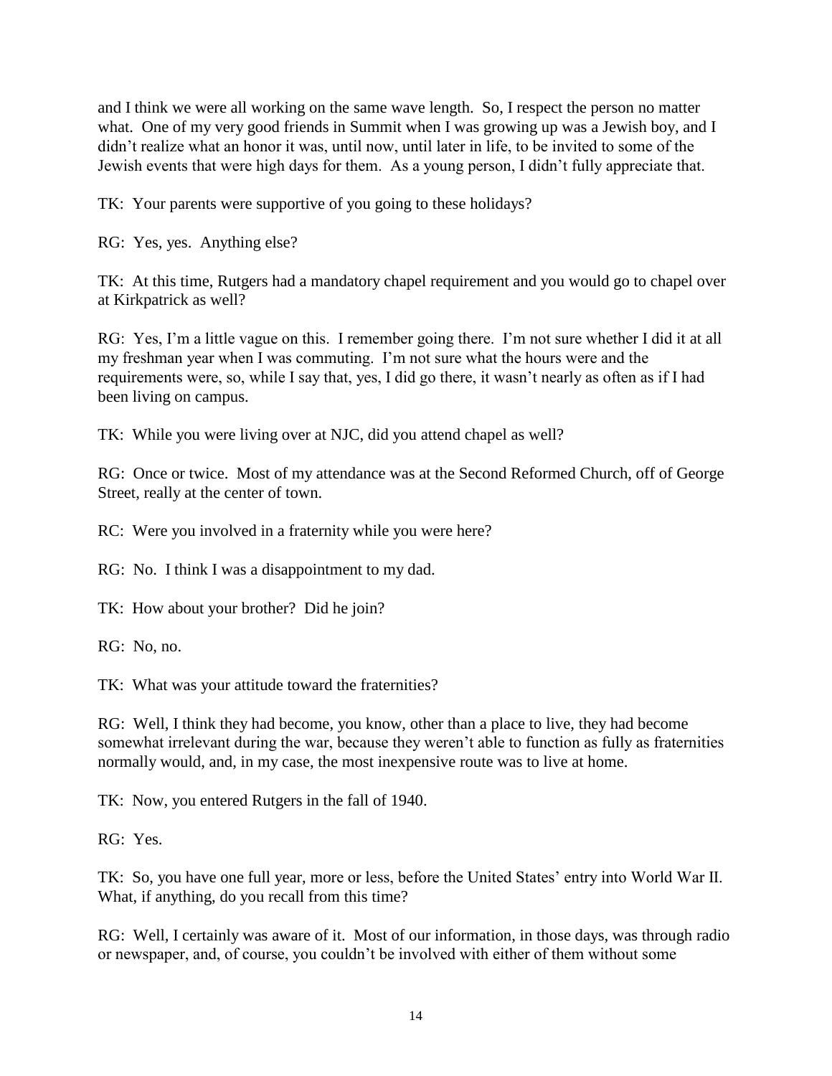and I think we were all working on the same wave length. So, I respect the person no matter what. One of my very good friends in Summit when I was growing up was a Jewish boy, and I didn't realize what an honor it was, until now, until later in life, to be invited to some of the Jewish events that were high days for them. As a young person, I didn't fully appreciate that.

TK: Your parents were supportive of you going to these holidays?

RG: Yes, yes. Anything else?

TK: At this time, Rutgers had a mandatory chapel requirement and you would go to chapel over at Kirkpatrick as well?

RG: Yes, I'm a little vague on this. I remember going there. I'm not sure whether I did it at all my freshman year when I was commuting. I'm not sure what the hours were and the requirements were, so, while I say that, yes, I did go there, it wasn't nearly as often as if I had been living on campus.

TK: While you were living over at NJC, did you attend chapel as well?

RG: Once or twice. Most of my attendance was at the Second Reformed Church, off of George Street, really at the center of town.

RC: Were you involved in a fraternity while you were here?

RG: No. I think I was a disappointment to my dad.

TK: How about your brother? Did he join?

RG: No, no.

TK: What was your attitude toward the fraternities?

RG: Well, I think they had become, you know, other than a place to live, they had become somewhat irrelevant during the war, because they weren't able to function as fully as fraternities normally would, and, in my case, the most inexpensive route was to live at home.

TK: Now, you entered Rutgers in the fall of 1940.

RG: Yes.

TK: So, you have one full year, more or less, before the United States' entry into World War II. What, if anything, do you recall from this time?

RG: Well, I certainly was aware of it. Most of our information, in those days, was through radio or newspaper, and, of course, you couldn't be involved with either of them without some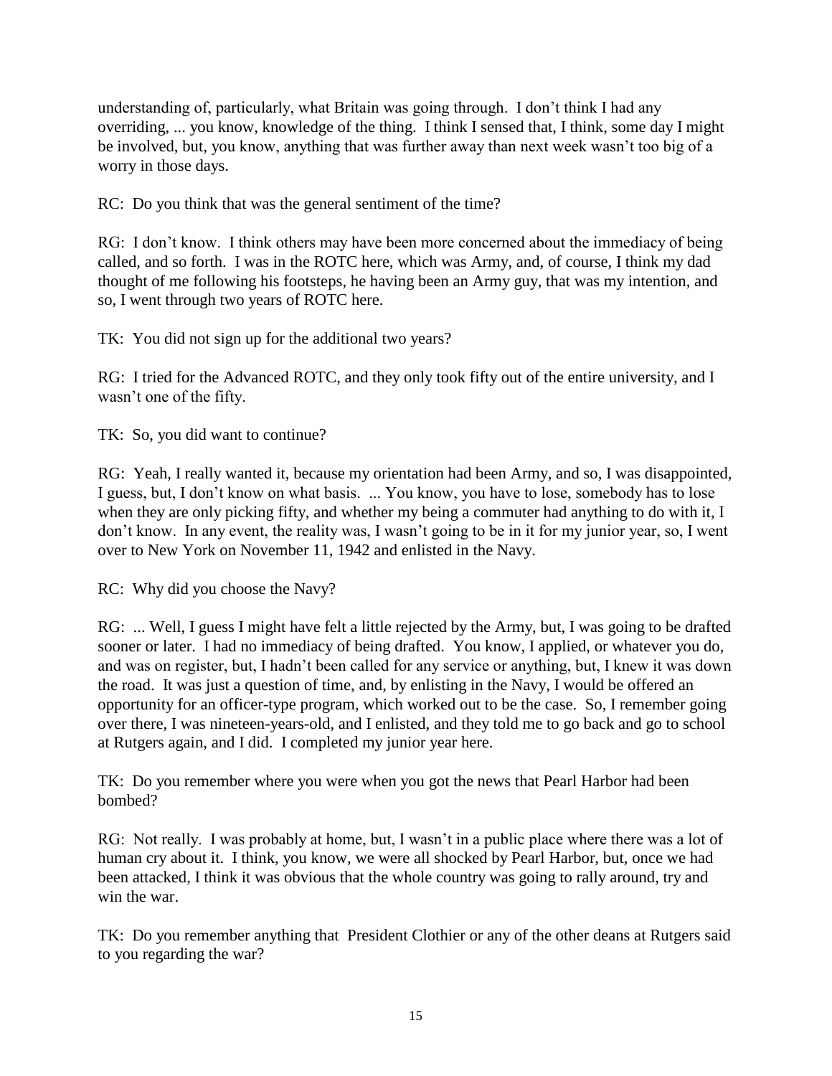understanding of, particularly, what Britain was going through. I don't think I had any overriding, ... you know, knowledge of the thing. I think I sensed that, I think, some day I might be involved, but, you know, anything that was further away than next week wasn't too big of a worry in those days.

RC: Do you think that was the general sentiment of the time?

RG: I don't know. I think others may have been more concerned about the immediacy of being called, and so forth. I was in the ROTC here, which was Army, and, of course, I think my dad thought of me following his footsteps, he having been an Army guy, that was my intention, and so, I went through two years of ROTC here.

TK: You did not sign up for the additional two years?

RG: I tried for the Advanced ROTC, and they only took fifty out of the entire university, and I wasn't one of the fifty.

TK: So, you did want to continue?

RG: Yeah, I really wanted it, because my orientation had been Army, and so, I was disappointed, I guess, but, I don't know on what basis. ... You know, you have to lose, somebody has to lose when they are only picking fifty, and whether my being a commuter had anything to do with it, I don't know. In any event, the reality was, I wasn't going to be in it for my junior year, so, I went over to New York on November 11, 1942 and enlisted in the Navy.

RC: Why did you choose the Navy?

RG: ... Well, I guess I might have felt a little rejected by the Army, but, I was going to be drafted sooner or later. I had no immediacy of being drafted. You know, I applied, or whatever you do, and was on register, but, I hadn't been called for any service or anything, but, I knew it was down the road. It was just a question of time, and, by enlisting in the Navy, I would be offered an opportunity for an officer-type program, which worked out to be the case. So, I remember going over there, I was nineteen-years-old, and I enlisted, and they told me to go back and go to school at Rutgers again, and I did. I completed my junior year here.

TK: Do you remember where you were when you got the news that Pearl Harbor had been bombed?

RG: Not really. I was probably at home, but, I wasn't in a public place where there was a lot of human cry about it. I think, you know, we were all shocked by Pearl Harbor, but, once we had been attacked, I think it was obvious that the whole country was going to rally around, try and win the war.

TK: Do you remember anything that President Clothier or any of the other deans at Rutgers said to you regarding the war?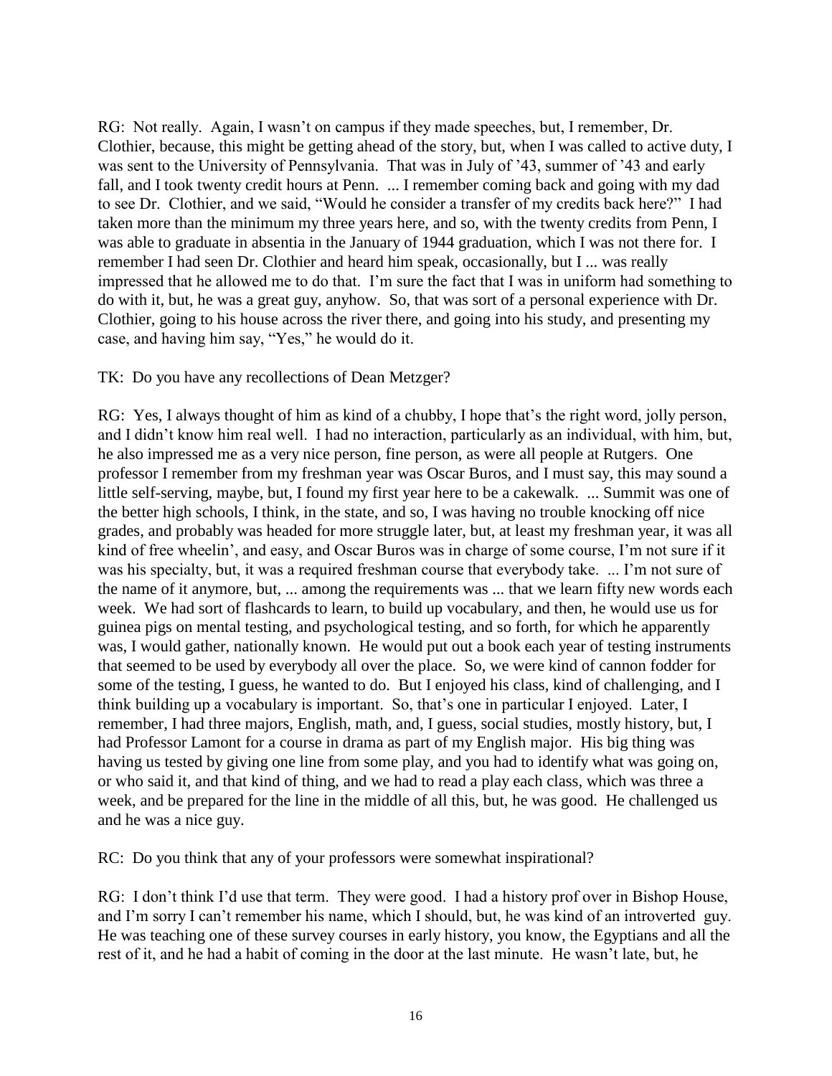RG: Not really. Again, I wasn't on campus if they made speeches, but, I remember, Dr. Clothier, because, this might be getting ahead of the story, but, when I was called to active duty, I was sent to the University of Pennsylvania. That was in July of '43, summer of '43 and early fall, and I took twenty credit hours at Penn. ... I remember coming back and going with my dad to see Dr. Clothier, and we said, "Would he consider a transfer of my credits back here?" I had taken more than the minimum my three years here, and so, with the twenty credits from Penn, I was able to graduate in absentia in the January of 1944 graduation, which I was not there for. I remember I had seen Dr. Clothier and heard him speak, occasionally, but I ... was really impressed that he allowed me to do that. I'm sure the fact that I was in uniform had something to do with it, but, he was a great guy, anyhow. So, that was sort of a personal experience with Dr. Clothier, going to his house across the river there, and going into his study, and presenting my case, and having him say, "Yes," he would do it.

### TK: Do you have any recollections of Dean Metzger?

RG: Yes, I always thought of him as kind of a chubby, I hope that's the right word, jolly person, and I didn't know him real well. I had no interaction, particularly as an individual, with him, but, he also impressed me as a very nice person, fine person, as were all people at Rutgers. One professor I remember from my freshman year was Oscar Buros, and I must say, this may sound a little self-serving, maybe, but, I found my first year here to be a cakewalk. ... Summit was one of the better high schools, I think, in the state, and so, I was having no trouble knocking off nice grades, and probably was headed for more struggle later, but, at least my freshman year, it was all kind of free wheelin', and easy, and Oscar Buros was in charge of some course, I'm not sure if it was his specialty, but, it was a required freshman course that everybody take. ... I'm not sure of the name of it anymore, but, ... among the requirements was ... that we learn fifty new words each week. We had sort of flashcards to learn, to build up vocabulary, and then, he would use us for guinea pigs on mental testing, and psychological testing, and so forth, for which he apparently was, I would gather, nationally known. He would put out a book each year of testing instruments that seemed to be used by everybody all over the place. So, we were kind of cannon fodder for some of the testing, I guess, he wanted to do. But I enjoyed his class, kind of challenging, and I think building up a vocabulary is important. So, that's one in particular I enjoyed. Later, I remember, I had three majors, English, math, and, I guess, social studies, mostly history, but, I had Professor Lamont for a course in drama as part of my English major. His big thing was having us tested by giving one line from some play, and you had to identify what was going on, or who said it, and that kind of thing, and we had to read a play each class, which was three a week, and be prepared for the line in the middle of all this, but, he was good. He challenged us and he was a nice guy.

RC: Do you think that any of your professors were somewhat inspirational?

RG: I don't think I'd use that term. They were good. I had a history prof over in Bishop House, and I'm sorry I can't remember his name, which I should, but, he was kind of an introverted guy. He was teaching one of these survey courses in early history, you know, the Egyptians and all the rest of it, and he had a habit of coming in the door at the last minute. He wasn't late, but, he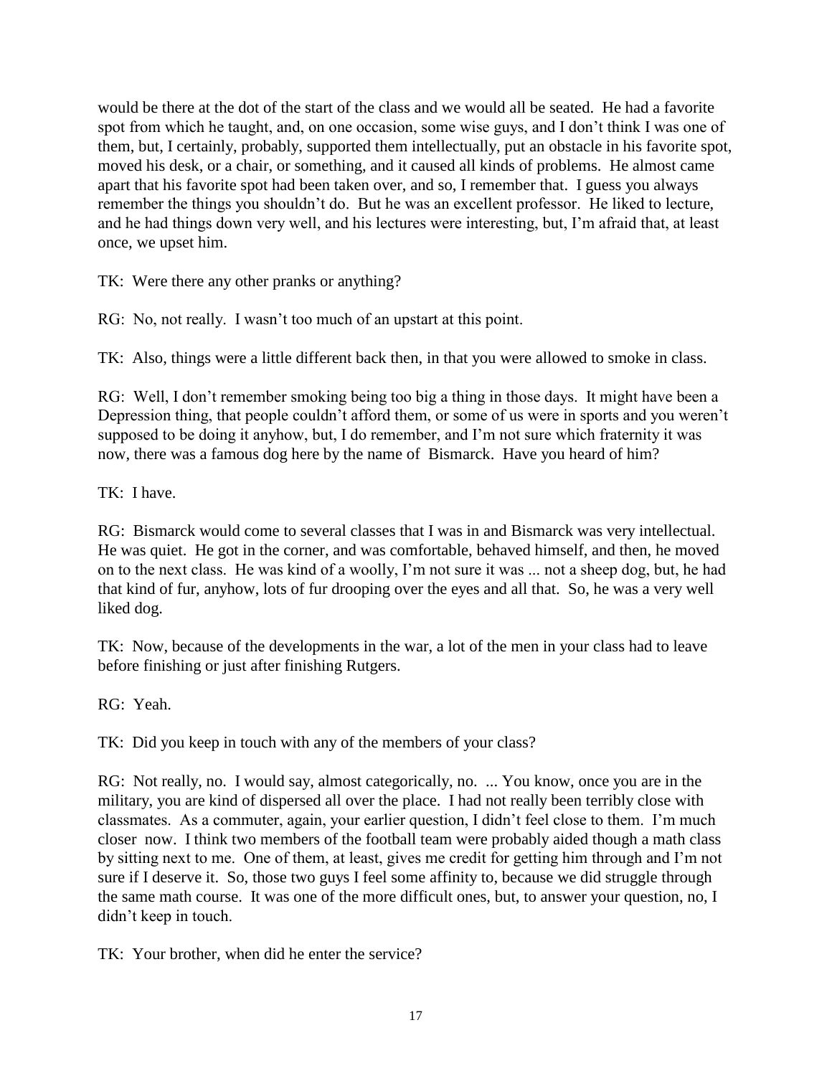would be there at the dot of the start of the class and we would all be seated. He had a favorite spot from which he taught, and, on one occasion, some wise guys, and I don't think I was one of them, but, I certainly, probably, supported them intellectually, put an obstacle in his favorite spot, moved his desk, or a chair, or something, and it caused all kinds of problems. He almost came apart that his favorite spot had been taken over, and so, I remember that. I guess you always remember the things you shouldn't do. But he was an excellent professor. He liked to lecture, and he had things down very well, and his lectures were interesting, but, I'm afraid that, at least once, we upset him.

TK: Were there any other pranks or anything?

RG: No, not really. I wasn't too much of an upstart at this point.

TK: Also, things were a little different back then, in that you were allowed to smoke in class.

RG: Well, I don't remember smoking being too big a thing in those days. It might have been a Depression thing, that people couldn't afford them, or some of us were in sports and you weren't supposed to be doing it anyhow, but, I do remember, and I'm not sure which fraternity it was now, there was a famous dog here by the name of Bismarck. Have you heard of him?

TK: I have.

RG: Bismarck would come to several classes that I was in and Bismarck was very intellectual. He was quiet. He got in the corner, and was comfortable, behaved himself, and then, he moved on to the next class. He was kind of a woolly, I'm not sure it was ... not a sheep dog, but, he had that kind of fur, anyhow, lots of fur drooping over the eyes and all that. So, he was a very well liked dog.

TK: Now, because of the developments in the war, a lot of the men in your class had to leave before finishing or just after finishing Rutgers.

RG: Yeah.

TK: Did you keep in touch with any of the members of your class?

RG: Not really, no. I would say, almost categorically, no. ... You know, once you are in the military, you are kind of dispersed all over the place. I had not really been terribly close with classmates. As a commuter, again, your earlier question, I didn't feel close to them. I'm much closer now. I think two members of the football team were probably aided though a math class by sitting next to me. One of them, at least, gives me credit for getting him through and I'm not sure if I deserve it. So, those two guys I feel some affinity to, because we did struggle through the same math course. It was one of the more difficult ones, but, to answer your question, no, I didn't keep in touch.

TK: Your brother, when did he enter the service?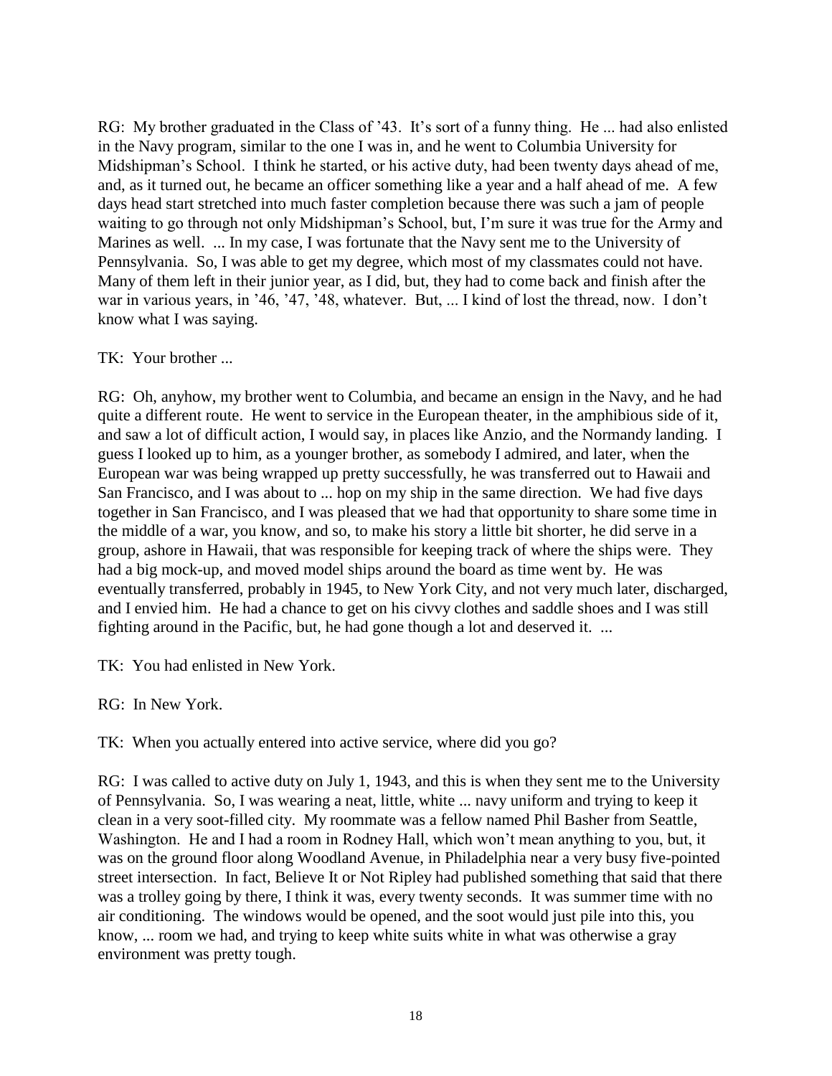RG: My brother graduated in the Class of '43. It's sort of a funny thing. He ... had also enlisted in the Navy program, similar to the one I was in, and he went to Columbia University for Midshipman's School. I think he started, or his active duty, had been twenty days ahead of me, and, as it turned out, he became an officer something like a year and a half ahead of me. A few days head start stretched into much faster completion because there was such a jam of people waiting to go through not only Midshipman's School, but, I'm sure it was true for the Army and Marines as well. ... In my case, I was fortunate that the Navy sent me to the University of Pennsylvania. So, I was able to get my degree, which most of my classmates could not have. Many of them left in their junior year, as I did, but, they had to come back and finish after the war in various years, in '46, '47, '48, whatever. But, ... I kind of lost the thread, now. I don't know what I was saying.

### TK: Your brother ...

RG: Oh, anyhow, my brother went to Columbia, and became an ensign in the Navy, and he had quite a different route. He went to service in the European theater, in the amphibious side of it, and saw a lot of difficult action, I would say, in places like Anzio, and the Normandy landing. I guess I looked up to him, as a younger brother, as somebody I admired, and later, when the European war was being wrapped up pretty successfully, he was transferred out to Hawaii and San Francisco, and I was about to ... hop on my ship in the same direction. We had five days together in San Francisco, and I was pleased that we had that opportunity to share some time in the middle of a war, you know, and so, to make his story a little bit shorter, he did serve in a group, ashore in Hawaii, that was responsible for keeping track of where the ships were. They had a big mock-up, and moved model ships around the board as time went by. He was eventually transferred, probably in 1945, to New York City, and not very much later, discharged, and I envied him. He had a chance to get on his civvy clothes and saddle shoes and I was still fighting around in the Pacific, but, he had gone though a lot and deserved it. ...

TK: You had enlisted in New York.

RG: In New York.

TK: When you actually entered into active service, where did you go?

RG: I was called to active duty on July 1, 1943, and this is when they sent me to the University of Pennsylvania. So, I was wearing a neat, little, white ... navy uniform and trying to keep it clean in a very soot-filled city. My roommate was a fellow named Phil Basher from Seattle, Washington. He and I had a room in Rodney Hall, which won't mean anything to you, but, it was on the ground floor along Woodland Avenue, in Philadelphia near a very busy five-pointed street intersection. In fact, Believe It or Not Ripley had published something that said that there was a trolley going by there, I think it was, every twenty seconds. It was summer time with no air conditioning. The windows would be opened, and the soot would just pile into this, you know, ... room we had, and trying to keep white suits white in what was otherwise a gray environment was pretty tough.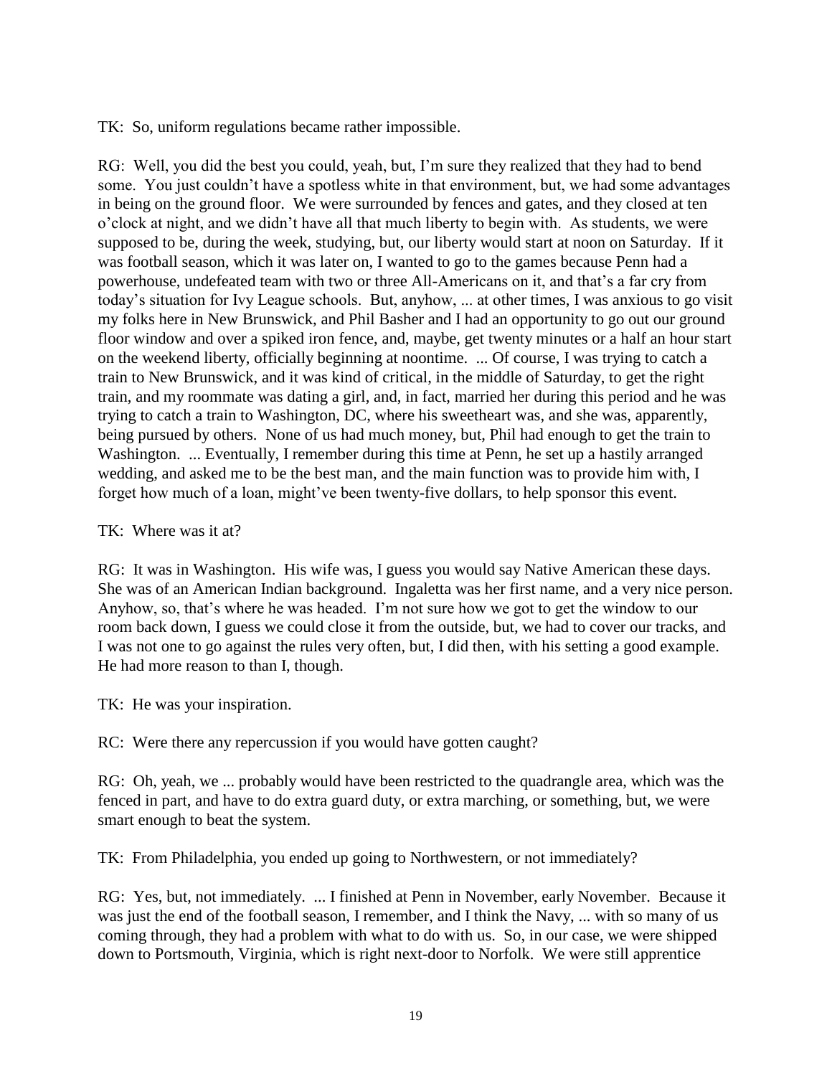TK: So, uniform regulations became rather impossible.

RG: Well, you did the best you could, yeah, but, I'm sure they realized that they had to bend some. You just couldn't have a spotless white in that environment, but, we had some advantages in being on the ground floor. We were surrounded by fences and gates, and they closed at ten o'clock at night, and we didn't have all that much liberty to begin with. As students, we were supposed to be, during the week, studying, but, our liberty would start at noon on Saturday. If it was football season, which it was later on, I wanted to go to the games because Penn had a powerhouse, undefeated team with two or three All-Americans on it, and that's a far cry from today's situation for Ivy League schools. But, anyhow, ... at other times, I was anxious to go visit my folks here in New Brunswick, and Phil Basher and I had an opportunity to go out our ground floor window and over a spiked iron fence, and, maybe, get twenty minutes or a half an hour start on the weekend liberty, officially beginning at noontime. ... Of course, I was trying to catch a train to New Brunswick, and it was kind of critical, in the middle of Saturday, to get the right train, and my roommate was dating a girl, and, in fact, married her during this period and he was trying to catch a train to Washington, DC, where his sweetheart was, and she was, apparently, being pursued by others. None of us had much money, but, Phil had enough to get the train to Washington. ... Eventually, I remember during this time at Penn, he set up a hastily arranged wedding, and asked me to be the best man, and the main function was to provide him with, I forget how much of a loan, might've been twenty-five dollars, to help sponsor this event.

### TK: Where was it at?

RG: It was in Washington. His wife was, I guess you would say Native American these days. She was of an American Indian background. Ingaletta was her first name, and a very nice person. Anyhow, so, that's where he was headed. I'm not sure how we got to get the window to our room back down, I guess we could close it from the outside, but, we had to cover our tracks, and I was not one to go against the rules very often, but, I did then, with his setting a good example. He had more reason to than I, though.

TK: He was your inspiration.

RC: Were there any repercussion if you would have gotten caught?

RG: Oh, yeah, we ... probably would have been restricted to the quadrangle area, which was the fenced in part, and have to do extra guard duty, or extra marching, or something, but, we were smart enough to beat the system.

TK: From Philadelphia, you ended up going to Northwestern, or not immediately?

RG: Yes, but, not immediately. ... I finished at Penn in November, early November. Because it was just the end of the football season, I remember, and I think the Navy, ... with so many of us coming through, they had a problem with what to do with us. So, in our case, we were shipped down to Portsmouth, Virginia, which is right next-door to Norfolk. We were still apprentice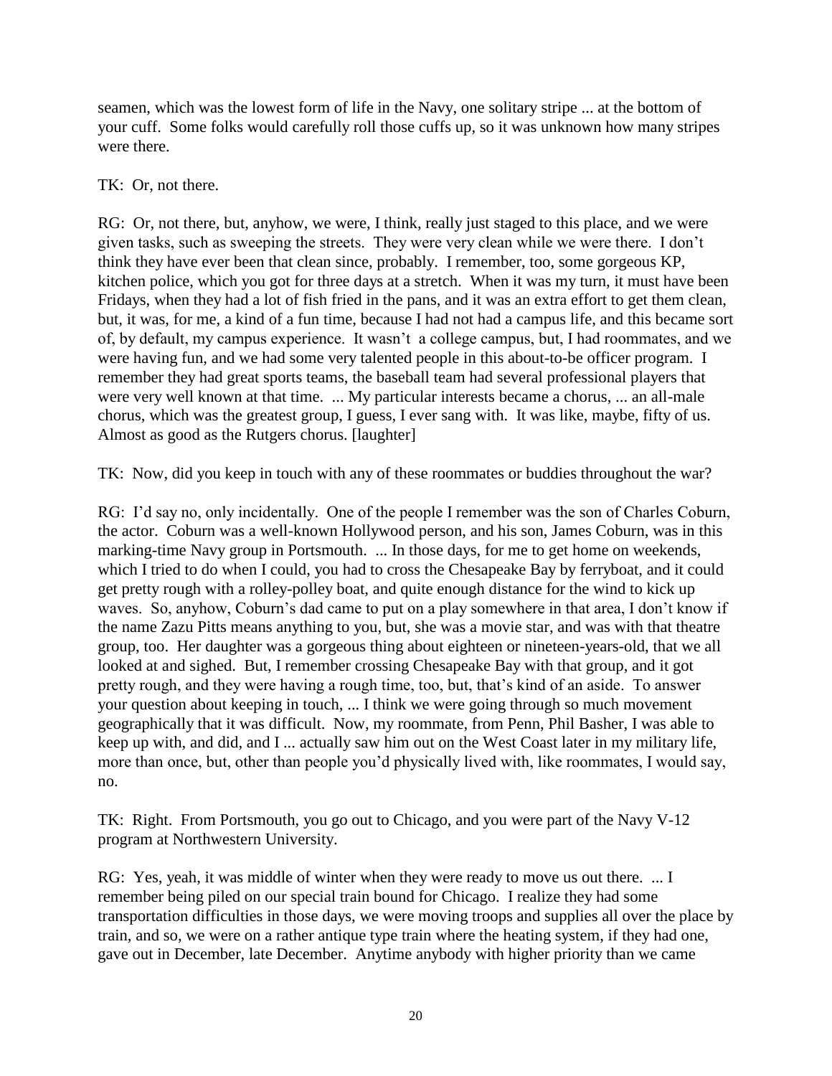seamen, which was the lowest form of life in the Navy, one solitary stripe ... at the bottom of your cuff. Some folks would carefully roll those cuffs up, so it was unknown how many stripes were there.

### TK: Or, not there.

RG: Or, not there, but, anyhow, we were, I think, really just staged to this place, and we were given tasks, such as sweeping the streets. They were very clean while we were there. I don't think they have ever been that clean since, probably. I remember, too, some gorgeous KP, kitchen police, which you got for three days at a stretch. When it was my turn, it must have been Fridays, when they had a lot of fish fried in the pans, and it was an extra effort to get them clean, but, it was, for me, a kind of a fun time, because I had not had a campus life, and this became sort of, by default, my campus experience. It wasn't a college campus, but, I had roommates, and we were having fun, and we had some very talented people in this about-to-be officer program. I remember they had great sports teams, the baseball team had several professional players that were very well known at that time. ... My particular interests became a chorus, ... an all-male chorus, which was the greatest group, I guess, I ever sang with. It was like, maybe, fifty of us. Almost as good as the Rutgers chorus. [laughter]

TK: Now, did you keep in touch with any of these roommates or buddies throughout the war?

RG: I'd say no, only incidentally. One of the people I remember was the son of Charles Coburn, the actor. Coburn was a well-known Hollywood person, and his son, James Coburn, was in this marking-time Navy group in Portsmouth. ... In those days, for me to get home on weekends, which I tried to do when I could, you had to cross the Chesapeake Bay by ferryboat, and it could get pretty rough with a rolley-polley boat, and quite enough distance for the wind to kick up waves. So, anyhow, Coburn's dad came to put on a play somewhere in that area, I don't know if the name Zazu Pitts means anything to you, but, she was a movie star, and was with that theatre group, too. Her daughter was a gorgeous thing about eighteen or nineteen-years-old, that we all looked at and sighed. But, I remember crossing Chesapeake Bay with that group, and it got pretty rough, and they were having a rough time, too, but, that's kind of an aside. To answer your question about keeping in touch, ... I think we were going through so much movement geographically that it was difficult. Now, my roommate, from Penn, Phil Basher, I was able to keep up with, and did, and I ... actually saw him out on the West Coast later in my military life, more than once, but, other than people you'd physically lived with, like roommates, I would say, no.

TK: Right. From Portsmouth, you go out to Chicago, and you were part of the Navy V-12 program at Northwestern University.

RG: Yes, yeah, it was middle of winter when they were ready to move us out there. ... I remember being piled on our special train bound for Chicago. I realize they had some transportation difficulties in those days, we were moving troops and supplies all over the place by train, and so, we were on a rather antique type train where the heating system, if they had one, gave out in December, late December. Anytime anybody with higher priority than we came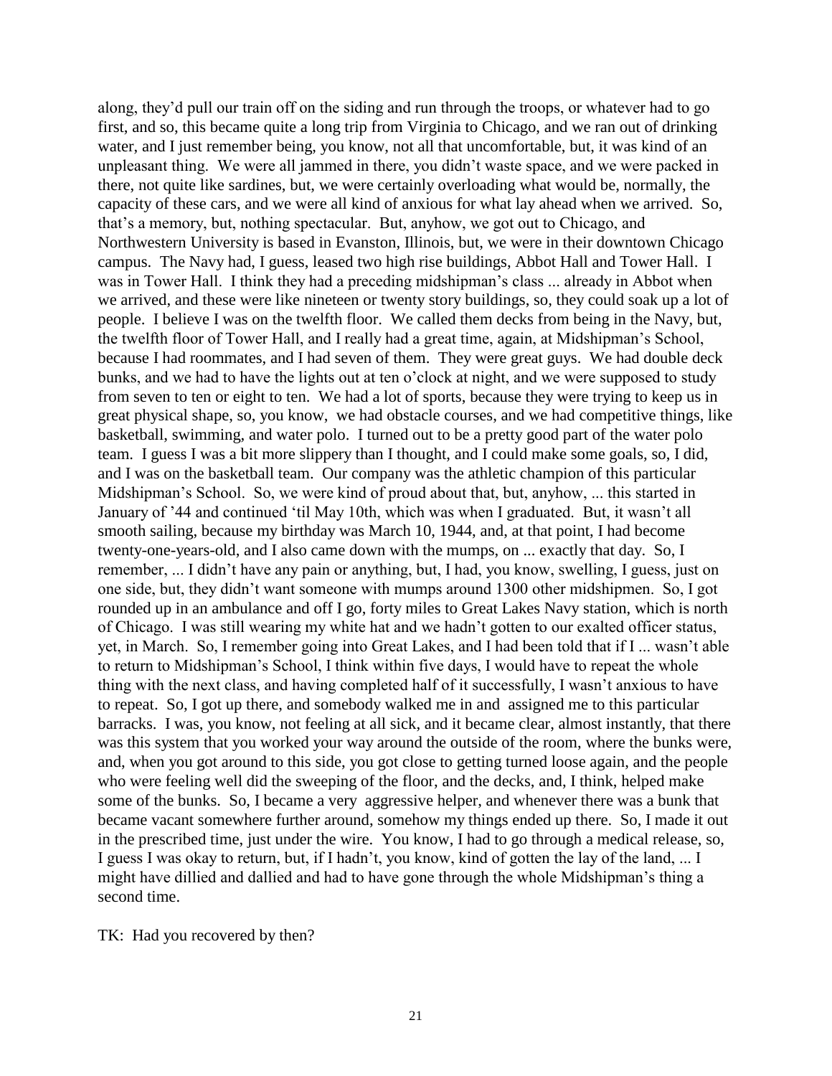along, they'd pull our train off on the siding and run through the troops, or whatever had to go first, and so, this became quite a long trip from Virginia to Chicago, and we ran out of drinking water, and I just remember being, you know, not all that uncomfortable, but, it was kind of an unpleasant thing. We were all jammed in there, you didn't waste space, and we were packed in there, not quite like sardines, but, we were certainly overloading what would be, normally, the capacity of these cars, and we were all kind of anxious for what lay ahead when we arrived. So, that's a memory, but, nothing spectacular. But, anyhow, we got out to Chicago, and Northwestern University is based in Evanston, Illinois, but, we were in their downtown Chicago campus. The Navy had, I guess, leased two high rise buildings, Abbot Hall and Tower Hall. I was in Tower Hall. I think they had a preceding midshipman's class ... already in Abbot when we arrived, and these were like nineteen or twenty story buildings, so, they could soak up a lot of people. I believe I was on the twelfth floor. We called them decks from being in the Navy, but, the twelfth floor of Tower Hall, and I really had a great time, again, at Midshipman's School, because I had roommates, and I had seven of them. They were great guys. We had double deck bunks, and we had to have the lights out at ten o'clock at night, and we were supposed to study from seven to ten or eight to ten. We had a lot of sports, because they were trying to keep us in great physical shape, so, you know, we had obstacle courses, and we had competitive things, like basketball, swimming, and water polo. I turned out to be a pretty good part of the water polo team. I guess I was a bit more slippery than I thought, and I could make some goals, so, I did, and I was on the basketball team. Our company was the athletic champion of this particular Midshipman's School. So, we were kind of proud about that, but, anyhow, ... this started in January of '44 and continued 'til May 10th, which was when I graduated. But, it wasn't all smooth sailing, because my birthday was March 10, 1944, and, at that point, I had become twenty-one-years-old, and I also came down with the mumps, on ... exactly that day. So, I remember, ... I didn't have any pain or anything, but, I had, you know, swelling, I guess, just on one side, but, they didn't want someone with mumps around 1300 other midshipmen. So, I got rounded up in an ambulance and off I go, forty miles to Great Lakes Navy station, which is north of Chicago. I was still wearing my white hat and we hadn't gotten to our exalted officer status, yet, in March. So, I remember going into Great Lakes, and I had been told that if I ... wasn't able to return to Midshipman's School, I think within five days, I would have to repeat the whole thing with the next class, and having completed half of it successfully, I wasn't anxious to have to repeat. So, I got up there, and somebody walked me in and assigned me to this particular barracks. I was, you know, not feeling at all sick, and it became clear, almost instantly, that there was this system that you worked your way around the outside of the room, where the bunks were, and, when you got around to this side, you got close to getting turned loose again, and the people who were feeling well did the sweeping of the floor, and the decks, and, I think, helped make some of the bunks. So, I became a very aggressive helper, and whenever there was a bunk that became vacant somewhere further around, somehow my things ended up there. So, I made it out in the prescribed time, just under the wire. You know, I had to go through a medical release, so, I guess I was okay to return, but, if I hadn't, you know, kind of gotten the lay of the land, ... I might have dillied and dallied and had to have gone through the whole Midshipman's thing a second time.

TK: Had you recovered by then?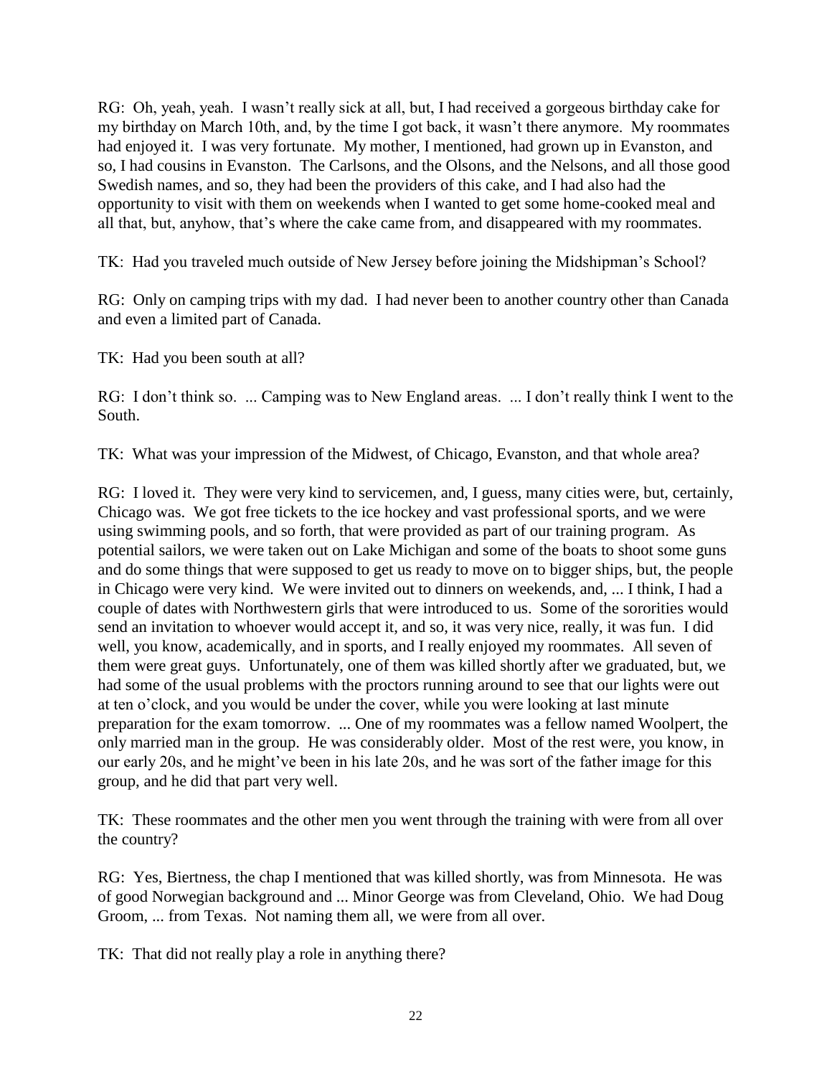RG: Oh, yeah, yeah. I wasn't really sick at all, but, I had received a gorgeous birthday cake for my birthday on March 10th, and, by the time I got back, it wasn't there anymore. My roommates had enjoyed it. I was very fortunate. My mother, I mentioned, had grown up in Evanston, and so, I had cousins in Evanston. The Carlsons, and the Olsons, and the Nelsons, and all those good Swedish names, and so, they had been the providers of this cake, and I had also had the opportunity to visit with them on weekends when I wanted to get some home-cooked meal and all that, but, anyhow, that's where the cake came from, and disappeared with my roommates.

TK: Had you traveled much outside of New Jersey before joining the Midshipman's School?

RG: Only on camping trips with my dad. I had never been to another country other than Canada and even a limited part of Canada.

TK: Had you been south at all?

RG: I don't think so. ... Camping was to New England areas. ... I don't really think I went to the South.

TK: What was your impression of the Midwest, of Chicago, Evanston, and that whole area?

RG: I loved it. They were very kind to servicemen, and, I guess, many cities were, but, certainly, Chicago was. We got free tickets to the ice hockey and vast professional sports, and we were using swimming pools, and so forth, that were provided as part of our training program. As potential sailors, we were taken out on Lake Michigan and some of the boats to shoot some guns and do some things that were supposed to get us ready to move on to bigger ships, but, the people in Chicago were very kind. We were invited out to dinners on weekends, and, ... I think, I had a couple of dates with Northwestern girls that were introduced to us. Some of the sororities would send an invitation to whoever would accept it, and so, it was very nice, really, it was fun. I did well, you know, academically, and in sports, and I really enjoyed my roommates. All seven of them were great guys. Unfortunately, one of them was killed shortly after we graduated, but, we had some of the usual problems with the proctors running around to see that our lights were out at ten o'clock, and you would be under the cover, while you were looking at last minute preparation for the exam tomorrow. ... One of my roommates was a fellow named Woolpert, the only married man in the group. He was considerably older. Most of the rest were, you know, in our early 20s, and he might've been in his late 20s, and he was sort of the father image for this group, and he did that part very well.

TK: These roommates and the other men you went through the training with were from all over the country?

RG: Yes, Biertness, the chap I mentioned that was killed shortly, was from Minnesota. He was of good Norwegian background and ... Minor George was from Cleveland, Ohio. We had Doug Groom, ... from Texas. Not naming them all, we were from all over.

TK: That did not really play a role in anything there?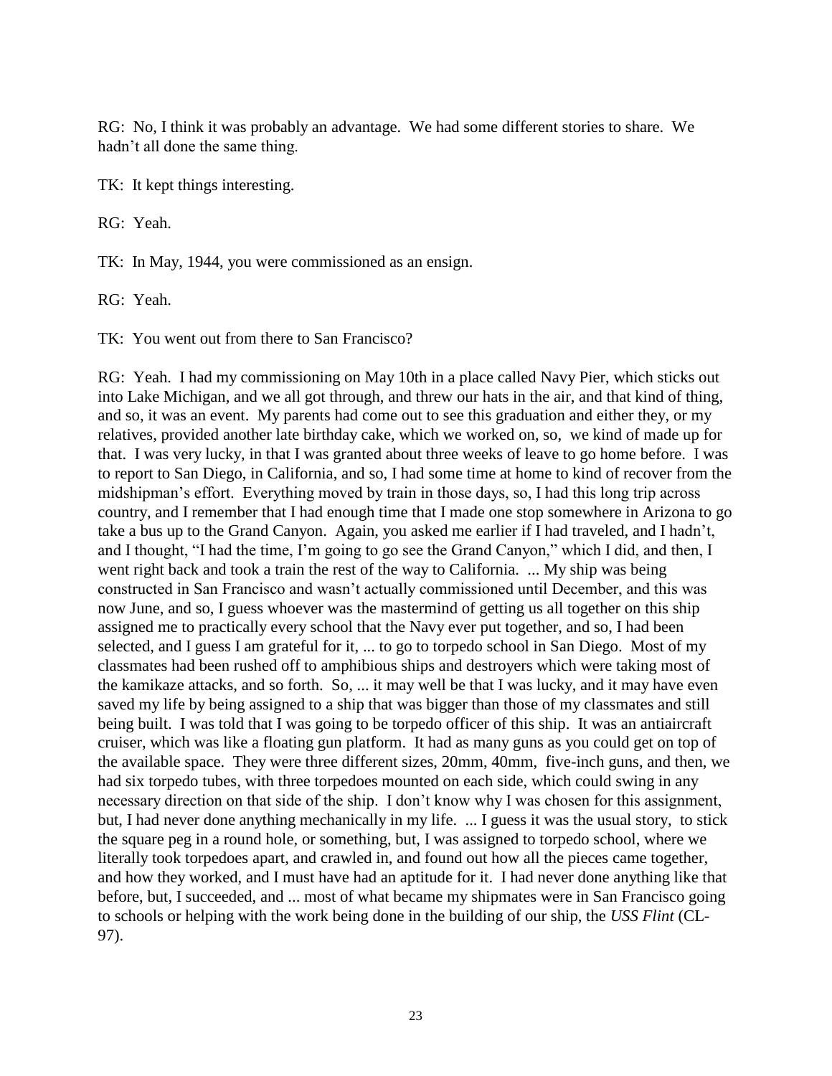RG: No, I think it was probably an advantage. We had some different stories to share. We hadn't all done the same thing.

TK: It kept things interesting.

RG: Yeah.

TK: In May, 1944, you were commissioned as an ensign.

RG: Yeah.

TK: You went out from there to San Francisco?

RG: Yeah. I had my commissioning on May 10th in a place called Navy Pier, which sticks out into Lake Michigan, and we all got through, and threw our hats in the air, and that kind of thing, and so, it was an event. My parents had come out to see this graduation and either they, or my relatives, provided another late birthday cake, which we worked on, so, we kind of made up for that. I was very lucky, in that I was granted about three weeks of leave to go home before. I was to report to San Diego, in California, and so, I had some time at home to kind of recover from the midshipman's effort. Everything moved by train in those days, so, I had this long trip across country, and I remember that I had enough time that I made one stop somewhere in Arizona to go take a bus up to the Grand Canyon. Again, you asked me earlier if I had traveled, and I hadn't, and I thought, "I had the time, I'm going to go see the Grand Canyon," which I did, and then, I went right back and took a train the rest of the way to California. ... My ship was being constructed in San Francisco and wasn't actually commissioned until December, and this was now June, and so, I guess whoever was the mastermind of getting us all together on this ship assigned me to practically every school that the Navy ever put together, and so, I had been selected, and I guess I am grateful for it, ... to go to torpedo school in San Diego. Most of my classmates had been rushed off to amphibious ships and destroyers which were taking most of the kamikaze attacks, and so forth. So, ... it may well be that I was lucky, and it may have even saved my life by being assigned to a ship that was bigger than those of my classmates and still being built. I was told that I was going to be torpedo officer of this ship. It was an antiaircraft cruiser, which was like a floating gun platform. It had as many guns as you could get on top of the available space. They were three different sizes, 20mm, 40mm, five-inch guns, and then, we had six torpedo tubes, with three torpedoes mounted on each side, which could swing in any necessary direction on that side of the ship. I don't know why I was chosen for this assignment, but, I had never done anything mechanically in my life. ... I guess it was the usual story, to stick the square peg in a round hole, or something, but, I was assigned to torpedo school, where we literally took torpedoes apart, and crawled in, and found out how all the pieces came together, and how they worked, and I must have had an aptitude for it. I had never done anything like that before, but, I succeeded, and ... most of what became my shipmates were in San Francisco going to schools or helping with the work being done in the building of our ship, the *USS Flint* (CL-97).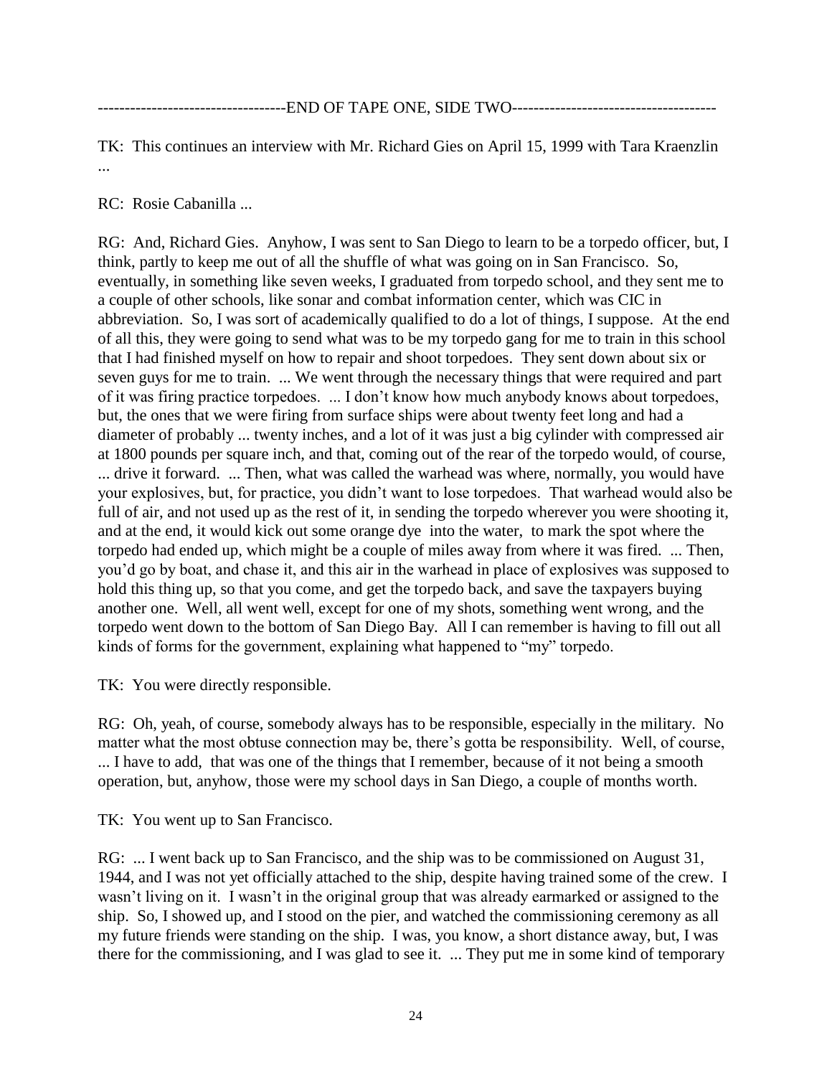TK: This continues an interview with Mr. Richard Gies on April 15, 1999 with Tara Kraenzlin ...

RC: Rosie Cabanilla ...

RG: And, Richard Gies. Anyhow, I was sent to San Diego to learn to be a torpedo officer, but, I think, partly to keep me out of all the shuffle of what was going on in San Francisco. So, eventually, in something like seven weeks, I graduated from torpedo school, and they sent me to a couple of other schools, like sonar and combat information center, which was CIC in abbreviation. So, I was sort of academically qualified to do a lot of things, I suppose. At the end of all this, they were going to send what was to be my torpedo gang for me to train in this school that I had finished myself on how to repair and shoot torpedoes. They sent down about six or seven guys for me to train. ... We went through the necessary things that were required and part of it was firing practice torpedoes. ... I don't know how much anybody knows about torpedoes, but, the ones that we were firing from surface ships were about twenty feet long and had a diameter of probably ... twenty inches, and a lot of it was just a big cylinder with compressed air at 1800 pounds per square inch, and that, coming out of the rear of the torpedo would, of course, ... drive it forward. ... Then, what was called the warhead was where, normally, you would have your explosives, but, for practice, you didn't want to lose torpedoes. That warhead would also be full of air, and not used up as the rest of it, in sending the torpedo wherever you were shooting it, and at the end, it would kick out some orange dye into the water, to mark the spot where the torpedo had ended up, which might be a couple of miles away from where it was fired. ... Then, you'd go by boat, and chase it, and this air in the warhead in place of explosives was supposed to hold this thing up, so that you come, and get the torpedo back, and save the taxpayers buying another one. Well, all went well, except for one of my shots, something went wrong, and the torpedo went down to the bottom of San Diego Bay. All I can remember is having to fill out all kinds of forms for the government, explaining what happened to "my" torpedo.

TK: You were directly responsible.

RG: Oh, yeah, of course, somebody always has to be responsible, especially in the military. No matter what the most obtuse connection may be, there's gotta be responsibility. Well, of course, ... I have to add, that was one of the things that I remember, because of it not being a smooth operation, but, anyhow, those were my school days in San Diego, a couple of months worth.

TK: You went up to San Francisco.

RG: ... I went back up to San Francisco, and the ship was to be commissioned on August 31, 1944, and I was not yet officially attached to the ship, despite having trained some of the crew. I wasn't living on it. I wasn't in the original group that was already earmarked or assigned to the ship. So, I showed up, and I stood on the pier, and watched the commissioning ceremony as all my future friends were standing on the ship. I was, you know, a short distance away, but, I was there for the commissioning, and I was glad to see it. ... They put me in some kind of temporary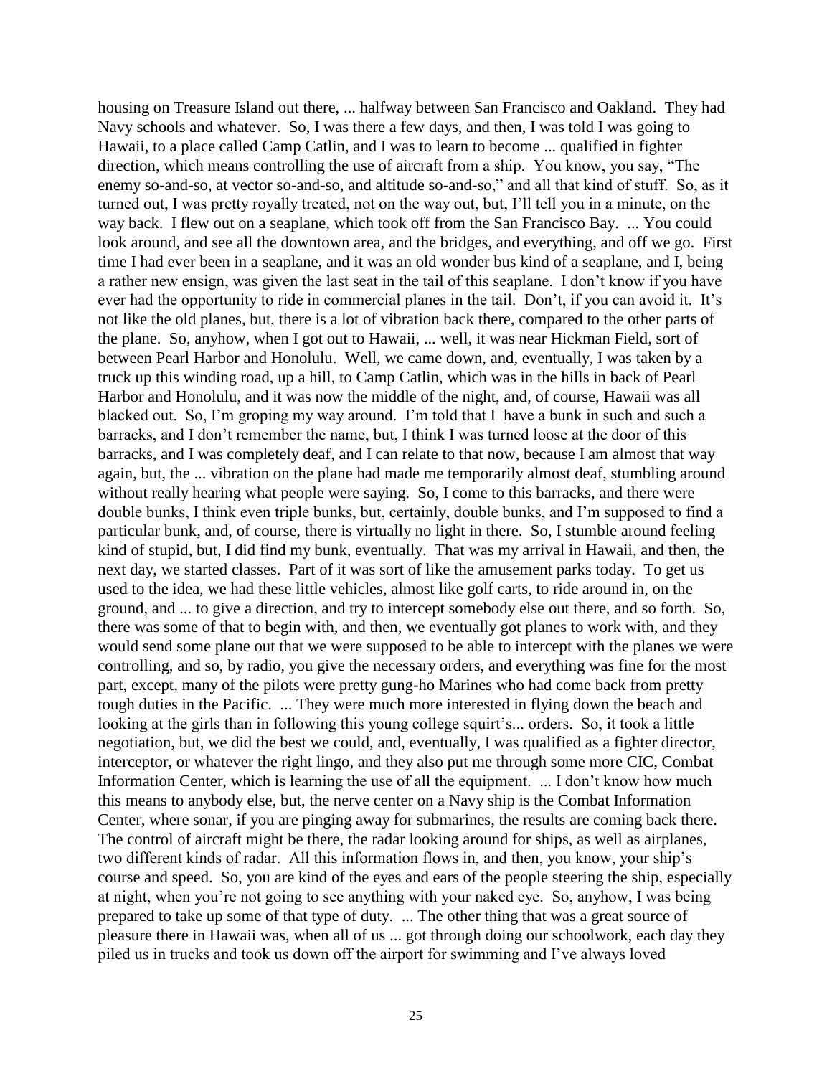housing on Treasure Island out there, ... halfway between San Francisco and Oakland. They had Navy schools and whatever. So, I was there a few days, and then, I was told I was going to Hawaii, to a place called Camp Catlin, and I was to learn to become ... qualified in fighter direction, which means controlling the use of aircraft from a ship. You know, you say, "The enemy so-and-so, at vector so-and-so, and altitude so-and-so," and all that kind of stuff. So, as it turned out, I was pretty royally treated, not on the way out, but, I'll tell you in a minute, on the way back. I flew out on a seaplane, which took off from the San Francisco Bay. ... You could look around, and see all the downtown area, and the bridges, and everything, and off we go. First time I had ever been in a seaplane, and it was an old wonder bus kind of a seaplane, and I, being a rather new ensign, was given the last seat in the tail of this seaplane. I don't know if you have ever had the opportunity to ride in commercial planes in the tail. Don't, if you can avoid it. It's not like the old planes, but, there is a lot of vibration back there, compared to the other parts of the plane. So, anyhow, when I got out to Hawaii, ... well, it was near Hickman Field, sort of between Pearl Harbor and Honolulu. Well, we came down, and, eventually, I was taken by a truck up this winding road, up a hill, to Camp Catlin, which was in the hills in back of Pearl Harbor and Honolulu, and it was now the middle of the night, and, of course, Hawaii was all blacked out. So, I'm groping my way around. I'm told that I have a bunk in such and such a barracks, and I don't remember the name, but, I think I was turned loose at the door of this barracks, and I was completely deaf, and I can relate to that now, because I am almost that way again, but, the ... vibration on the plane had made me temporarily almost deaf, stumbling around without really hearing what people were saying. So, I come to this barracks, and there were double bunks, I think even triple bunks, but, certainly, double bunks, and I'm supposed to find a particular bunk, and, of course, there is virtually no light in there. So, I stumble around feeling kind of stupid, but, I did find my bunk, eventually. That was my arrival in Hawaii, and then, the next day, we started classes. Part of it was sort of like the amusement parks today. To get us used to the idea, we had these little vehicles, almost like golf carts, to ride around in, on the ground, and ... to give a direction, and try to intercept somebody else out there, and so forth. So, there was some of that to begin with, and then, we eventually got planes to work with, and they would send some plane out that we were supposed to be able to intercept with the planes we were controlling, and so, by radio, you give the necessary orders, and everything was fine for the most part, except, many of the pilots were pretty gung-ho Marines who had come back from pretty tough duties in the Pacific. ... They were much more interested in flying down the beach and looking at the girls than in following this young college squirt's... orders. So, it took a little negotiation, but, we did the best we could, and, eventually, I was qualified as a fighter director, interceptor, or whatever the right lingo, and they also put me through some more CIC, Combat Information Center, which is learning the use of all the equipment. ... I don't know how much this means to anybody else, but, the nerve center on a Navy ship is the Combat Information Center, where sonar, if you are pinging away for submarines, the results are coming back there. The control of aircraft might be there, the radar looking around for ships, as well as airplanes, two different kinds of radar. All this information flows in, and then, you know, your ship's course and speed. So, you are kind of the eyes and ears of the people steering the ship, especially at night, when you're not going to see anything with your naked eye. So, anyhow, I was being prepared to take up some of that type of duty. ... The other thing that was a great source of pleasure there in Hawaii was, when all of us ... got through doing our schoolwork, each day they piled us in trucks and took us down off the airport for swimming and I've always loved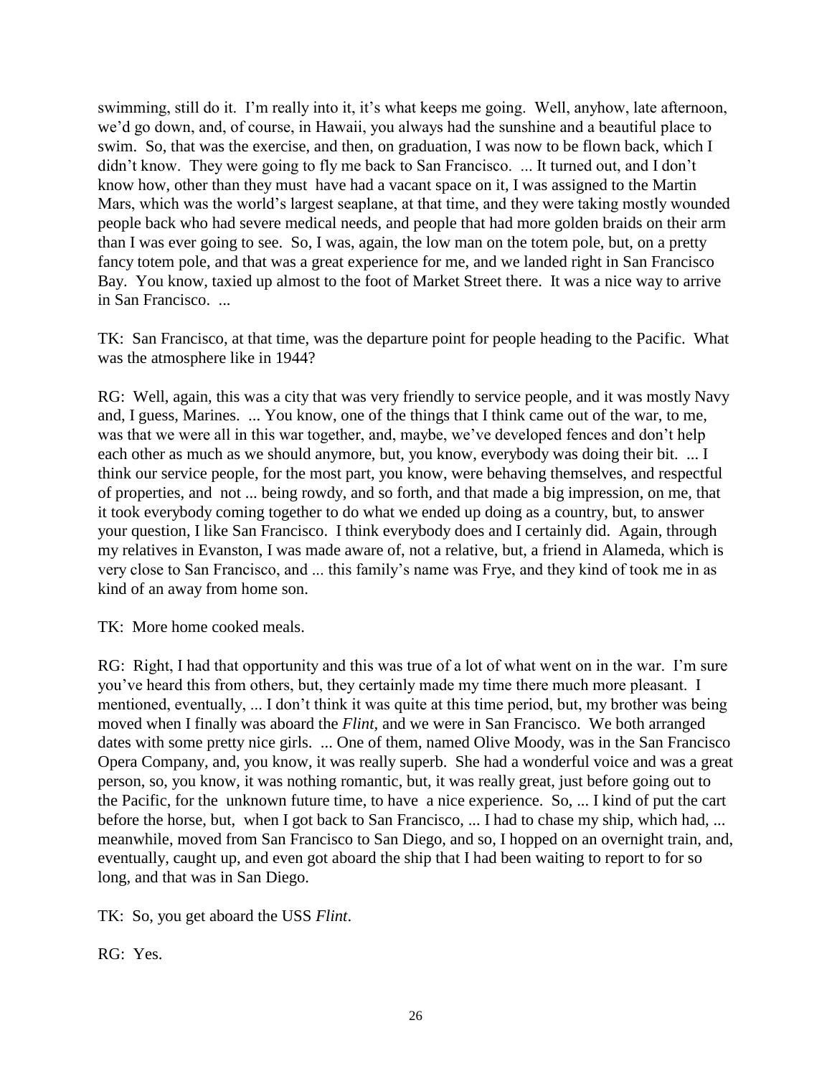swimming, still do it. I'm really into it, it's what keeps me going. Well, anyhow, late afternoon, we'd go down, and, of course, in Hawaii, you always had the sunshine and a beautiful place to swim. So, that was the exercise, and then, on graduation, I was now to be flown back, which I didn't know. They were going to fly me back to San Francisco. ... It turned out, and I don't know how, other than they must have had a vacant space on it, I was assigned to the Martin Mars, which was the world's largest seaplane, at that time, and they were taking mostly wounded people back who had severe medical needs, and people that had more golden braids on their arm than I was ever going to see. So, I was, again, the low man on the totem pole, but, on a pretty fancy totem pole, and that was a great experience for me, and we landed right in San Francisco Bay. You know, taxied up almost to the foot of Market Street there. It was a nice way to arrive in San Francisco. ...

TK: San Francisco, at that time, was the departure point for people heading to the Pacific. What was the atmosphere like in 1944?

RG: Well, again, this was a city that was very friendly to service people, and it was mostly Navy and, I guess, Marines. ... You know, one of the things that I think came out of the war, to me, was that we were all in this war together, and, maybe, we've developed fences and don't help each other as much as we should anymore, but, you know, everybody was doing their bit. ... I think our service people, for the most part, you know, were behaving themselves, and respectful of properties, and not ... being rowdy, and so forth, and that made a big impression, on me, that it took everybody coming together to do what we ended up doing as a country, but, to answer your question, I like San Francisco. I think everybody does and I certainly did. Again, through my relatives in Evanston, I was made aware of, not a relative, but, a friend in Alameda, which is very close to San Francisco, and ... this family's name was Frye, and they kind of took me in as kind of an away from home son.

TK: More home cooked meals.

RG: Right, I had that opportunity and this was true of a lot of what went on in the war. I'm sure you've heard this from others, but, they certainly made my time there much more pleasant. I mentioned, eventually, ... I don't think it was quite at this time period, but, my brother was being moved when I finally was aboard the *Flint,* and we were in San Francisco. We both arranged dates with some pretty nice girls. ... One of them, named Olive Moody, was in the San Francisco Opera Company, and, you know, it was really superb. She had a wonderful voice and was a great person, so, you know, it was nothing romantic, but, it was really great, just before going out to the Pacific, for the unknown future time, to have a nice experience. So, ... I kind of put the cart before the horse, but, when I got back to San Francisco, ... I had to chase my ship, which had, ... meanwhile, moved from San Francisco to San Diego, and so, I hopped on an overnight train, and, eventually, caught up, and even got aboard the ship that I had been waiting to report to for so long, and that was in San Diego.

TK: So, you get aboard the USS *Flint*.

RG: Yes.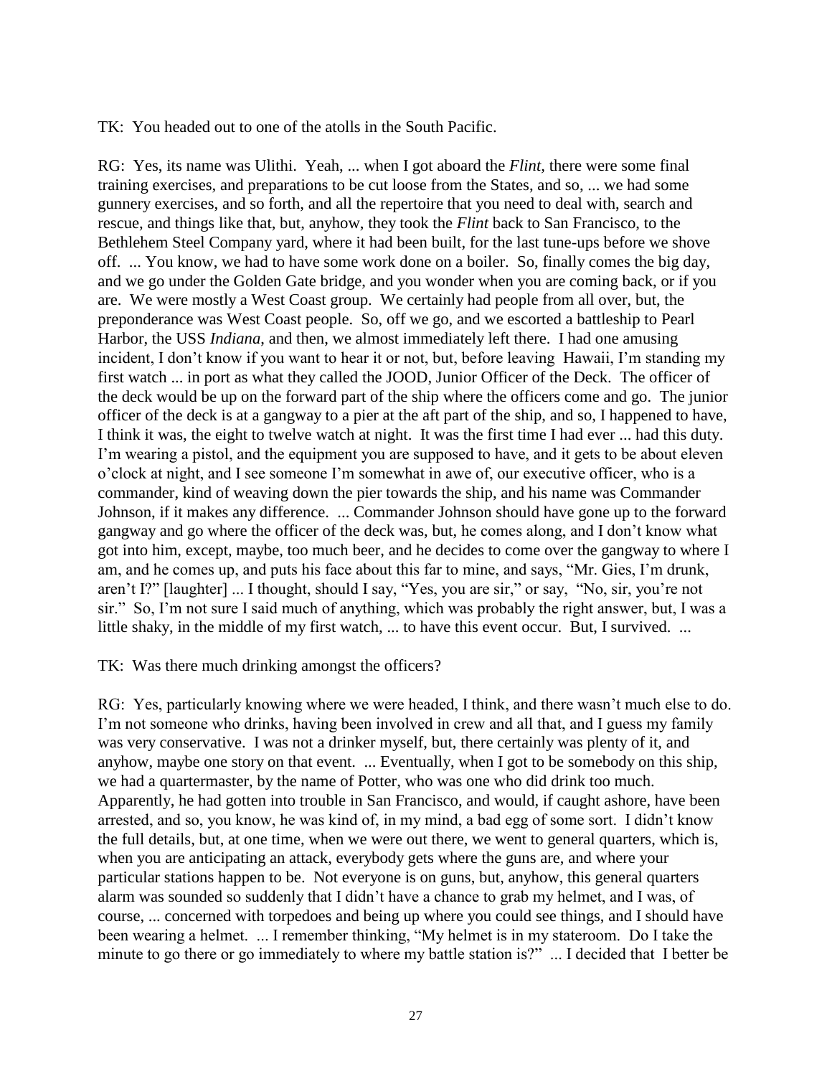TK: You headed out to one of the atolls in the South Pacific.

RG: Yes, its name was Ulithi. Yeah, ... when I got aboard the *Flint,* there were some final training exercises, and preparations to be cut loose from the States, and so, ... we had some gunnery exercises, and so forth, and all the repertoire that you need to deal with, search and rescue, and things like that, but, anyhow, they took the *Flint* back to San Francisco, to the Bethlehem Steel Company yard, where it had been built, for the last tune-ups before we shove off. ... You know, we had to have some work done on a boiler. So, finally comes the big day, and we go under the Golden Gate bridge, and you wonder when you are coming back, or if you are. We were mostly a West Coast group. We certainly had people from all over, but, the preponderance was West Coast people. So, off we go, and we escorted a battleship to Pearl Harbor, the USS *Indiana*, and then, we almost immediately left there. I had one amusing incident, I don't know if you want to hear it or not, but, before leaving Hawaii, I'm standing my first watch ... in port as what they called the JOOD, Junior Officer of the Deck. The officer of the deck would be up on the forward part of the ship where the officers come and go. The junior officer of the deck is at a gangway to a pier at the aft part of the ship, and so, I happened to have, I think it was, the eight to twelve watch at night. It was the first time I had ever ... had this duty. I'm wearing a pistol, and the equipment you are supposed to have, and it gets to be about eleven o'clock at night, and I see someone I'm somewhat in awe of, our executive officer, who is a commander, kind of weaving down the pier towards the ship, and his name was Commander Johnson, if it makes any difference. ... Commander Johnson should have gone up to the forward gangway and go where the officer of the deck was, but, he comes along, and I don't know what got into him, except, maybe, too much beer, and he decides to come over the gangway to where I am, and he comes up, and puts his face about this far to mine, and says, "Mr. Gies, I'm drunk, aren't I?" [laughter] ... I thought, should I say, "Yes, you are sir," or say, "No, sir, you're not sir." So, I'm not sure I said much of anything, which was probably the right answer, but, I was a little shaky, in the middle of my first watch, ... to have this event occur. But, I survived. ...

### TK: Was there much drinking amongst the officers?

RG: Yes, particularly knowing where we were headed, I think, and there wasn't much else to do. I'm not someone who drinks, having been involved in crew and all that, and I guess my family was very conservative. I was not a drinker myself, but, there certainly was plenty of it, and anyhow, maybe one story on that event. ... Eventually, when I got to be somebody on this ship, we had a quartermaster, by the name of Potter, who was one who did drink too much. Apparently, he had gotten into trouble in San Francisco, and would, if caught ashore, have been arrested, and so, you know, he was kind of, in my mind, a bad egg of some sort. I didn't know the full details, but, at one time, when we were out there, we went to general quarters, which is, when you are anticipating an attack, everybody gets where the guns are, and where your particular stations happen to be. Not everyone is on guns, but, anyhow, this general quarters alarm was sounded so suddenly that I didn't have a chance to grab my helmet, and I was, of course, ... concerned with torpedoes and being up where you could see things, and I should have been wearing a helmet. ... I remember thinking, "My helmet is in my stateroom. Do I take the minute to go there or go immediately to where my battle station is?" ... I decided that I better be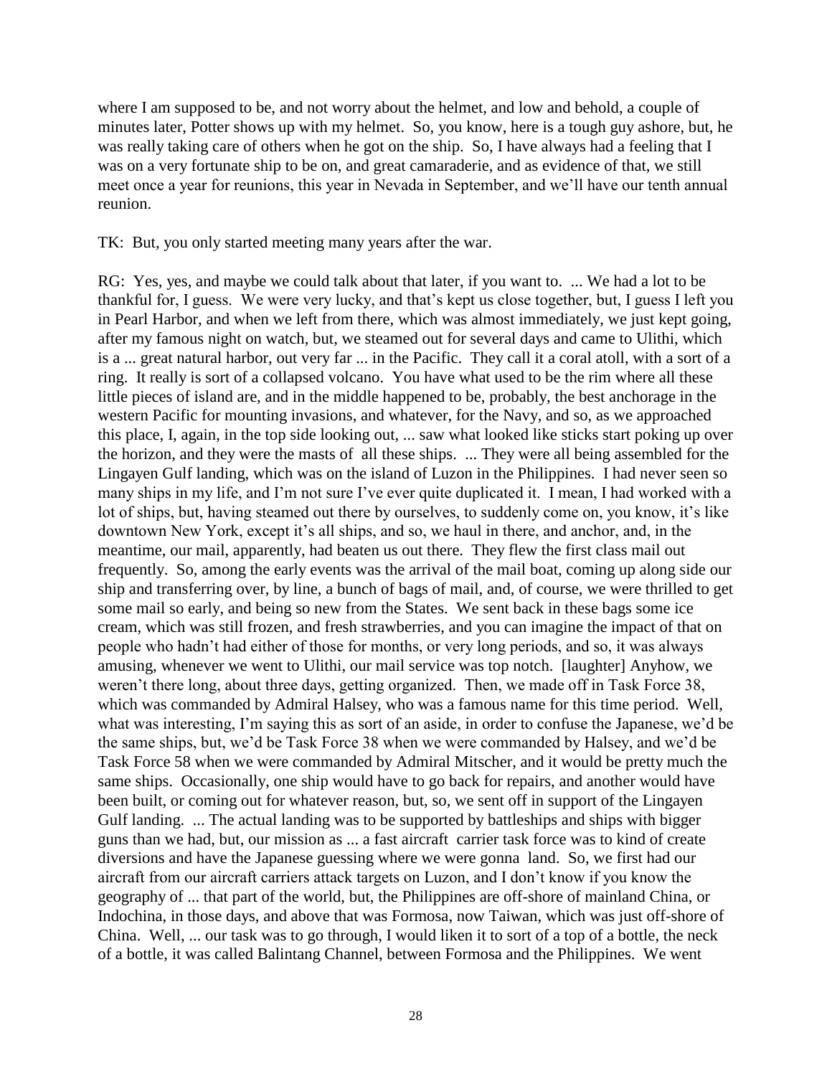where I am supposed to be, and not worry about the helmet, and low and behold, a couple of minutes later, Potter shows up with my helmet. So, you know, here is a tough guy ashore, but, he was really taking care of others when he got on the ship. So, I have always had a feeling that I was on a very fortunate ship to be on, and great camaraderie, and as evidence of that, we still meet once a year for reunions, this year in Nevada in September, and we'll have our tenth annual reunion.

TK: But, you only started meeting many years after the war.

RG: Yes, yes, and maybe we could talk about that later, if you want to. ... We had a lot to be thankful for, I guess. We were very lucky, and that's kept us close together, but, I guess I left you in Pearl Harbor, and when we left from there, which was almost immediately, we just kept going, after my famous night on watch, but, we steamed out for several days and came to Ulithi, which is a ... great natural harbor, out very far ... in the Pacific. They call it a coral atoll, with a sort of a ring. It really is sort of a collapsed volcano. You have what used to be the rim where all these little pieces of island are, and in the middle happened to be, probably, the best anchorage in the western Pacific for mounting invasions, and whatever, for the Navy, and so, as we approached this place, I, again, in the top side looking out, ... saw what looked like sticks start poking up over the horizon, and they were the masts of all these ships. ... They were all being assembled for the Lingayen Gulf landing, which was on the island of Luzon in the Philippines. I had never seen so many ships in my life, and I'm not sure I've ever quite duplicated it. I mean, I had worked with a lot of ships, but, having steamed out there by ourselves, to suddenly come on, you know, it's like downtown New York, except it's all ships, and so, we haul in there, and anchor, and, in the meantime, our mail, apparently, had beaten us out there. They flew the first class mail out frequently. So, among the early events was the arrival of the mail boat, coming up along side our ship and transferring over, by line, a bunch of bags of mail, and, of course, we were thrilled to get some mail so early, and being so new from the States. We sent back in these bags some ice cream, which was still frozen, and fresh strawberries, and you can imagine the impact of that on people who hadn't had either of those for months, or very long periods, and so, it was always amusing, whenever we went to Ulithi, our mail service was top notch. [laughter] Anyhow, we weren't there long, about three days, getting organized. Then, we made off in Task Force 38, which was commanded by Admiral Halsey, who was a famous name for this time period. Well, what was interesting, I'm saying this as sort of an aside, in order to confuse the Japanese, we'd be the same ships, but, we'd be Task Force 38 when we were commanded by Halsey, and we'd be Task Force 58 when we were commanded by Admiral Mitscher, and it would be pretty much the same ships. Occasionally, one ship would have to go back for repairs, and another would have been built, or coming out for whatever reason, but, so, we sent off in support of the Lingayen Gulf landing. ... The actual landing was to be supported by battleships and ships with bigger guns than we had, but, our mission as ... a fast aircraft carrier task force was to kind of create diversions and have the Japanese guessing where we were gonna land. So, we first had our aircraft from our aircraft carriers attack targets on Luzon, and I don't know if you know the geography of ... that part of the world, but, the Philippines are off-shore of mainland China, or Indochina, in those days, and above that was Formosa, now Taiwan, which was just off-shore of China. Well, ... our task was to go through, I would liken it to sort of a top of a bottle, the neck of a bottle, it was called Balintang Channel, between Formosa and the Philippines. We went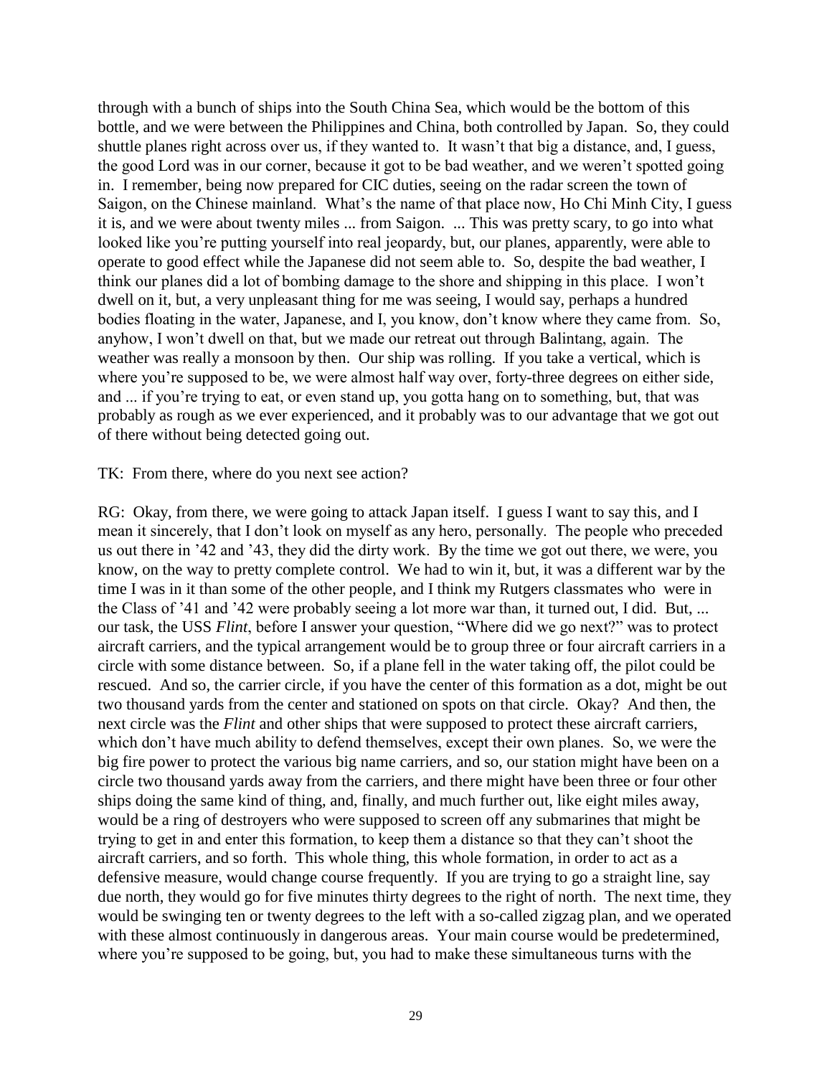through with a bunch of ships into the South China Sea, which would be the bottom of this bottle, and we were between the Philippines and China, both controlled by Japan. So, they could shuttle planes right across over us, if they wanted to. It wasn't that big a distance, and, I guess, the good Lord was in our corner, because it got to be bad weather, and we weren't spotted going in. I remember, being now prepared for CIC duties, seeing on the radar screen the town of Saigon, on the Chinese mainland. What's the name of that place now, Ho Chi Minh City, I guess it is, and we were about twenty miles ... from Saigon. ... This was pretty scary, to go into what looked like you're putting yourself into real jeopardy, but, our planes, apparently, were able to operate to good effect while the Japanese did not seem able to. So, despite the bad weather, I think our planes did a lot of bombing damage to the shore and shipping in this place. I won't dwell on it, but, a very unpleasant thing for me was seeing, I would say, perhaps a hundred bodies floating in the water, Japanese, and I, you know, don't know where they came from. So, anyhow, I won't dwell on that, but we made our retreat out through Balintang, again. The weather was really a monsoon by then. Our ship was rolling. If you take a vertical, which is where you're supposed to be, we were almost half way over, forty-three degrees on either side, and ... if you're trying to eat, or even stand up, you gotta hang on to something, but, that was probably as rough as we ever experienced, and it probably was to our advantage that we got out of there without being detected going out.

#### TK: From there, where do you next see action?

RG: Okay, from there, we were going to attack Japan itself. I guess I want to say this, and I mean it sincerely, that I don't look on myself as any hero, personally. The people who preceded us out there in '42 and '43, they did the dirty work. By the time we got out there, we were, you know, on the way to pretty complete control. We had to win it, but, it was a different war by the time I was in it than some of the other people, and I think my Rutgers classmates who were in the Class of '41 and '42 were probably seeing a lot more war than, it turned out, I did. But, ... our task, the USS *Flint*, before I answer your question, "Where did we go next?" was to protect aircraft carriers, and the typical arrangement would be to group three or four aircraft carriers in a circle with some distance between. So, if a plane fell in the water taking off, the pilot could be rescued. And so, the carrier circle, if you have the center of this formation as a dot, might be out two thousand yards from the center and stationed on spots on that circle. Okay? And then, the next circle was the *Flint* and other ships that were supposed to protect these aircraft carriers, which don't have much ability to defend themselves, except their own planes. So, we were the big fire power to protect the various big name carriers, and so, our station might have been on a circle two thousand yards away from the carriers, and there might have been three or four other ships doing the same kind of thing, and, finally, and much further out, like eight miles away, would be a ring of destroyers who were supposed to screen off any submarines that might be trying to get in and enter this formation, to keep them a distance so that they can't shoot the aircraft carriers, and so forth. This whole thing, this whole formation, in order to act as a defensive measure, would change course frequently. If you are trying to go a straight line, say due north, they would go for five minutes thirty degrees to the right of north. The next time, they would be swinging ten or twenty degrees to the left with a so-called zigzag plan, and we operated with these almost continuously in dangerous areas. Your main course would be predetermined, where you're supposed to be going, but, you had to make these simultaneous turns with the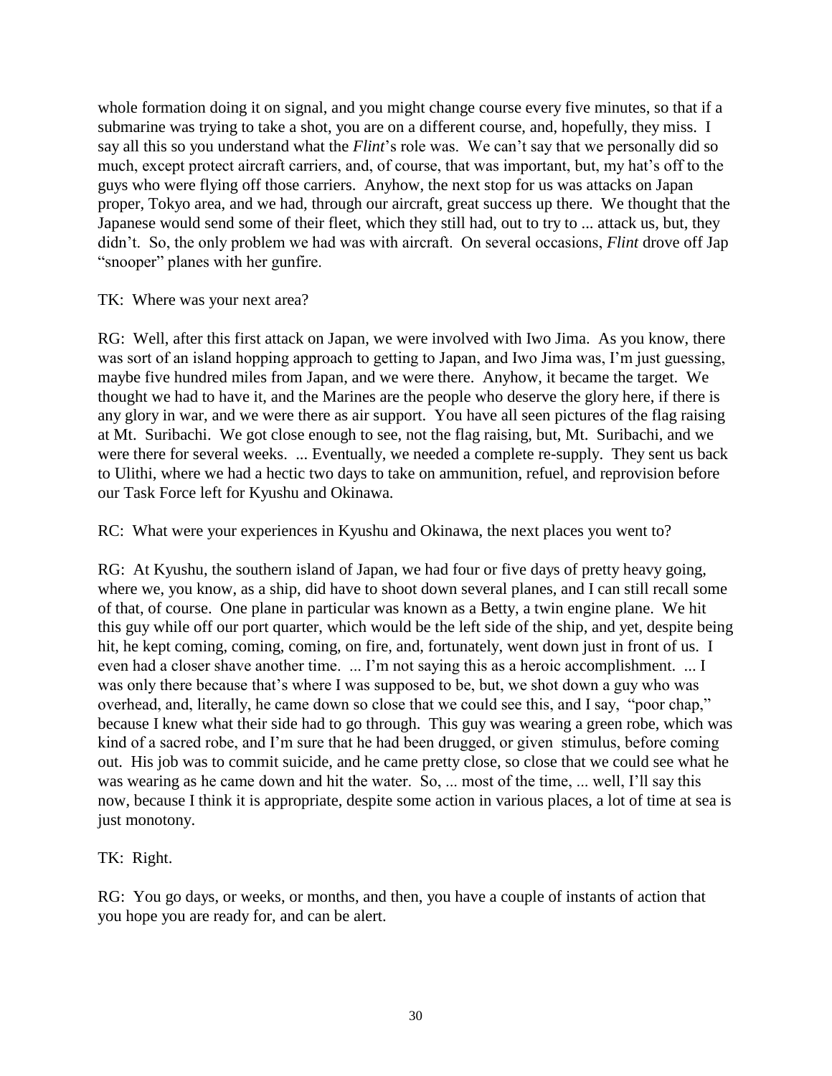whole formation doing it on signal, and you might change course every five minutes, so that if a submarine was trying to take a shot, you are on a different course, and, hopefully, they miss. I say all this so you understand what the *Flint*'s role was. We can't say that we personally did so much, except protect aircraft carriers, and, of course, that was important, but, my hat's off to the guys who were flying off those carriers. Anyhow, the next stop for us was attacks on Japan proper, Tokyo area, and we had, through our aircraft, great success up there. We thought that the Japanese would send some of their fleet, which they still had, out to try to ... attack us, but, they didn't. So, the only problem we had was with aircraft. On several occasions, *Flint* drove off Jap "snooper" planes with her gunfire.

TK: Where was your next area?

RG: Well, after this first attack on Japan, we were involved with Iwo Jima. As you know, there was sort of an island hopping approach to getting to Japan, and Iwo Jima was, I'm just guessing, maybe five hundred miles from Japan, and we were there. Anyhow, it became the target. We thought we had to have it, and the Marines are the people who deserve the glory here, if there is any glory in war, and we were there as air support. You have all seen pictures of the flag raising at Mt. Suribachi. We got close enough to see, not the flag raising, but, Mt. Suribachi, and we were there for several weeks. ... Eventually, we needed a complete re-supply. They sent us back to Ulithi, where we had a hectic two days to take on ammunition, refuel, and reprovision before our Task Force left for Kyushu and Okinawa.

RC: What were your experiences in Kyushu and Okinawa, the next places you went to?

RG: At Kyushu, the southern island of Japan, we had four or five days of pretty heavy going, where we, you know, as a ship, did have to shoot down several planes, and I can still recall some of that, of course. One plane in particular was known as a Betty, a twin engine plane. We hit this guy while off our port quarter, which would be the left side of the ship, and yet, despite being hit, he kept coming, coming, coming, on fire, and, fortunately, went down just in front of us. I even had a closer shave another time. ... I'm not saying this as a heroic accomplishment. ... I was only there because that's where I was supposed to be, but, we shot down a guy who was overhead, and, literally, he came down so close that we could see this, and I say, "poor chap," because I knew what their side had to go through. This guy was wearing a green robe, which was kind of a sacred robe, and I'm sure that he had been drugged, or given stimulus, before coming out. His job was to commit suicide, and he came pretty close, so close that we could see what he was wearing as he came down and hit the water. So, ... most of the time, ... well, I'll say this now, because I think it is appropriate, despite some action in various places, a lot of time at sea is just monotony.

TK: Right.

RG: You go days, or weeks, or months, and then, you have a couple of instants of action that you hope you are ready for, and can be alert.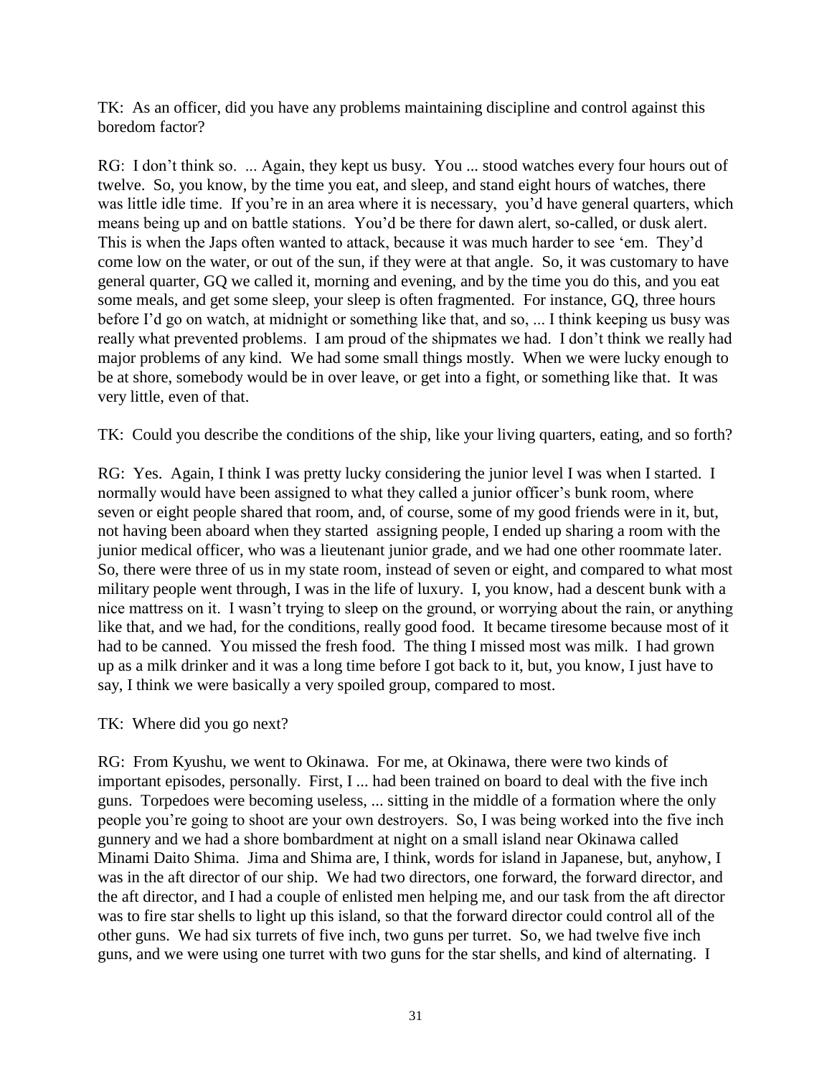TK: As an officer, did you have any problems maintaining discipline and control against this boredom factor?

RG: I don't think so. ... Again, they kept us busy. You ... stood watches every four hours out of twelve. So, you know, by the time you eat, and sleep, and stand eight hours of watches, there was little idle time. If you're in an area where it is necessary, you'd have general quarters, which means being up and on battle stations. You'd be there for dawn alert, so-called, or dusk alert. This is when the Japs often wanted to attack, because it was much harder to see 'em. They'd come low on the water, or out of the sun, if they were at that angle. So, it was customary to have general quarter, GQ we called it, morning and evening, and by the time you do this, and you eat some meals, and get some sleep, your sleep is often fragmented. For instance, GQ, three hours before I'd go on watch, at midnight or something like that, and so, ... I think keeping us busy was really what prevented problems. I am proud of the shipmates we had. I don't think we really had major problems of any kind. We had some small things mostly. When we were lucky enough to be at shore, somebody would be in over leave, or get into a fight, or something like that. It was very little, even of that.

TK: Could you describe the conditions of the ship, like your living quarters, eating, and so forth?

RG: Yes. Again, I think I was pretty lucky considering the junior level I was when I started. I normally would have been assigned to what they called a junior officer's bunk room, where seven or eight people shared that room, and, of course, some of my good friends were in it, but, not having been aboard when they started assigning people, I ended up sharing a room with the junior medical officer, who was a lieutenant junior grade, and we had one other roommate later. So, there were three of us in my state room, instead of seven or eight, and compared to what most military people went through, I was in the life of luxury. I, you know, had a descent bunk with a nice mattress on it. I wasn't trying to sleep on the ground, or worrying about the rain, or anything like that, and we had, for the conditions, really good food. It became tiresome because most of it had to be canned. You missed the fresh food. The thing I missed most was milk. I had grown up as a milk drinker and it was a long time before I got back to it, but, you know, I just have to say, I think we were basically a very spoiled group, compared to most.

### TK: Where did you go next?

RG: From Kyushu, we went to Okinawa. For me, at Okinawa, there were two kinds of important episodes, personally. First, I ... had been trained on board to deal with the five inch guns. Torpedoes were becoming useless, ... sitting in the middle of a formation where the only people you're going to shoot are your own destroyers. So, I was being worked into the five inch gunnery and we had a shore bombardment at night on a small island near Okinawa called Minami Daito Shima. Jima and Shima are, I think, words for island in Japanese, but, anyhow, I was in the aft director of our ship. We had two directors, one forward, the forward director, and the aft director, and I had a couple of enlisted men helping me, and our task from the aft director was to fire star shells to light up this island, so that the forward director could control all of the other guns. We had six turrets of five inch, two guns per turret. So, we had twelve five inch guns, and we were using one turret with two guns for the star shells, and kind of alternating. I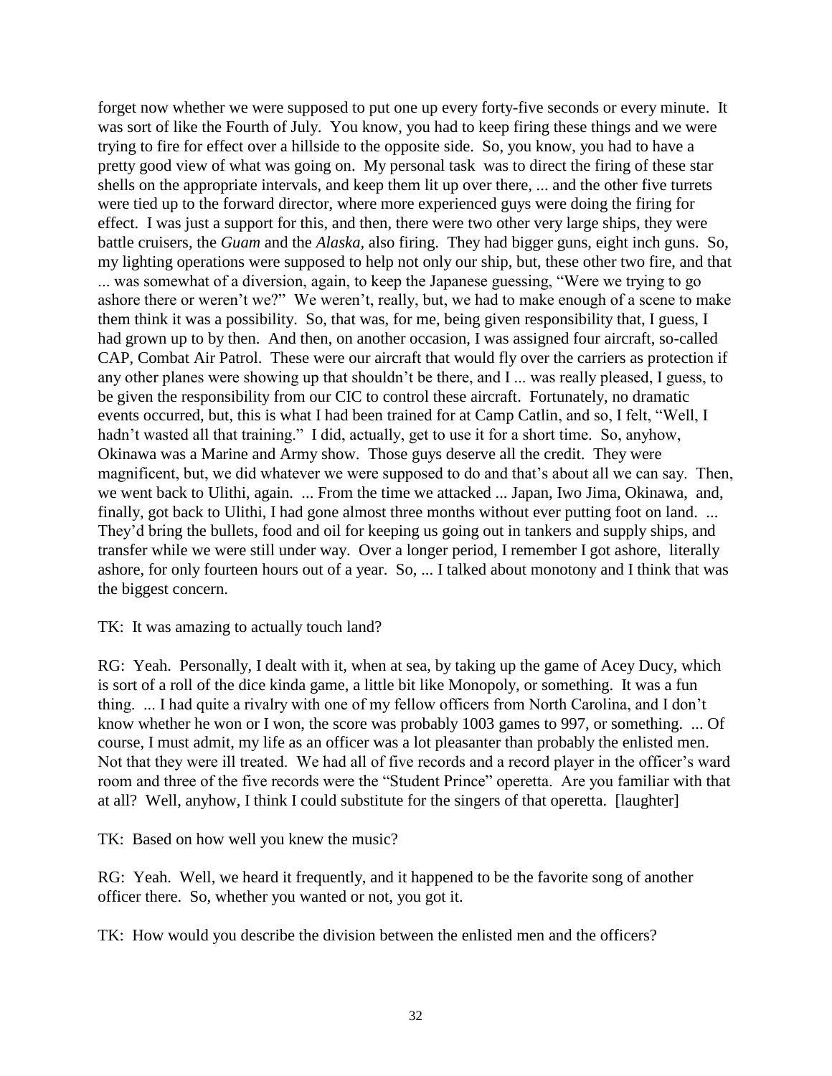forget now whether we were supposed to put one up every forty-five seconds or every minute. It was sort of like the Fourth of July. You know, you had to keep firing these things and we were trying to fire for effect over a hillside to the opposite side. So, you know, you had to have a pretty good view of what was going on. My personal task was to direct the firing of these star shells on the appropriate intervals, and keep them lit up over there, ... and the other five turrets were tied up to the forward director, where more experienced guys were doing the firing for effect. I was just a support for this, and then, there were two other very large ships, they were battle cruisers, the *Guam* and the *Alaska,* also firing. They had bigger guns, eight inch guns. So, my lighting operations were supposed to help not only our ship, but, these other two fire, and that ... was somewhat of a diversion, again, to keep the Japanese guessing, "Were we trying to go ashore there or weren't we?" We weren't, really, but, we had to make enough of a scene to make them think it was a possibility. So, that was, for me, being given responsibility that, I guess, I had grown up to by then. And then, on another occasion, I was assigned four aircraft, so-called CAP, Combat Air Patrol. These were our aircraft that would fly over the carriers as protection if any other planes were showing up that shouldn't be there, and I ... was really pleased, I guess, to be given the responsibility from our CIC to control these aircraft. Fortunately, no dramatic events occurred, but, this is what I had been trained for at Camp Catlin, and so, I felt, "Well, I hadn't wasted all that training." I did, actually, get to use it for a short time. So, anyhow, Okinawa was a Marine and Army show. Those guys deserve all the credit. They were magnificent, but, we did whatever we were supposed to do and that's about all we can say. Then, we went back to Ulithi, again. ... From the time we attacked ... Japan, Iwo Jima, Okinawa, and, finally, got back to Ulithi, I had gone almost three months without ever putting foot on land. ... They'd bring the bullets, food and oil for keeping us going out in tankers and supply ships, and transfer while we were still under way. Over a longer period, I remember I got ashore, literally ashore, for only fourteen hours out of a year. So, ... I talked about monotony and I think that was the biggest concern.

TK: It was amazing to actually touch land?

RG: Yeah. Personally, I dealt with it, when at sea, by taking up the game of Acey Ducy, which is sort of a roll of the dice kinda game, a little bit like Monopoly, or something. It was a fun thing. ... I had quite a rivalry with one of my fellow officers from North Carolina, and I don't know whether he won or I won, the score was probably 1003 games to 997, or something. ... Of course, I must admit, my life as an officer was a lot pleasanter than probably the enlisted men. Not that they were ill treated. We had all of five records and a record player in the officer's ward room and three of the five records were the "Student Prince" operetta. Are you familiar with that at all? Well, anyhow, I think I could substitute for the singers of that operetta. [laughter]

TK: Based on how well you knew the music?

RG: Yeah. Well, we heard it frequently, and it happened to be the favorite song of another officer there. So, whether you wanted or not, you got it.

TK: How would you describe the division between the enlisted men and the officers?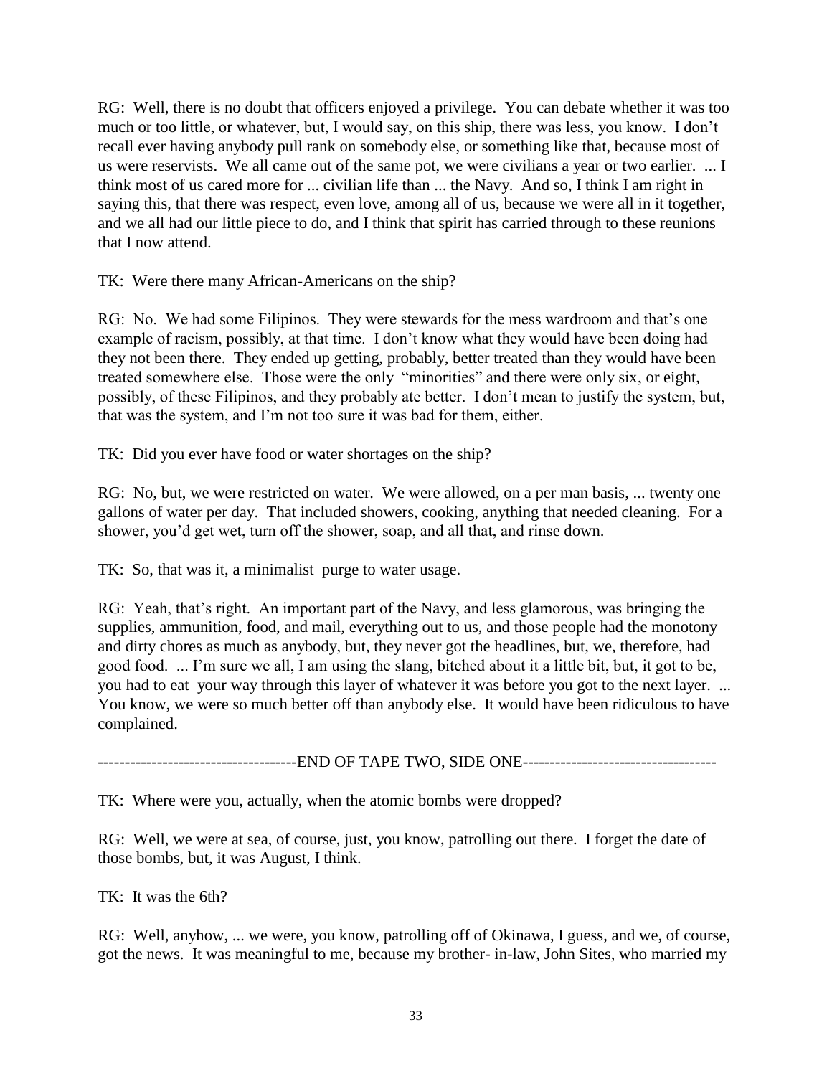RG: Well, there is no doubt that officers enjoyed a privilege. You can debate whether it was too much or too little, or whatever, but, I would say, on this ship, there was less, you know. I don't recall ever having anybody pull rank on somebody else, or something like that, because most of us were reservists. We all came out of the same pot, we were civilians a year or two earlier. ... I think most of us cared more for ... civilian life than ... the Navy. And so, I think I am right in saying this, that there was respect, even love, among all of us, because we were all in it together, and we all had our little piece to do, and I think that spirit has carried through to these reunions that I now attend.

TK: Were there many African-Americans on the ship?

RG: No. We had some Filipinos. They were stewards for the mess wardroom and that's one example of racism, possibly, at that time. I don't know what they would have been doing had they not been there. They ended up getting, probably, better treated than they would have been treated somewhere else. Those were the only "minorities" and there were only six, or eight, possibly, of these Filipinos, and they probably ate better. I don't mean to justify the system, but, that was the system, and I'm not too sure it was bad for them, either.

TK: Did you ever have food or water shortages on the ship?

RG: No, but, we were restricted on water. We were allowed, on a per man basis, ... twenty one gallons of water per day. That included showers, cooking, anything that needed cleaning. For a shower, you'd get wet, turn off the shower, soap, and all that, and rinse down.

TK: So, that was it, a minimalist purge to water usage.

RG: Yeah, that's right. An important part of the Navy, and less glamorous, was bringing the supplies, ammunition, food, and mail, everything out to us, and those people had the monotony and dirty chores as much as anybody, but, they never got the headlines, but, we, therefore, had good food. ... I'm sure we all, I am using the slang, bitched about it a little bit, but, it got to be, you had to eat your way through this layer of whatever it was before you got to the next layer. ... You know, we were so much better off than anybody else. It would have been ridiculous to have complained.

--------------------------END OF TAPE TWO, SIDE ONE------------------------

TK: Where were you, actually, when the atomic bombs were dropped?

RG: Well, we were at sea, of course, just, you know, patrolling out there. I forget the date of those bombs, but, it was August, I think.

TK: It was the 6th?

RG: Well, anyhow, ... we were, you know, patrolling off of Okinawa, I guess, and we, of course, got the news. It was meaningful to me, because my brother- in-law, John Sites, who married my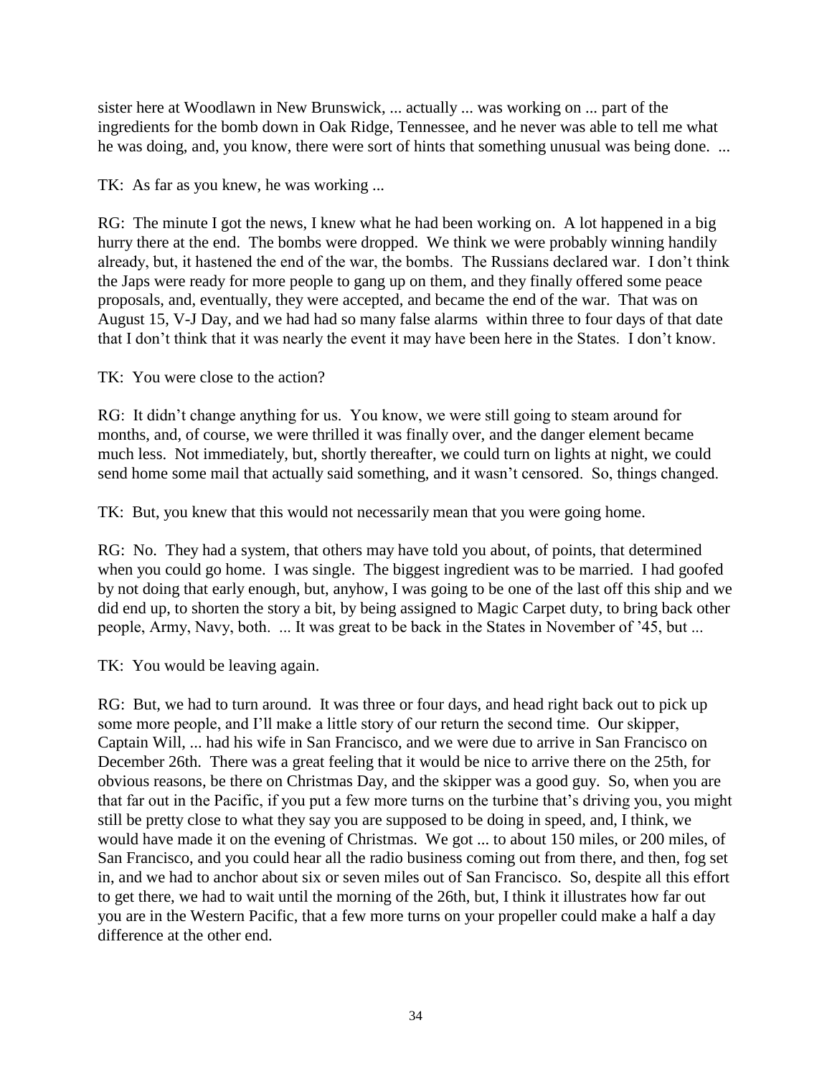sister here at Woodlawn in New Brunswick, ... actually ... was working on ... part of the ingredients for the bomb down in Oak Ridge, Tennessee, and he never was able to tell me what he was doing, and, you know, there were sort of hints that something unusual was being done. ...

TK: As far as you knew, he was working ...

RG: The minute I got the news, I knew what he had been working on. A lot happened in a big hurry there at the end. The bombs were dropped. We think we were probably winning handily already, but, it hastened the end of the war, the bombs. The Russians declared war. I don't think the Japs were ready for more people to gang up on them, and they finally offered some peace proposals, and, eventually, they were accepted, and became the end of the war. That was on August 15, V-J Day, and we had had so many false alarms within three to four days of that date that I don't think that it was nearly the event it may have been here in the States. I don't know.

TK: You were close to the action?

RG: It didn't change anything for us. You know, we were still going to steam around for months, and, of course, we were thrilled it was finally over, and the danger element became much less. Not immediately, but, shortly thereafter, we could turn on lights at night, we could send home some mail that actually said something, and it wasn't censored. So, things changed.

TK: But, you knew that this would not necessarily mean that you were going home.

RG: No. They had a system, that others may have told you about, of points, that determined when you could go home. I was single. The biggest ingredient was to be married. I had goofed by not doing that early enough, but, anyhow, I was going to be one of the last off this ship and we did end up, to shorten the story a bit, by being assigned to Magic Carpet duty, to bring back other people, Army, Navy, both. ... It was great to be back in the States in November of '45, but ...

TK: You would be leaving again.

RG: But, we had to turn around. It was three or four days, and head right back out to pick up some more people, and I'll make a little story of our return the second time. Our skipper, Captain Will, ... had his wife in San Francisco, and we were due to arrive in San Francisco on December 26th. There was a great feeling that it would be nice to arrive there on the 25th, for obvious reasons, be there on Christmas Day, and the skipper was a good guy. So, when you are that far out in the Pacific, if you put a few more turns on the turbine that's driving you, you might still be pretty close to what they say you are supposed to be doing in speed, and, I think, we would have made it on the evening of Christmas. We got ... to about 150 miles, or 200 miles, of San Francisco, and you could hear all the radio business coming out from there, and then, fog set in, and we had to anchor about six or seven miles out of San Francisco. So, despite all this effort to get there, we had to wait until the morning of the 26th, but, I think it illustrates how far out you are in the Western Pacific, that a few more turns on your propeller could make a half a day difference at the other end.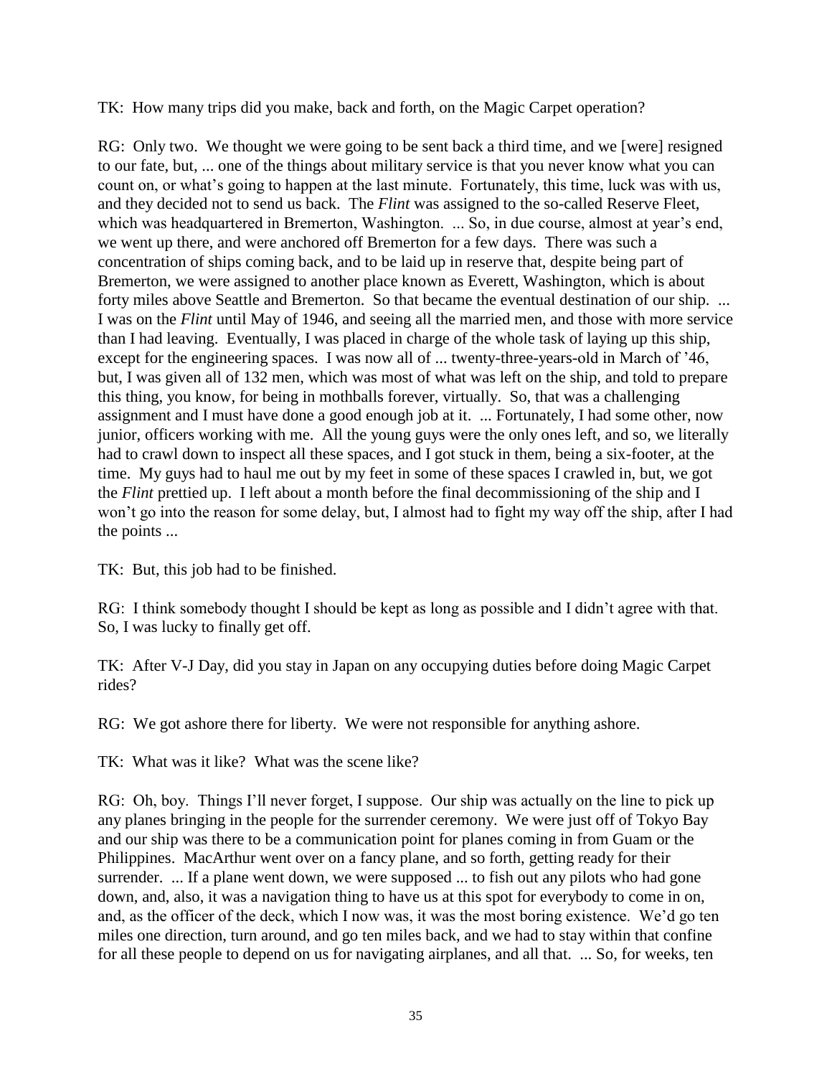TK: How many trips did you make, back and forth, on the Magic Carpet operation?

RG: Only two. We thought we were going to be sent back a third time, and we [were] resigned to our fate, but, ... one of the things about military service is that you never know what you can count on, or what's going to happen at the last minute. Fortunately, this time, luck was with us, and they decided not to send us back. The *Flint* was assigned to the so-called Reserve Fleet, which was headquartered in Bremerton, Washington. ... So, in due course, almost at year's end, we went up there, and were anchored off Bremerton for a few days. There was such a concentration of ships coming back, and to be laid up in reserve that, despite being part of Bremerton, we were assigned to another place known as Everett, Washington, which is about forty miles above Seattle and Bremerton. So that became the eventual destination of our ship. ... I was on the *Flint* until May of 1946, and seeing all the married men, and those with more service than I had leaving. Eventually, I was placed in charge of the whole task of laying up this ship, except for the engineering spaces. I was now all of ... twenty-three-years-old in March of '46, but, I was given all of 132 men, which was most of what was left on the ship, and told to prepare this thing, you know, for being in mothballs forever, virtually. So, that was a challenging assignment and I must have done a good enough job at it. ... Fortunately, I had some other, now junior, officers working with me. All the young guys were the only ones left, and so, we literally had to crawl down to inspect all these spaces, and I got stuck in them, being a six-footer, at the time. My guys had to haul me out by my feet in some of these spaces I crawled in, but, we got the *Flint* prettied up. I left about a month before the final decommissioning of the ship and I won't go into the reason for some delay, but, I almost had to fight my way off the ship, after I had the points ...

TK: But, this job had to be finished.

RG: I think somebody thought I should be kept as long as possible and I didn't agree with that. So, I was lucky to finally get off.

TK: After V-J Day, did you stay in Japan on any occupying duties before doing Magic Carpet rides?

RG: We got ashore there for liberty. We were not responsible for anything ashore.

TK: What was it like? What was the scene like?

RG: Oh, boy. Things I'll never forget, I suppose. Our ship was actually on the line to pick up any planes bringing in the people for the surrender ceremony. We were just off of Tokyo Bay and our ship was there to be a communication point for planes coming in from Guam or the Philippines. MacArthur went over on a fancy plane, and so forth, getting ready for their surrender. ... If a plane went down, we were supposed ... to fish out any pilots who had gone down, and, also, it was a navigation thing to have us at this spot for everybody to come in on, and, as the officer of the deck, which I now was, it was the most boring existence. We'd go ten miles one direction, turn around, and go ten miles back, and we had to stay within that confine for all these people to depend on us for navigating airplanes, and all that. ... So, for weeks, ten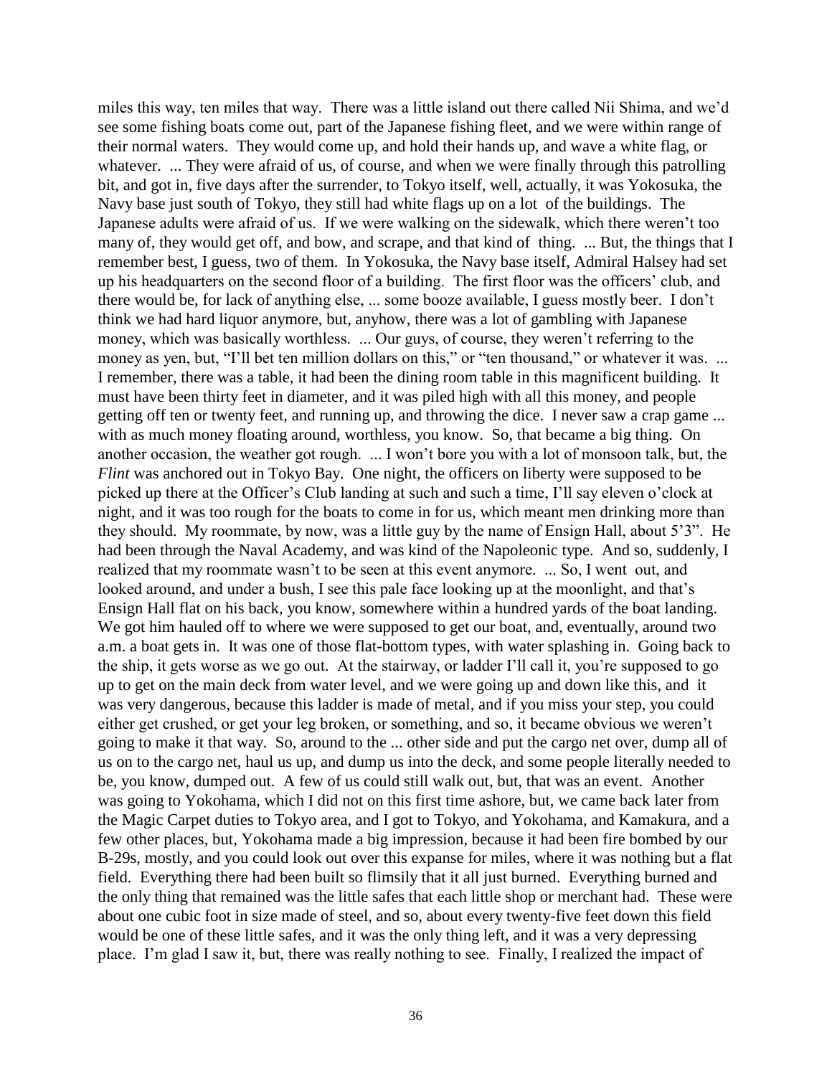miles this way, ten miles that way. There was a little island out there called Nii Shima, and we'd see some fishing boats come out, part of the Japanese fishing fleet, and we were within range of their normal waters. They would come up, and hold their hands up, and wave a white flag, or whatever. ... They were afraid of us, of course, and when we were finally through this patrolling bit, and got in, five days after the surrender, to Tokyo itself, well, actually, it was Yokosuka, the Navy base just south of Tokyo, they still had white flags up on a lot of the buildings. The Japanese adults were afraid of us. If we were walking on the sidewalk, which there weren't too many of, they would get off, and bow, and scrape, and that kind of thing. ... But, the things that I remember best, I guess, two of them. In Yokosuka, the Navy base itself, Admiral Halsey had set up his headquarters on the second floor of a building. The first floor was the officers' club, and there would be, for lack of anything else, ... some booze available, I guess mostly beer. I don't think we had hard liquor anymore, but, anyhow, there was a lot of gambling with Japanese money, which was basically worthless. ... Our guys, of course, they weren't referring to the money as yen, but, "I'll bet ten million dollars on this," or "ten thousand," or whatever it was. ... I remember, there was a table, it had been the dining room table in this magnificent building. It must have been thirty feet in diameter, and it was piled high with all this money, and people getting off ten or twenty feet, and running up, and throwing the dice. I never saw a crap game ... with as much money floating around, worthless, you know. So, that became a big thing. On another occasion, the weather got rough. ... I won't bore you with a lot of monsoon talk, but, the *Flint* was anchored out in Tokyo Bay. One night, the officers on liberty were supposed to be picked up there at the Officer's Club landing at such and such a time, I'll say eleven o'clock at night, and it was too rough for the boats to come in for us, which meant men drinking more than they should. My roommate, by now, was a little guy by the name of Ensign Hall, about 5'3". He had been through the Naval Academy, and was kind of the Napoleonic type. And so, suddenly, I realized that my roommate wasn't to be seen at this event anymore. ... So, I went out, and looked around, and under a bush, I see this pale face looking up at the moonlight, and that's Ensign Hall flat on his back, you know, somewhere within a hundred yards of the boat landing. We got him hauled off to where we were supposed to get our boat, and, eventually, around two a.m. a boat gets in. It was one of those flat-bottom types, with water splashing in. Going back to the ship, it gets worse as we go out. At the stairway, or ladder I'll call it, you're supposed to go up to get on the main deck from water level, and we were going up and down like this, and it was very dangerous, because this ladder is made of metal, and if you miss your step, you could either get crushed, or get your leg broken, or something, and so, it became obvious we weren't going to make it that way. So, around to the ... other side and put the cargo net over, dump all of us on to the cargo net, haul us up, and dump us into the deck, and some people literally needed to be, you know, dumped out. A few of us could still walk out, but, that was an event. Another was going to Yokohama, which I did not on this first time ashore, but, we came back later from the Magic Carpet duties to Tokyo area, and I got to Tokyo, and Yokohama, and Kamakura, and a few other places, but, Yokohama made a big impression, because it had been fire bombed by our B-29s, mostly, and you could look out over this expanse for miles, where it was nothing but a flat field. Everything there had been built so flimsily that it all just burned. Everything burned and the only thing that remained was the little safes that each little shop or merchant had. These were about one cubic foot in size made of steel, and so, about every twenty-five feet down this field would be one of these little safes, and it was the only thing left, and it was a very depressing place. I'm glad I saw it, but, there was really nothing to see. Finally, I realized the impact of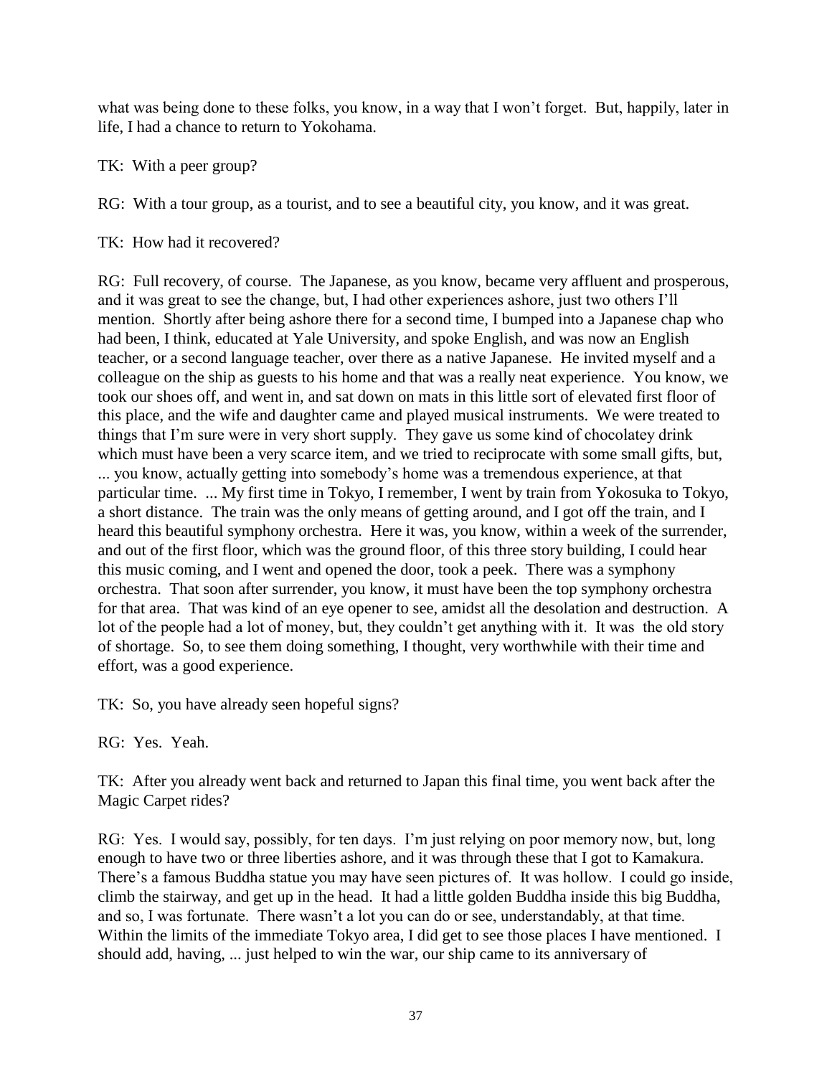what was being done to these folks, you know, in a way that I won't forget. But, happily, later in life, I had a chance to return to Yokohama.

TK: With a peer group?

RG: With a tour group, as a tourist, and to see a beautiful city, you know, and it was great.

TK: How had it recovered?

RG: Full recovery, of course. The Japanese, as you know, became very affluent and prosperous, and it was great to see the change, but, I had other experiences ashore, just two others I'll mention. Shortly after being ashore there for a second time, I bumped into a Japanese chap who had been, I think, educated at Yale University, and spoke English, and was now an English teacher, or a second language teacher, over there as a native Japanese. He invited myself and a colleague on the ship as guests to his home and that was a really neat experience. You know, we took our shoes off, and went in, and sat down on mats in this little sort of elevated first floor of this place, and the wife and daughter came and played musical instruments. We were treated to things that I'm sure were in very short supply. They gave us some kind of chocolatey drink which must have been a very scarce item, and we tried to reciprocate with some small gifts, but, ... you know, actually getting into somebody's home was a tremendous experience, at that particular time. ... My first time in Tokyo, I remember, I went by train from Yokosuka to Tokyo, a short distance. The train was the only means of getting around, and I got off the train, and I heard this beautiful symphony orchestra. Here it was, you know, within a week of the surrender, and out of the first floor, which was the ground floor, of this three story building, I could hear this music coming, and I went and opened the door, took a peek. There was a symphony orchestra. That soon after surrender, you know, it must have been the top symphony orchestra for that area. That was kind of an eye opener to see, amidst all the desolation and destruction. A lot of the people had a lot of money, but, they couldn't get anything with it. It was the old story of shortage. So, to see them doing something, I thought, very worthwhile with their time and effort, was a good experience.

TK: So, you have already seen hopeful signs?

RG: Yes. Yeah.

TK: After you already went back and returned to Japan this final time, you went back after the Magic Carpet rides?

RG: Yes. I would say, possibly, for ten days. I'm just relying on poor memory now, but, long enough to have two or three liberties ashore, and it was through these that I got to Kamakura. There's a famous Buddha statue you may have seen pictures of. It was hollow. I could go inside, climb the stairway, and get up in the head. It had a little golden Buddha inside this big Buddha, and so, I was fortunate. There wasn't a lot you can do or see, understandably, at that time. Within the limits of the immediate Tokyo area, I did get to see those places I have mentioned. I should add, having, ... just helped to win the war, our ship came to its anniversary of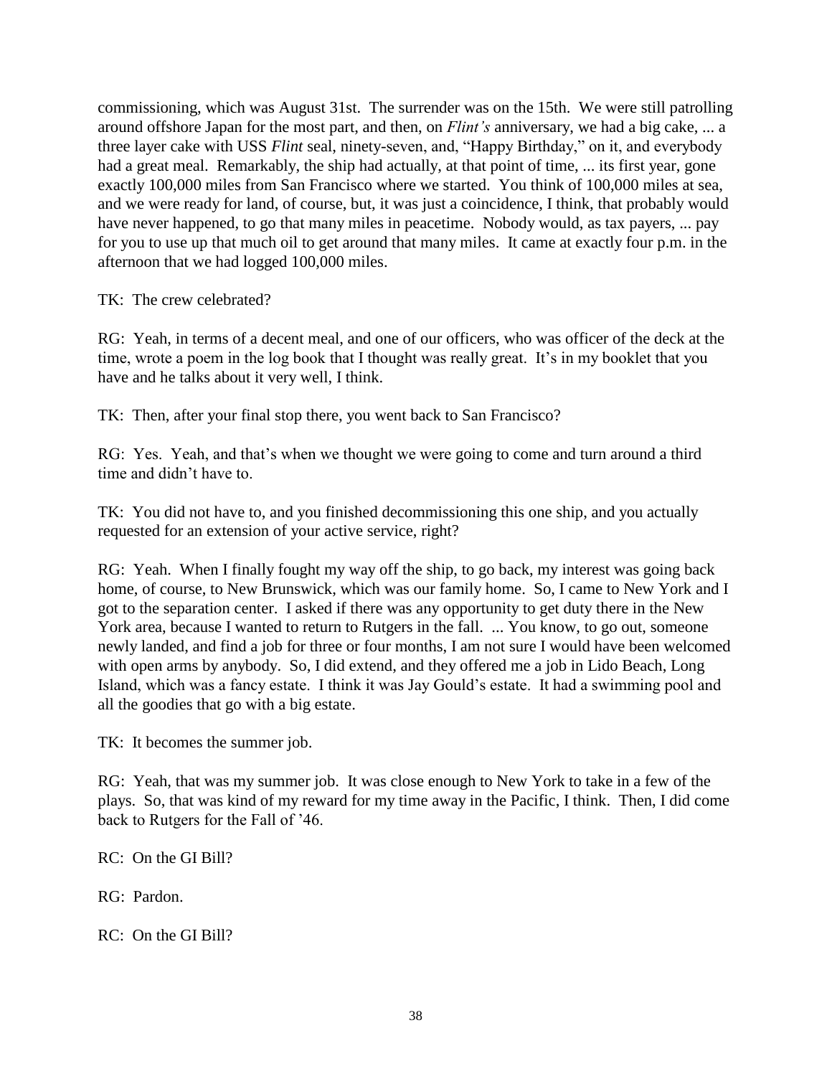commissioning, which was August 31st. The surrender was on the 15th. We were still patrolling around offshore Japan for the most part, and then, on *Flint's* anniversary, we had a big cake, ... a three layer cake with USS *Flint* seal, ninety-seven, and, "Happy Birthday," on it, and everybody had a great meal. Remarkably, the ship had actually, at that point of time, ... its first year, gone exactly 100,000 miles from San Francisco where we started. You think of 100,000 miles at sea, and we were ready for land, of course, but, it was just a coincidence, I think, that probably would have never happened, to go that many miles in peacetime. Nobody would, as tax payers, ... pay for you to use up that much oil to get around that many miles. It came at exactly four p.m. in the afternoon that we had logged 100,000 miles.

TK: The crew celebrated?

RG: Yeah, in terms of a decent meal, and one of our officers, who was officer of the deck at the time, wrote a poem in the log book that I thought was really great. It's in my booklet that you have and he talks about it very well, I think.

TK: Then, after your final stop there, you went back to San Francisco?

RG: Yes. Yeah, and that's when we thought we were going to come and turn around a third time and didn't have to.

TK: You did not have to, and you finished decommissioning this one ship, and you actually requested for an extension of your active service, right?

RG: Yeah. When I finally fought my way off the ship, to go back, my interest was going back home, of course, to New Brunswick, which was our family home. So, I came to New York and I got to the separation center. I asked if there was any opportunity to get duty there in the New York area, because I wanted to return to Rutgers in the fall. ... You know, to go out, someone newly landed, and find a job for three or four months, I am not sure I would have been welcomed with open arms by anybody. So, I did extend, and they offered me a job in Lido Beach, Long Island, which was a fancy estate. I think it was Jay Gould's estate. It had a swimming pool and all the goodies that go with a big estate.

TK: It becomes the summer job.

RG: Yeah, that was my summer job. It was close enough to New York to take in a few of the plays. So, that was kind of my reward for my time away in the Pacific, I think. Then, I did come back to Rutgers for the Fall of '46.

RC: On the GI Bill?

RG: Pardon.

RC: On the GI Bill?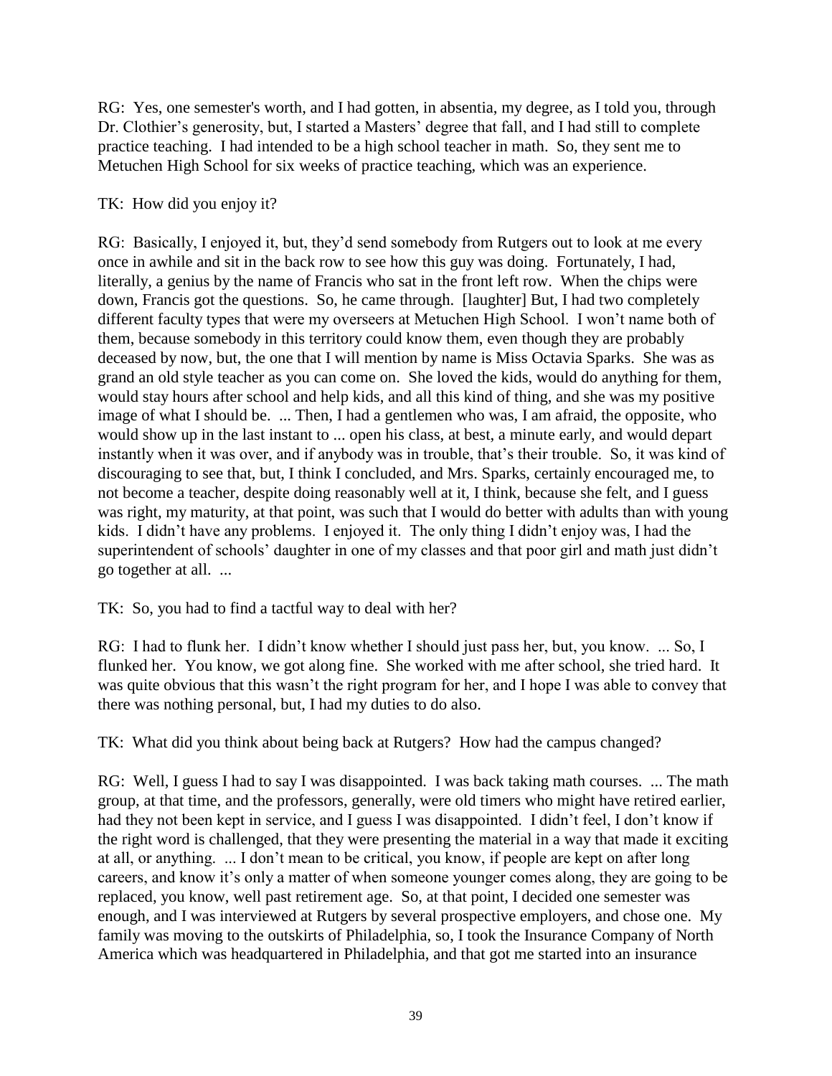RG: Yes, one semester's worth, and I had gotten, in absentia, my degree, as I told you, through Dr. Clothier's generosity, but, I started a Masters' degree that fall, and I had still to complete practice teaching. I had intended to be a high school teacher in math. So, they sent me to Metuchen High School for six weeks of practice teaching, which was an experience.

# TK: How did you enjoy it?

RG: Basically, I enjoyed it, but, they'd send somebody from Rutgers out to look at me every once in awhile and sit in the back row to see how this guy was doing. Fortunately, I had, literally, a genius by the name of Francis who sat in the front left row. When the chips were down, Francis got the questions. So, he came through. [laughter] But, I had two completely different faculty types that were my overseers at Metuchen High School. I won't name both of them, because somebody in this territory could know them, even though they are probably deceased by now, but, the one that I will mention by name is Miss Octavia Sparks. She was as grand an old style teacher as you can come on. She loved the kids, would do anything for them, would stay hours after school and help kids, and all this kind of thing, and she was my positive image of what I should be. ... Then, I had a gentlemen who was, I am afraid, the opposite, who would show up in the last instant to ... open his class, at best, a minute early, and would depart instantly when it was over, and if anybody was in trouble, that's their trouble. So, it was kind of discouraging to see that, but, I think I concluded, and Mrs. Sparks, certainly encouraged me, to not become a teacher, despite doing reasonably well at it, I think, because she felt, and I guess was right, my maturity, at that point, was such that I would do better with adults than with young kids. I didn't have any problems. I enjoyed it. The only thing I didn't enjoy was, I had the superintendent of schools' daughter in one of my classes and that poor girl and math just didn't go together at all. ...

TK: So, you had to find a tactful way to deal with her?

RG: I had to flunk her. I didn't know whether I should just pass her, but, you know. ... So, I flunked her. You know, we got along fine. She worked with me after school, she tried hard. It was quite obvious that this wasn't the right program for her, and I hope I was able to convey that there was nothing personal, but, I had my duties to do also.

TK: What did you think about being back at Rutgers? How had the campus changed?

RG: Well, I guess I had to say I was disappointed. I was back taking math courses. ... The math group, at that time, and the professors, generally, were old timers who might have retired earlier, had they not been kept in service, and I guess I was disappointed. I didn't feel, I don't know if the right word is challenged, that they were presenting the material in a way that made it exciting at all, or anything. ... I don't mean to be critical, you know, if people are kept on after long careers, and know it's only a matter of when someone younger comes along, they are going to be replaced, you know, well past retirement age. So, at that point, I decided one semester was enough, and I was interviewed at Rutgers by several prospective employers, and chose one. My family was moving to the outskirts of Philadelphia, so, I took the Insurance Company of North America which was headquartered in Philadelphia, and that got me started into an insurance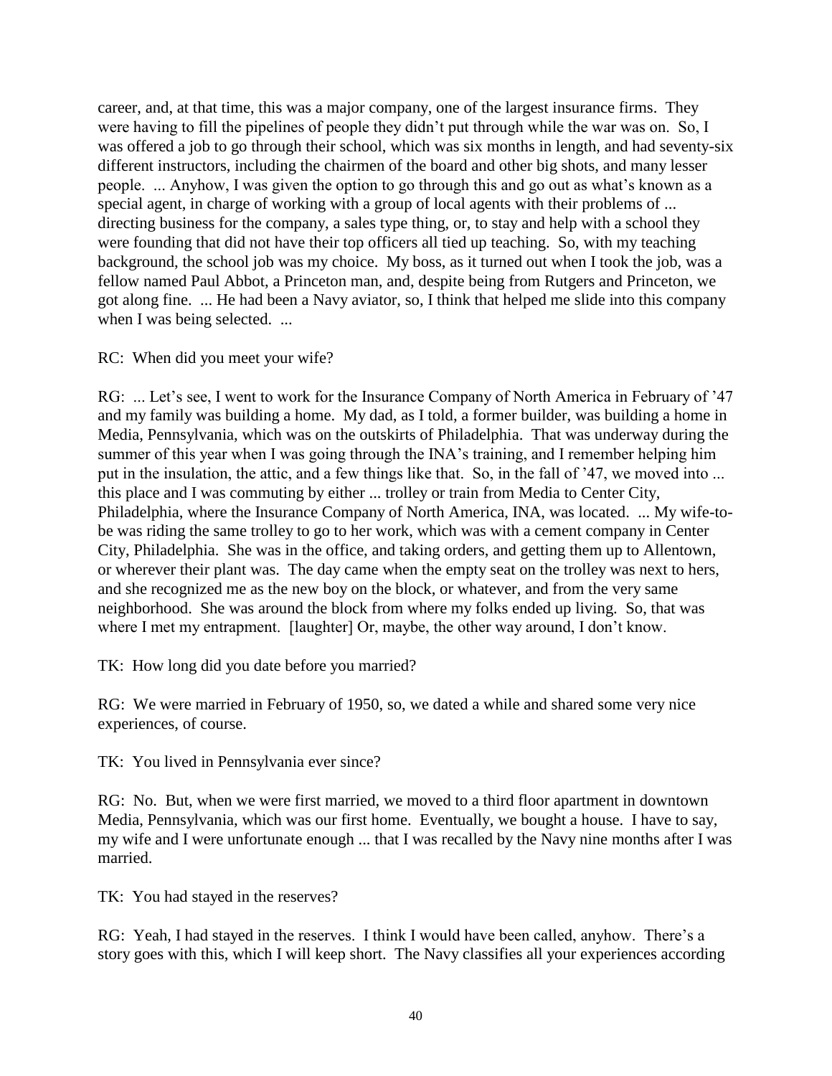career, and, at that time, this was a major company, one of the largest insurance firms. They were having to fill the pipelines of people they didn't put through while the war was on. So, I was offered a job to go through their school, which was six months in length, and had seventy-six different instructors, including the chairmen of the board and other big shots, and many lesser people. ... Anyhow, I was given the option to go through this and go out as what's known as a special agent, in charge of working with a group of local agents with their problems of ... directing business for the company, a sales type thing, or, to stay and help with a school they were founding that did not have their top officers all tied up teaching. So, with my teaching background, the school job was my choice. My boss, as it turned out when I took the job, was a fellow named Paul Abbot, a Princeton man, and, despite being from Rutgers and Princeton, we got along fine. ... He had been a Navy aviator, so, I think that helped me slide into this company when I was being selected. ...

### RC: When did you meet your wife?

RG: ... Let's see, I went to work for the Insurance Company of North America in February of '47 and my family was building a home. My dad, as I told, a former builder, was building a home in Media, Pennsylvania, which was on the outskirts of Philadelphia. That was underway during the summer of this year when I was going through the INA's training, and I remember helping him put in the insulation, the attic, and a few things like that. So, in the fall of '47, we moved into ... this place and I was commuting by either ... trolley or train from Media to Center City, Philadelphia, where the Insurance Company of North America, INA, was located. ... My wife-tobe was riding the same trolley to go to her work, which was with a cement company in Center City, Philadelphia. She was in the office, and taking orders, and getting them up to Allentown, or wherever their plant was. The day came when the empty seat on the trolley was next to hers, and she recognized me as the new boy on the block, or whatever, and from the very same neighborhood. She was around the block from where my folks ended up living. So, that was where I met my entrapment. [laughter] Or, maybe, the other way around, I don't know.

TK: How long did you date before you married?

RG: We were married in February of 1950, so, we dated a while and shared some very nice experiences, of course.

TK: You lived in Pennsylvania ever since?

RG: No. But, when we were first married, we moved to a third floor apartment in downtown Media, Pennsylvania, which was our first home. Eventually, we bought a house. I have to say, my wife and I were unfortunate enough ... that I was recalled by the Navy nine months after I was married.

TK: You had stayed in the reserves?

RG: Yeah, I had stayed in the reserves. I think I would have been called, anyhow. There's a story goes with this, which I will keep short. The Navy classifies all your experiences according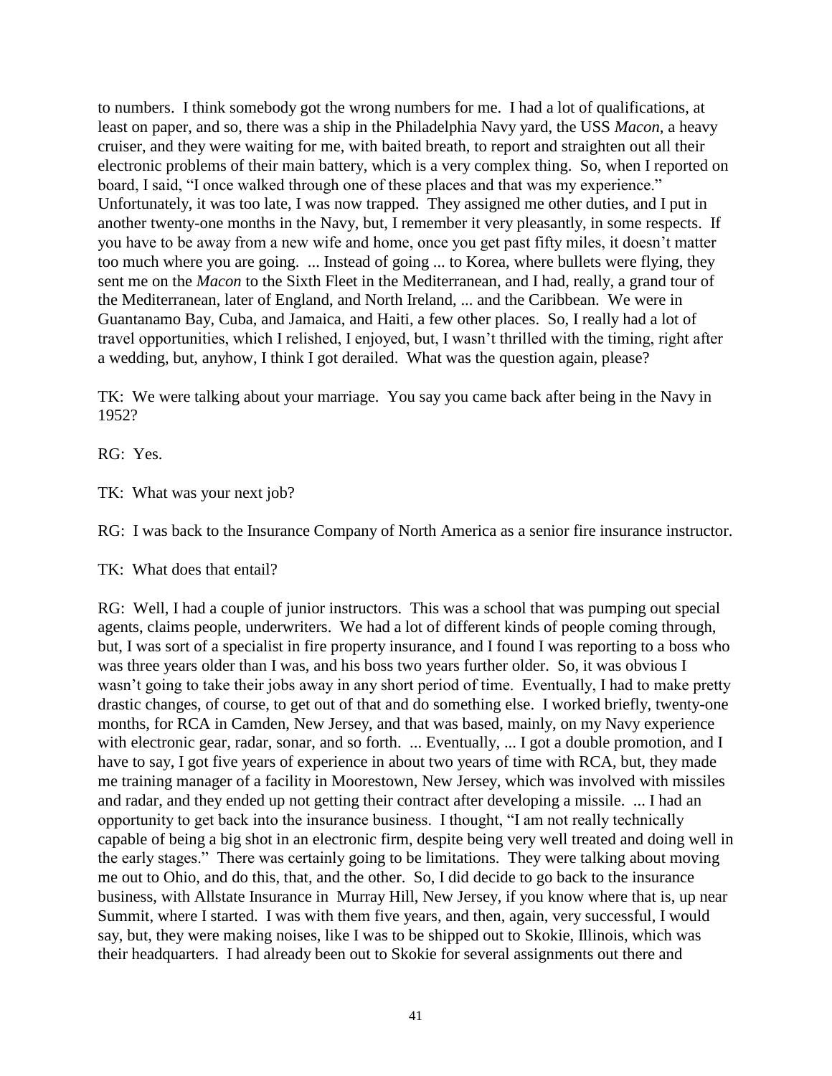to numbers. I think somebody got the wrong numbers for me. I had a lot of qualifications, at least on paper, and so, there was a ship in the Philadelphia Navy yard, the USS *Macon*, a heavy cruiser, and they were waiting for me, with baited breath, to report and straighten out all their electronic problems of their main battery, which is a very complex thing. So, when I reported on board, I said, "I once walked through one of these places and that was my experience." Unfortunately, it was too late, I was now trapped. They assigned me other duties, and I put in another twenty-one months in the Navy, but, I remember it very pleasantly, in some respects. If you have to be away from a new wife and home, once you get past fifty miles, it doesn't matter too much where you are going. ... Instead of going ... to Korea, where bullets were flying, they sent me on the *Macon* to the Sixth Fleet in the Mediterranean, and I had, really, a grand tour of the Mediterranean, later of England, and North Ireland, ... and the Caribbean. We were in Guantanamo Bay, Cuba, and Jamaica, and Haiti, a few other places. So, I really had a lot of travel opportunities, which I relished, I enjoyed, but, I wasn't thrilled with the timing, right after a wedding, but, anyhow, I think I got derailed. What was the question again, please?

TK: We were talking about your marriage. You say you came back after being in the Navy in 1952?

RG: Yes.

TK: What was your next job?

RG: I was back to the Insurance Company of North America as a senior fire insurance instructor.

TK: What does that entail?

RG: Well, I had a couple of junior instructors. This was a school that was pumping out special agents, claims people, underwriters. We had a lot of different kinds of people coming through, but, I was sort of a specialist in fire property insurance, and I found I was reporting to a boss who was three years older than I was, and his boss two years further older. So, it was obvious I wasn't going to take their jobs away in any short period of time. Eventually, I had to make pretty drastic changes, of course, to get out of that and do something else. I worked briefly, twenty-one months, for RCA in Camden, New Jersey, and that was based, mainly, on my Navy experience with electronic gear, radar, sonar, and so forth. ... Eventually, ... I got a double promotion, and I have to say, I got five years of experience in about two years of time with RCA, but, they made me training manager of a facility in Moorestown, New Jersey, which was involved with missiles and radar, and they ended up not getting their contract after developing a missile. ... I had an opportunity to get back into the insurance business. I thought, "I am not really technically capable of being a big shot in an electronic firm, despite being very well treated and doing well in the early stages." There was certainly going to be limitations. They were talking about moving me out to Ohio, and do this, that, and the other. So, I did decide to go back to the insurance business, with Allstate Insurance in Murray Hill, New Jersey, if you know where that is, up near Summit, where I started. I was with them five years, and then, again, very successful, I would say, but, they were making noises, like I was to be shipped out to Skokie, Illinois, which was their headquarters. I had already been out to Skokie for several assignments out there and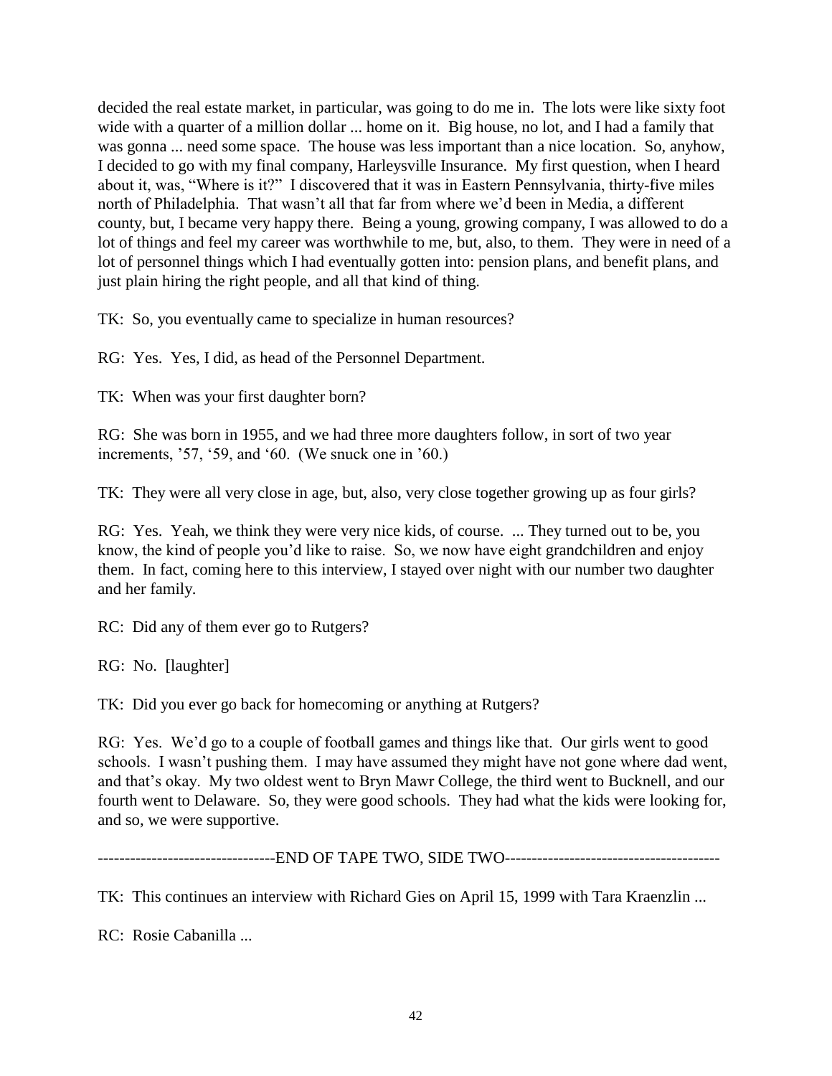decided the real estate market, in particular, was going to do me in. The lots were like sixty foot wide with a quarter of a million dollar ... home on it. Big house, no lot, and I had a family that was gonna ... need some space. The house was less important than a nice location. So, anyhow, I decided to go with my final company, Harleysville Insurance. My first question, when I heard about it, was, "Where is it?" I discovered that it was in Eastern Pennsylvania, thirty-five miles north of Philadelphia. That wasn't all that far from where we'd been in Media, a different county, but, I became very happy there. Being a young, growing company, I was allowed to do a lot of things and feel my career was worthwhile to me, but, also, to them. They were in need of a lot of personnel things which I had eventually gotten into: pension plans, and benefit plans, and just plain hiring the right people, and all that kind of thing.

TK: So, you eventually came to specialize in human resources?

RG: Yes. Yes, I did, as head of the Personnel Department.

TK: When was your first daughter born?

RG: She was born in 1955, and we had three more daughters follow, in sort of two year increments, '57, '59, and '60. (We snuck one in '60.)

TK: They were all very close in age, but, also, very close together growing up as four girls?

RG: Yes. Yeah, we think they were very nice kids, of course. ... They turned out to be, you know, the kind of people you'd like to raise. So, we now have eight grandchildren and enjoy them. In fact, coming here to this interview, I stayed over night with our number two daughter and her family.

RC: Did any of them ever go to Rutgers?

RG: No. [laughter]

TK: Did you ever go back for homecoming or anything at Rutgers?

RG: Yes. We'd go to a couple of football games and things like that. Our girls went to good schools. I wasn't pushing them. I may have assumed they might have not gone where dad went, and that's okay. My two oldest went to Bryn Mawr College, the third went to Bucknell, and our fourth went to Delaware. So, they were good schools. They had what the kids were looking for, and so, we were supportive.

---------------------------------END OF TAPE TWO, SIDE TWO----------------------------------------

TK: This continues an interview with Richard Gies on April 15, 1999 with Tara Kraenzlin ...

RC: Rosie Cabanilla ...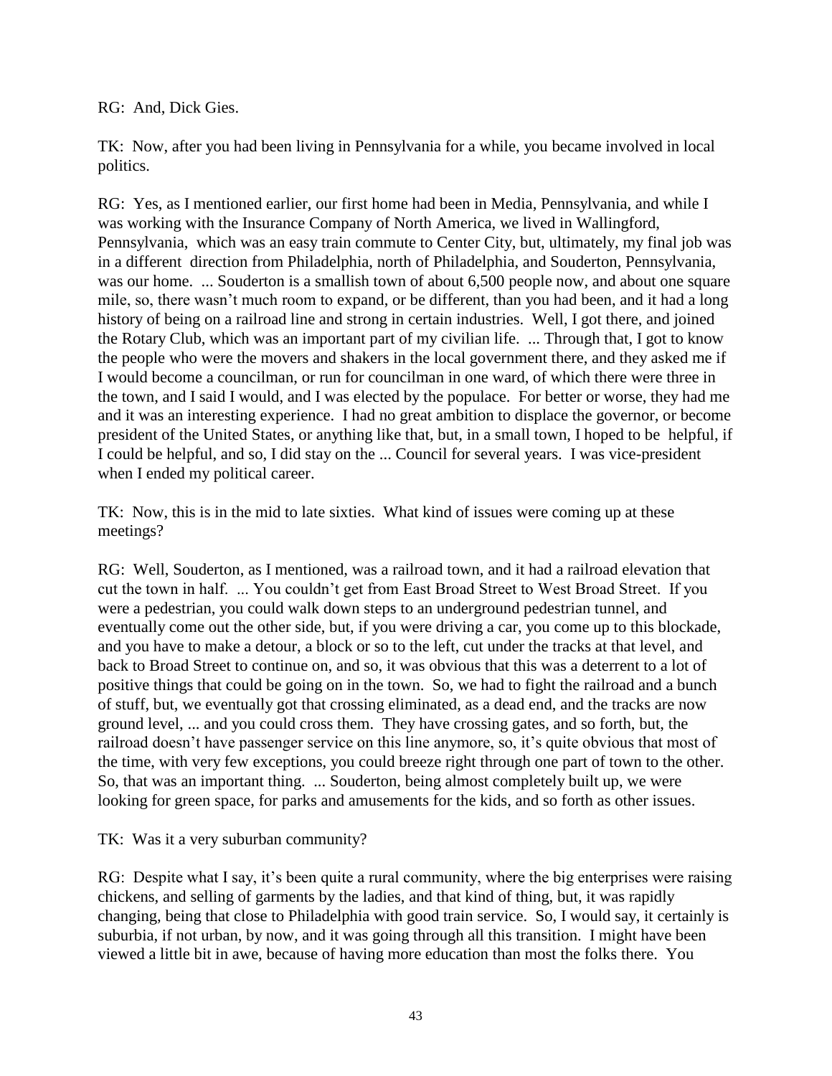RG: And, Dick Gies.

TK: Now, after you had been living in Pennsylvania for a while, you became involved in local politics.

RG: Yes, as I mentioned earlier, our first home had been in Media, Pennsylvania, and while I was working with the Insurance Company of North America, we lived in Wallingford, Pennsylvania, which was an easy train commute to Center City, but, ultimately, my final job was in a different direction from Philadelphia, north of Philadelphia, and Souderton, Pennsylvania, was our home. ... Souderton is a smallish town of about 6,500 people now, and about one square mile, so, there wasn't much room to expand, or be different, than you had been, and it had a long history of being on a railroad line and strong in certain industries. Well, I got there, and joined the Rotary Club, which was an important part of my civilian life. ... Through that, I got to know the people who were the movers and shakers in the local government there, and they asked me if I would become a councilman, or run for councilman in one ward, of which there were three in the town, and I said I would, and I was elected by the populace. For better or worse, they had me and it was an interesting experience. I had no great ambition to displace the governor, or become president of the United States, or anything like that, but, in a small town, I hoped to be helpful, if I could be helpful, and so, I did stay on the ... Council for several years. I was vice-president when I ended my political career.

TK: Now, this is in the mid to late sixties. What kind of issues were coming up at these meetings?

RG: Well, Souderton, as I mentioned, was a railroad town, and it had a railroad elevation that cut the town in half. ... You couldn't get from East Broad Street to West Broad Street. If you were a pedestrian, you could walk down steps to an underground pedestrian tunnel, and eventually come out the other side, but, if you were driving a car, you come up to this blockade, and you have to make a detour, a block or so to the left, cut under the tracks at that level, and back to Broad Street to continue on, and so, it was obvious that this was a deterrent to a lot of positive things that could be going on in the town. So, we had to fight the railroad and a bunch of stuff, but, we eventually got that crossing eliminated, as a dead end, and the tracks are now ground level, ... and you could cross them. They have crossing gates, and so forth, but, the railroad doesn't have passenger service on this line anymore, so, it's quite obvious that most of the time, with very few exceptions, you could breeze right through one part of town to the other. So, that was an important thing. ... Souderton, being almost completely built up, we were looking for green space, for parks and amusements for the kids, and so forth as other issues.

TK: Was it a very suburban community?

RG: Despite what I say, it's been quite a rural community, where the big enterprises were raising chickens, and selling of garments by the ladies, and that kind of thing, but, it was rapidly changing, being that close to Philadelphia with good train service. So, I would say, it certainly is suburbia, if not urban, by now, and it was going through all this transition. I might have been viewed a little bit in awe, because of having more education than most the folks there. You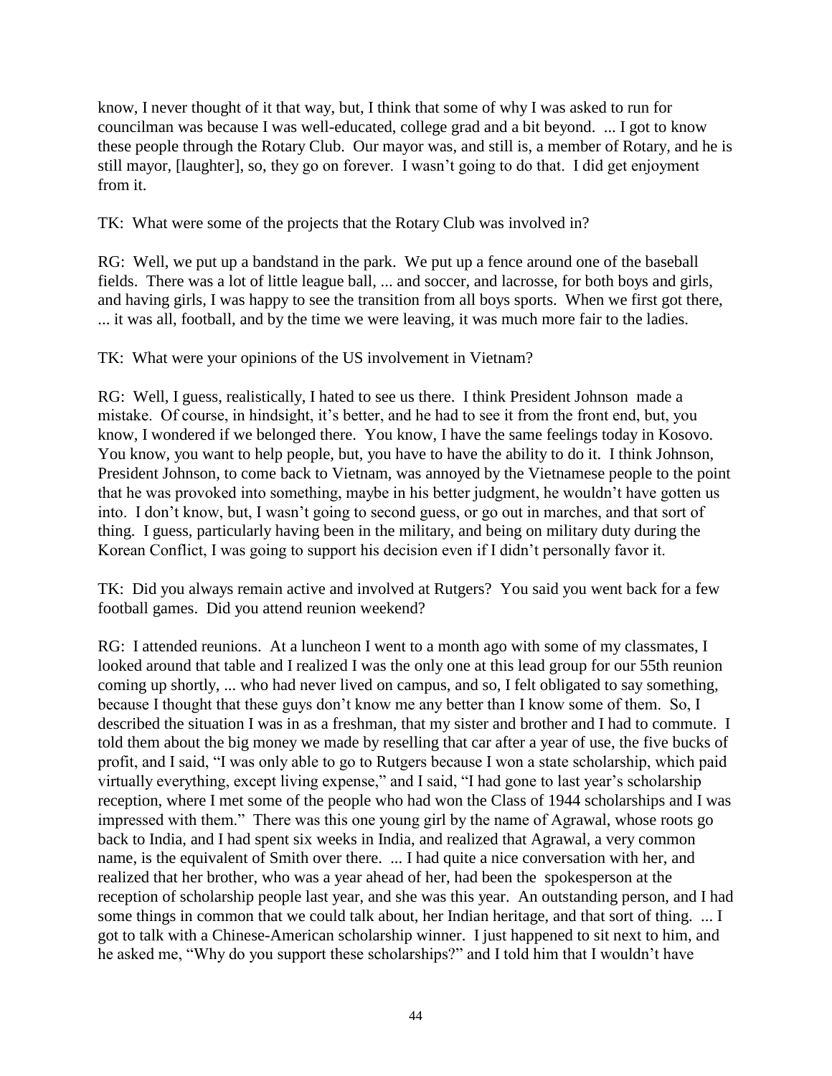know, I never thought of it that way, but, I think that some of why I was asked to run for councilman was because I was well-educated, college grad and a bit beyond. ... I got to know these people through the Rotary Club. Our mayor was, and still is, a member of Rotary, and he is still mayor, [laughter], so, they go on forever. I wasn't going to do that. I did get enjoyment from it.

TK: What were some of the projects that the Rotary Club was involved in?

RG: Well, we put up a bandstand in the park. We put up a fence around one of the baseball fields. There was a lot of little league ball, ... and soccer, and lacrosse, for both boys and girls, and having girls, I was happy to see the transition from all boys sports. When we first got there, ... it was all, football, and by the time we were leaving, it was much more fair to the ladies.

TK: What were your opinions of the US involvement in Vietnam?

RG: Well, I guess, realistically, I hated to see us there. I think President Johnson made a mistake. Of course, in hindsight, it's better, and he had to see it from the front end, but, you know, I wondered if we belonged there. You know, I have the same feelings today in Kosovo. You know, you want to help people, but, you have to have the ability to do it. I think Johnson, President Johnson, to come back to Vietnam, was annoyed by the Vietnamese people to the point that he was provoked into something, maybe in his better judgment, he wouldn't have gotten us into. I don't know, but, I wasn't going to second guess, or go out in marches, and that sort of thing. I guess, particularly having been in the military, and being on military duty during the Korean Conflict, I was going to support his decision even if I didn't personally favor it.

TK: Did you always remain active and involved at Rutgers? You said you went back for a few football games. Did you attend reunion weekend?

RG: I attended reunions. At a luncheon I went to a month ago with some of my classmates, I looked around that table and I realized I was the only one at this lead group for our 55th reunion coming up shortly, ... who had never lived on campus, and so, I felt obligated to say something, because I thought that these guys don't know me any better than I know some of them. So, I described the situation I was in as a freshman, that my sister and brother and I had to commute. I told them about the big money we made by reselling that car after a year of use, the five bucks of profit, and I said, "I was only able to go to Rutgers because I won a state scholarship, which paid virtually everything, except living expense," and I said, "I had gone to last year's scholarship reception, where I met some of the people who had won the Class of 1944 scholarships and I was impressed with them." There was this one young girl by the name of Agrawal, whose roots go back to India, and I had spent six weeks in India, and realized that Agrawal, a very common name, is the equivalent of Smith over there. ... I had quite a nice conversation with her, and realized that her brother, who was a year ahead of her, had been the spokesperson at the reception of scholarship people last year, and she was this year. An outstanding person, and I had some things in common that we could talk about, her Indian heritage, and that sort of thing. ... I got to talk with a Chinese-American scholarship winner. I just happened to sit next to him, and he asked me, "Why do you support these scholarships?" and I told him that I wouldn't have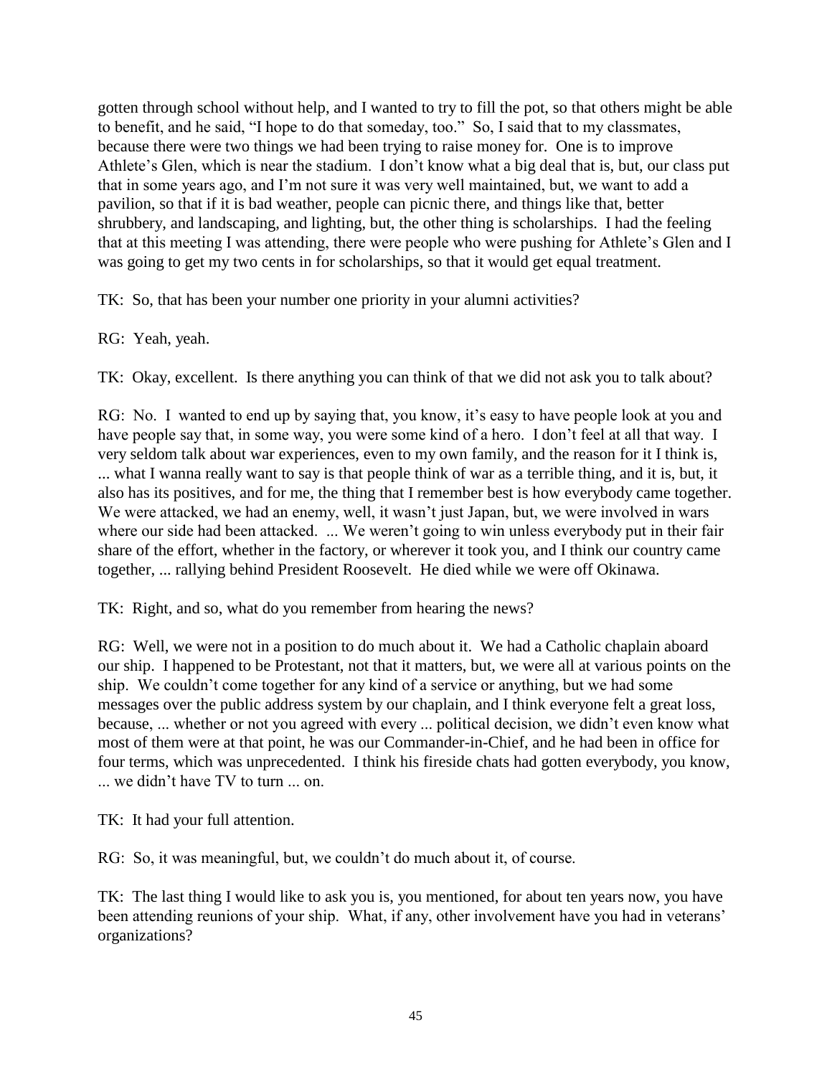gotten through school without help, and I wanted to try to fill the pot, so that others might be able to benefit, and he said, "I hope to do that someday, too." So, I said that to my classmates, because there were two things we had been trying to raise money for. One is to improve Athlete's Glen, which is near the stadium. I don't know what a big deal that is, but, our class put that in some years ago, and I'm not sure it was very well maintained, but, we want to add a pavilion, so that if it is bad weather, people can picnic there, and things like that, better shrubbery, and landscaping, and lighting, but, the other thing is scholarships. I had the feeling that at this meeting I was attending, there were people who were pushing for Athlete's Glen and I was going to get my two cents in for scholarships, so that it would get equal treatment.

TK: So, that has been your number one priority in your alumni activities?

RG: Yeah, yeah.

TK: Okay, excellent. Is there anything you can think of that we did not ask you to talk about?

RG: No. I wanted to end up by saying that, you know, it's easy to have people look at you and have people say that, in some way, you were some kind of a hero. I don't feel at all that way. I very seldom talk about war experiences, even to my own family, and the reason for it I think is, ... what I wanna really want to say is that people think of war as a terrible thing, and it is, but, it also has its positives, and for me, the thing that I remember best is how everybody came together. We were attacked, we had an enemy, well, it wasn't just Japan, but, we were involved in wars where our side had been attacked. ... We weren't going to win unless everybody put in their fair share of the effort, whether in the factory, or wherever it took you, and I think our country came together, ... rallying behind President Roosevelt. He died while we were off Okinawa.

TK: Right, and so, what do you remember from hearing the news?

RG: Well, we were not in a position to do much about it. We had a Catholic chaplain aboard our ship. I happened to be Protestant, not that it matters, but, we were all at various points on the ship. We couldn't come together for any kind of a service or anything, but we had some messages over the public address system by our chaplain, and I think everyone felt a great loss, because, ... whether or not you agreed with every ... political decision, we didn't even know what most of them were at that point, he was our Commander-in-Chief, and he had been in office for four terms, which was unprecedented. I think his fireside chats had gotten everybody, you know, ... we didn't have TV to turn ... on.

TK: It had your full attention.

RG: So, it was meaningful, but, we couldn't do much about it, of course.

TK: The last thing I would like to ask you is, you mentioned, for about ten years now, you have been attending reunions of your ship. What, if any, other involvement have you had in veterans' organizations?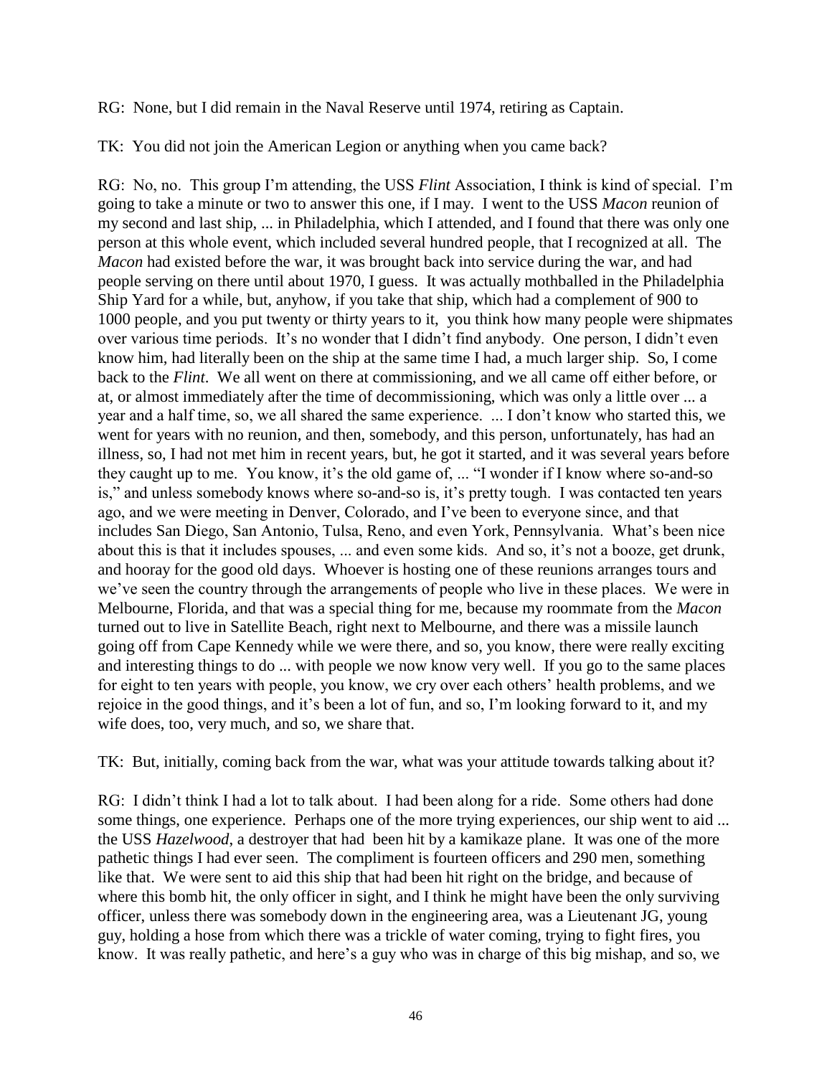RG: None, but I did remain in the Naval Reserve until 1974, retiring as Captain.

TK: You did not join the American Legion or anything when you came back?

RG: No, no. This group I'm attending, the USS *Flint* Association, I think is kind of special. I'm going to take a minute or two to answer this one, if I may. I went to the USS *Macon* reunion of my second and last ship, ... in Philadelphia, which I attended, and I found that there was only one person at this whole event, which included several hundred people, that I recognized at all. The *Macon* had existed before the war, it was brought back into service during the war, and had people serving on there until about 1970, I guess. It was actually mothballed in the Philadelphia Ship Yard for a while, but, anyhow, if you take that ship, which had a complement of 900 to 1000 people, and you put twenty or thirty years to it, you think how many people were shipmates over various time periods. It's no wonder that I didn't find anybody. One person, I didn't even know him, had literally been on the ship at the same time I had, a much larger ship. So, I come back to the *Flint*. We all went on there at commissioning, and we all came off either before, or at, or almost immediately after the time of decommissioning, which was only a little over ... a year and a half time, so, we all shared the same experience. ... I don't know who started this, we went for years with no reunion, and then, somebody, and this person, unfortunately, has had an illness, so, I had not met him in recent years, but, he got it started, and it was several years before they caught up to me. You know, it's the old game of, ... "I wonder if I know where so-and-so is," and unless somebody knows where so-and-so is, it's pretty tough. I was contacted ten years ago, and we were meeting in Denver, Colorado, and I've been to everyone since, and that includes San Diego, San Antonio, Tulsa, Reno, and even York, Pennsylvania. What's been nice about this is that it includes spouses, ... and even some kids. And so, it's not a booze, get drunk, and hooray for the good old days. Whoever is hosting one of these reunions arranges tours and we've seen the country through the arrangements of people who live in these places. We were in Melbourne, Florida, and that was a special thing for me, because my roommate from the *Macon* turned out to live in Satellite Beach, right next to Melbourne, and there was a missile launch going off from Cape Kennedy while we were there, and so, you know, there were really exciting and interesting things to do ... with people we now know very well. If you go to the same places for eight to ten years with people, you know, we cry over each others' health problems, and we rejoice in the good things, and it's been a lot of fun, and so, I'm looking forward to it, and my wife does, too, very much, and so, we share that.

TK: But, initially, coming back from the war, what was your attitude towards talking about it?

RG: I didn't think I had a lot to talk about. I had been along for a ride. Some others had done some things, one experience. Perhaps one of the more trying experiences, our ship went to aid ... the USS *Hazelwood*, a destroyer that had been hit by a kamikaze plane. It was one of the more pathetic things I had ever seen. The compliment is fourteen officers and 290 men, something like that. We were sent to aid this ship that had been hit right on the bridge, and because of where this bomb hit, the only officer in sight, and I think he might have been the only surviving officer, unless there was somebody down in the engineering area, was a Lieutenant JG, young guy, holding a hose from which there was a trickle of water coming, trying to fight fires, you know. It was really pathetic, and here's a guy who was in charge of this big mishap, and so, we